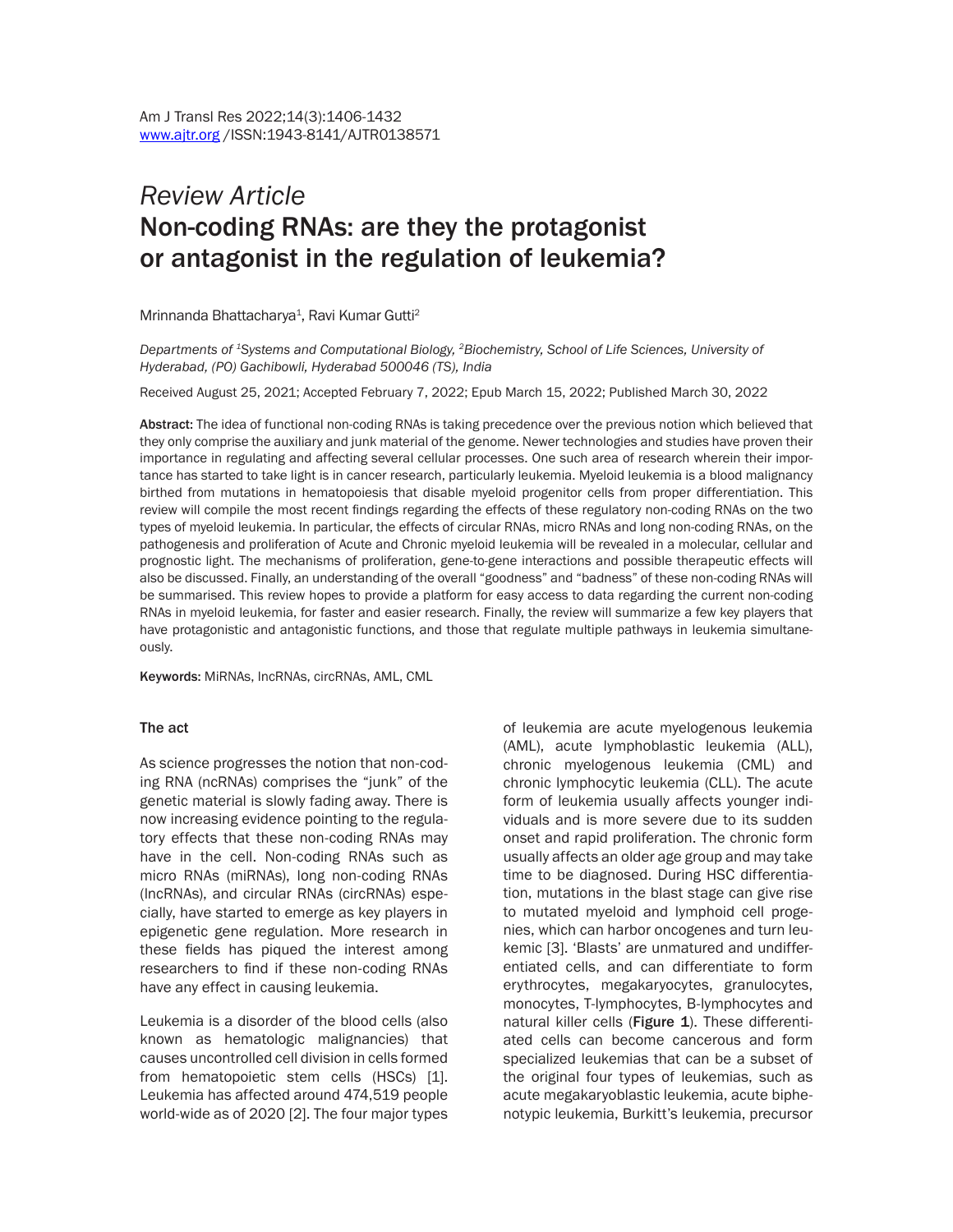# *Review Article* Non-coding RNAs: are they the protagonist or antagonist in the regulation of leukemia?

Mrinnanda Bhattacharya<sup>1</sup>, Ravi Kumar Gutti<sup>2</sup>

*Departments of 1Systems and Computational Biology, 2Biochemistry, School of Life Sciences, University of Hyderabad, (PO) Gachibowli, Hyderabad 500046 (TS), India*

Received August 25, 2021; Accepted February 7, 2022; Epub March 15, 2022; Published March 30, 2022

Abstract: The idea of functional non-coding RNAs is taking precedence over the previous notion which believed that they only comprise the auxiliary and junk material of the genome. Newer technologies and studies have proven their importance in regulating and affecting several cellular processes. One such area of research wherein their importance has started to take light is in cancer research, particularly leukemia. Myeloid leukemia is a blood malignancy birthed from mutations in hematopoiesis that disable myeloid progenitor cells from proper differentiation. This review will compile the most recent findings regarding the effects of these regulatory non-coding RNAs on the two types of myeloid leukemia. In particular, the effects of circular RNAs, micro RNAs and long non-coding RNAs, on the pathogenesis and proliferation of Acute and Chronic myeloid leukemia will be revealed in a molecular, cellular and prognostic light. The mechanisms of proliferation, gene-to-gene interactions and possible therapeutic effects will also be discussed. Finally, an understanding of the overall "goodness" and "badness" of these non-coding RNAs will be summarised. This review hopes to provide a platform for easy access to data regarding the current non-coding RNAs in myeloid leukemia, for faster and easier research. Finally, the review will summarize a few key players that have protagonistic and antagonistic functions, and those that regulate multiple pathways in leukemia simultaneously.

Keywords: MiRNAs, lncRNAs, circRNAs, AML, CML

#### The act

As science progresses the notion that non-coding RNA (ncRNAs) comprises the "junk" of the genetic material is slowly fading away. There is now increasing evidence pointing to the regulatory effects that these non-coding RNAs may have in the cell. Non-coding RNAs such as micro RNAs (miRNAs), long non-coding RNAs (lncRNAs), and circular RNAs (circRNAs) especially, have started to emerge as key players in epigenetic gene regulation. More research in these fields has piqued the interest among researchers to find if these non-coding RNAs have any effect in causing leukemia.

Leukemia is a disorder of the blood cells (also known as hematologic malignancies) that causes uncontrolled cell division in cells formed from hematopoietic stem cells (HSCs) [1]. Leukemia has affected around 474,519 people world-wide as of 2020 [2]. The four major types of leukemia are acute myelogenous leukemia (AML), acute lymphoblastic leukemia (ALL), chronic myelogenous leukemia (CML) and chronic lymphocytic leukemia (CLL). The acute form of leukemia usually affects younger individuals and is more severe due to its sudden onset and rapid proliferation. The chronic form usually affects an older age group and may take time to be diagnosed. During HSC differentiation, mutations in the blast stage can give rise to mutated myeloid and lymphoid cell progenies, which can harbor oncogenes and turn leukemic [3]. 'Blasts' are unmatured and undifferentiated cells, and can differentiate to form erythrocytes, megakaryocytes, granulocytes, monocytes, T-lymphocytes, B-lymphocytes and natural killer cells (Figure 1). These differentiated cells can become cancerous and form specialized leukemias that can be a subset of the original four types of leukemias, such as acute megakaryoblastic leukemia, acute biphenotypic leukemia, Burkitt's leukemia, precursor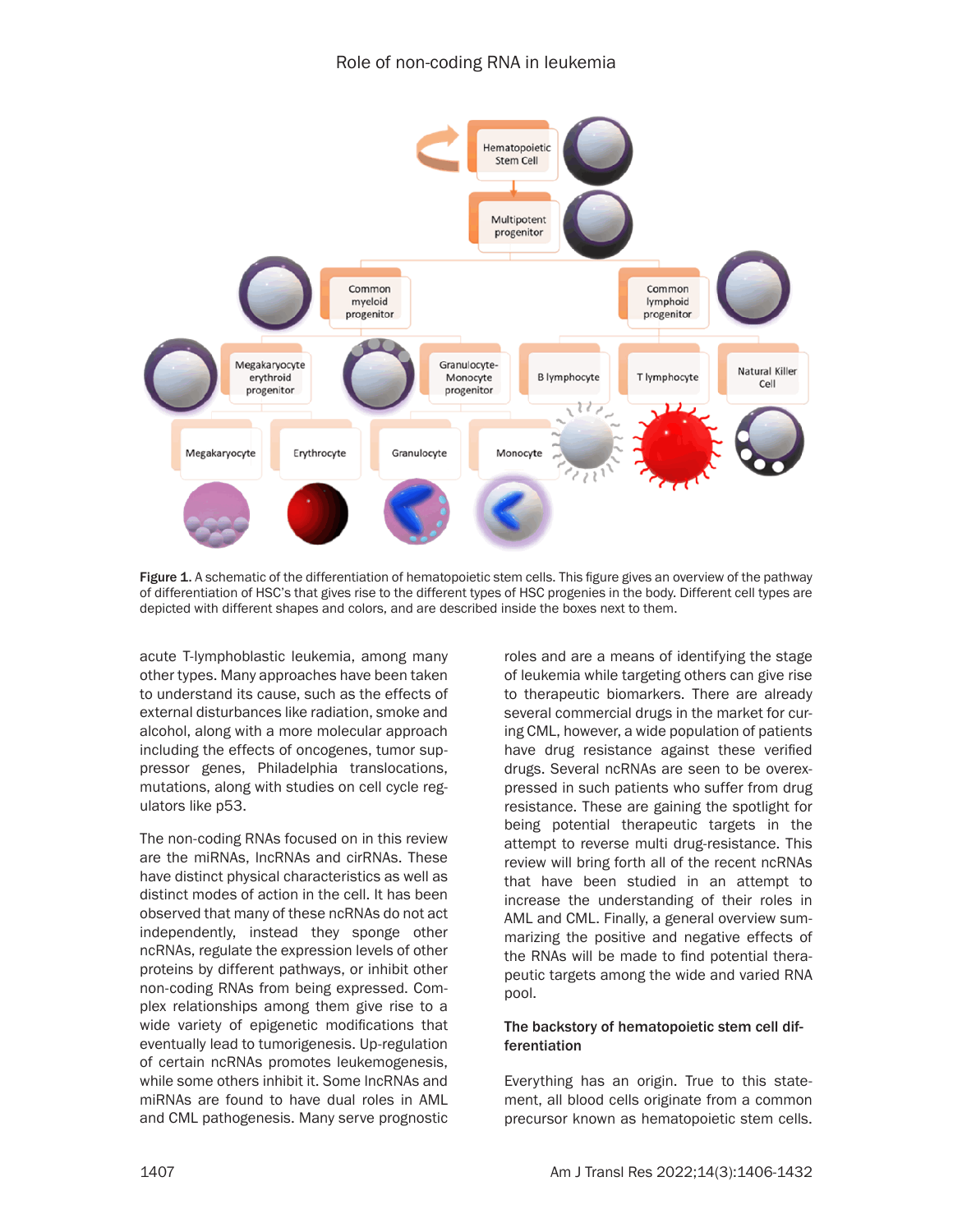

Figure 1. A schematic of the differentiation of hematopoietic stem cells. This figure gives an overview of the pathway of differentiation of HSC's that gives rise to the different types of HSC progenies in the body. Different cell types are depicted with different shapes and colors, and are described inside the boxes next to them.

acute T-lymphoblastic leukemia, among many other types. Many approaches have been taken to understand its cause, such as the effects of external disturbances like radiation, smoke and alcohol, along with a more molecular approach including the effects of oncogenes, tumor suppressor genes, Philadelphia translocations, mutations, along with studies on cell cycle regulators like p53.

The non-coding RNAs focused on in this review are the miRNAs, lncRNAs and cirRNAs. These have distinct physical characteristics as well as distinct modes of action in the cell. It has been observed that many of these ncRNAs do not act independently, instead they sponge other ncRNAs, regulate the expression levels of other proteins by different pathways, or inhibit other non-coding RNAs from being expressed. Complex relationships among them give rise to a wide variety of epigenetic modifications that eventually lead to tumorigenesis. Up-regulation of certain ncRNAs promotes leukemogenesis, while some others inhibit it. Some lncRNAs and miRNAs are found to have dual roles in AML and CML pathogenesis. Many serve prognostic roles and are a means of identifying the stage of leukemia while targeting others can give rise to therapeutic biomarkers. There are already several commercial drugs in the market for curing CML, however, a wide population of patients have drug resistance against these verified drugs. Several ncRNAs are seen to be overexpressed in such patients who suffer from drug resistance. These are gaining the spotlight for being potential therapeutic targets in the attempt to reverse multi drug-resistance. This review will bring forth all of the recent ncRNAs that have been studied in an attempt to increase the understanding of their roles in AML and CML. Finally, a general overview summarizing the positive and negative effects of the RNAs will be made to find potential therapeutic targets among the wide and varied RNA pool.

#### The backstory of hematopoietic stem cell differentiation

Everything has an origin. True to this statement, all blood cells originate from a common precursor known as hematopoietic stem cells.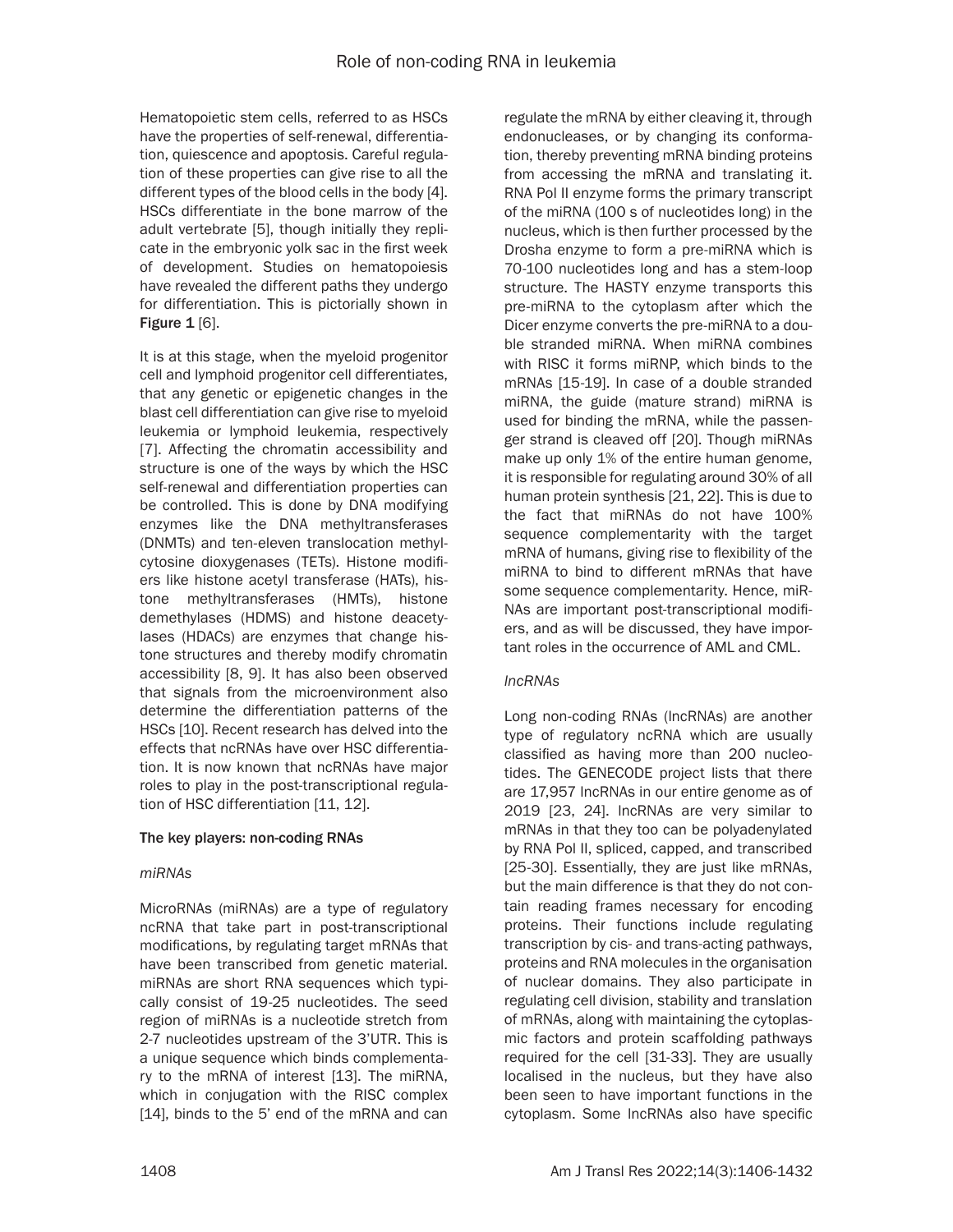Hematopoietic stem cells, referred to as HSCs have the properties of self-renewal, differentiation, quiescence and apoptosis. Careful regulation of these properties can give rise to all the different types of the blood cells in the body [4]. HSCs differentiate in the bone marrow of the adult vertebrate [5], though initially they replicate in the embryonic yolk sac in the first week of development. Studies on hematopoiesis have revealed the different paths they undergo for differentiation. This is pictorially shown in Figure  $1$  [6].

It is at this stage, when the myeloid progenitor cell and lymphoid progenitor cell differentiates, that any genetic or epigenetic changes in the blast cell differentiation can give rise to myeloid leukemia or lymphoid leukemia, respectively [7]. Affecting the chromatin accessibility and structure is one of the ways by which the HSC self-renewal and differentiation properties can be controlled. This is done by DNA modifying enzymes like the DNA methyltransferases (DNMTs) and ten-eleven translocation methylcytosine dioxygenases (TETs). Histone modifiers like histone acetyl transferase (HATs), histone methyltransferases (HMTs), histone demethylases (HDMS) and histone deacetylases (HDACs) are enzymes that change histone structures and thereby modify chromatin accessibility [8, 9]. It has also been observed that signals from the microenvironment also determine the differentiation patterns of the HSCs [10]. Recent research has delved into the effects that ncRNAs have over HSC differentiation. It is now known that ncRNAs have major roles to play in the post-transcriptional regulation of HSC differentiation [11, 12].

#### The key players: non-coding RNAs

#### *miRNAs*

MicroRNAs (miRNAs) are a type of regulatory ncRNA that take part in post-transcriptional modifications, by regulating target mRNAs that have been transcribed from genetic material. miRNAs are short RNA sequences which typically consist of 19-25 nucleotides. The seed region of miRNAs is a nucleotide stretch from 2-7 nucleotides upstream of the 3'UTR. This is a unique sequence which binds complementary to the mRNA of interest [13]. The miRNA, which in conjugation with the RISC complex [14], binds to the 5' end of the mRNA and can

regulate the mRNA by either cleaving it, through endonucleases, or by changing its conformation, thereby preventing mRNA binding proteins from accessing the mRNA and translating it. RNA Pol II enzyme forms the primary transcript of the miRNA (100 s of nucleotides long) in the nucleus, which is then further processed by the Drosha enzyme to form a pre-miRNA which is 70-100 nucleotides long and has a stem-loop structure. The HASTY enzyme transports this pre-miRNA to the cytoplasm after which the Dicer enzyme converts the pre-miRNA to a double stranded miRNA. When miRNA combines with RISC it forms miRNP, which binds to the mRNAs [15-19]. In case of a double stranded miRNA, the guide (mature strand) miRNA is used for binding the mRNA, while the passenger strand is cleaved off [20]. Though miRNAs make up only 1% of the entire human genome, it is responsible for regulating around 30% of all human protein synthesis [21, 22]. This is due to the fact that miRNAs do not have 100% sequence complementarity with the target mRNA of humans, giving rise to flexibility of the miRNA to bind to different mRNAs that have some sequence complementarity. Hence, miR-NAs are important post-transcriptional modifiers, and as will be discussed, they have important roles in the occurrence of AML and CML.

#### *lncRNAs*

Long non-coding RNAs (lncRNAs) are another type of regulatory ncRNA which are usually classified as having more than 200 nucleotides. The GENECODE project lists that there are 17,957 lncRNAs in our entire genome as of 2019 [23, 24]. lncRNAs are very similar to mRNAs in that they too can be polyadenylated by RNA Pol II, spliced, capped, and transcribed [25-30]. Essentially, they are just like mRNAs, but the main difference is that they do not contain reading frames necessary for encoding proteins. Their functions include regulating transcription by cis- and trans-acting pathways, proteins and RNA molecules in the organisation of nuclear domains. They also participate in regulating cell division, stability and translation of mRNAs, along with maintaining the cytoplasmic factors and protein scaffolding pathways required for the cell [31-33]. They are usually localised in the nucleus, but they have also been seen to have important functions in the cytoplasm. Some lncRNAs also have specific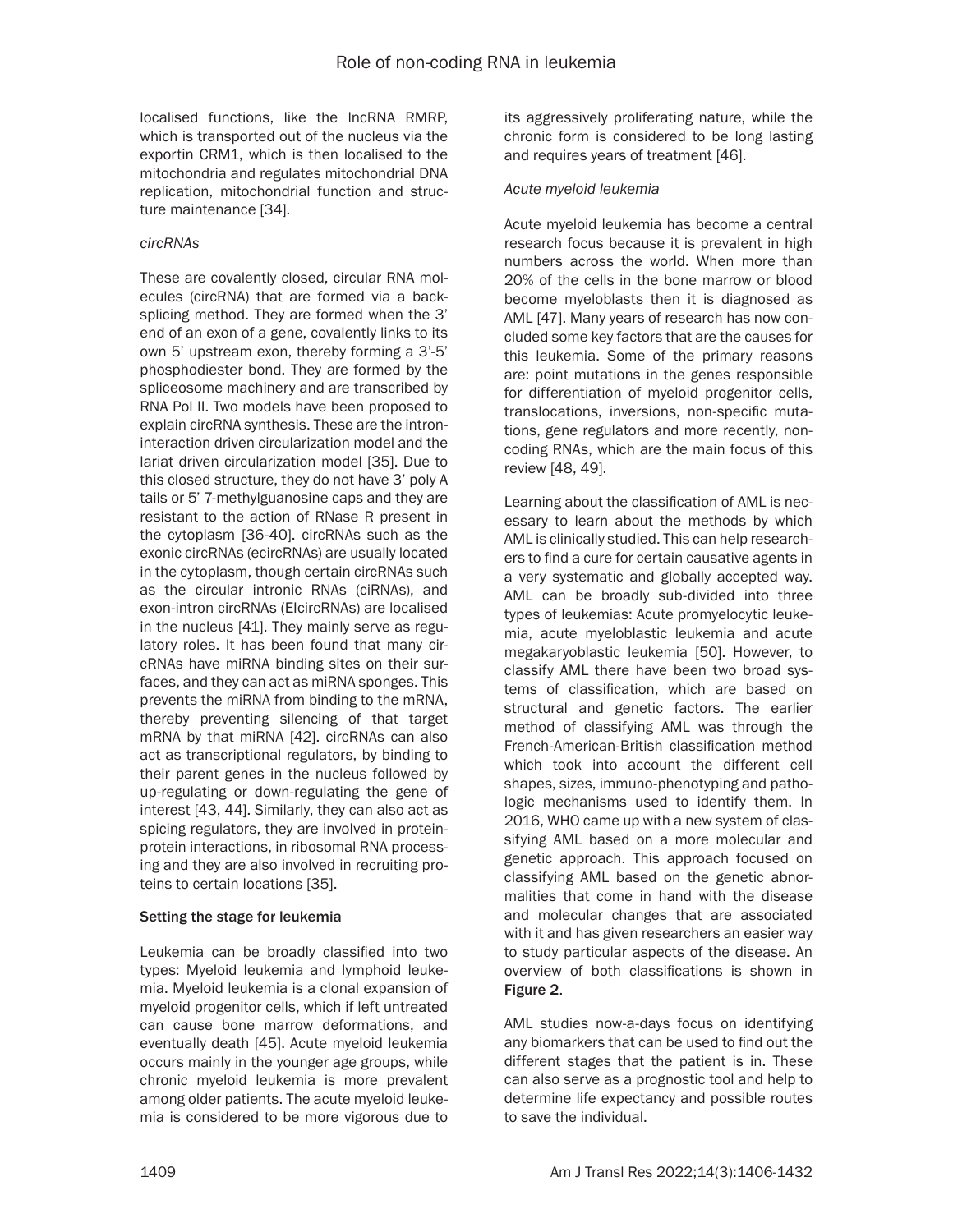localised functions, like the lncRNA RMRP, which is transported out of the nucleus via the exportin CRM1, which is then localised to the mitochondria and regulates mitochondrial DNA replication, mitochondrial function and structure maintenance [34].

#### *circRNAs*

These are covalently closed, circular RNA molecules (circRNA) that are formed via a backsplicing method. They are formed when the 3' end of an exon of a gene, covalently links to its own 5' upstream exon, thereby forming a 3'-5' phosphodiester bond. They are formed by the spliceosome machinery and are transcribed by RNA Pol II. Two models have been proposed to explain circRNA synthesis. These are the introninteraction driven circularization model and the lariat driven circularization model [35]. Due to this closed structure, they do not have 3' poly A tails or 5' 7-methylguanosine caps and they are resistant to the action of RNase R present in the cytoplasm [36-40]. circRNAs such as the exonic circRNAs (ecircRNAs) are usually located in the cytoplasm, though certain circRNAs such as the circular intronic RNAs (ciRNAs), and exon-intron circRNAs (EIcircRNAs) are localised in the nucleus [41]. They mainly serve as regulatory roles. It has been found that many circRNAs have miRNA binding sites on their surfaces, and they can act as miRNA sponges. This prevents the miRNA from binding to the mRNA, thereby preventing silencing of that target mRNA by that miRNA [42]. circRNAs can also act as transcriptional regulators, by binding to their parent genes in the nucleus followed by up-regulating or down-regulating the gene of interest [43, 44]. Similarly, they can also act as spicing regulators, they are involved in proteinprotein interactions, in ribosomal RNA processing and they are also involved in recruiting proteins to certain locations [35].

#### Setting the stage for leukemia

Leukemia can be broadly classified into two types: Myeloid leukemia and lymphoid leukemia. Myeloid leukemia is a clonal expansion of myeloid progenitor cells, which if left untreated can cause bone marrow deformations, and eventually death [45]. Acute myeloid leukemia occurs mainly in the younger age groups, while chronic myeloid leukemia is more prevalent among older patients. The acute myeloid leukemia is considered to be more vigorous due to

its aggressively proliferating nature, while the chronic form is considered to be long lasting and requires years of treatment [46].

#### *Acute myeloid leukemia*

Acute myeloid leukemia has become a central research focus because it is prevalent in high numbers across the world. When more than 20% of the cells in the bone marrow or blood become myeloblasts then it is diagnosed as AML [47]. Many years of research has now concluded some key factors that are the causes for this leukemia. Some of the primary reasons are: point mutations in the genes responsible for differentiation of myeloid progenitor cells, translocations, inversions, non-specific mutations, gene regulators and more recently, noncoding RNAs, which are the main focus of this review [48, 49].

Learning about the classification of AML is necessary to learn about the methods by which AML is clinically studied. This can help researchers to find a cure for certain causative agents in a very systematic and globally accepted way. AML can be broadly sub-divided into three types of leukemias: Acute promyelocytic leukemia, acute myeloblastic leukemia and acute megakaryoblastic leukemia [50]. However, to classify AML there have been two broad systems of classification, which are based on structural and genetic factors. The earlier method of classifying AML was through the French-American-British classification method which took into account the different cell shapes, sizes, immuno-phenotyping and pathologic mechanisms used to identify them. In 2016, WHO came up with a new system of classifying AML based on a more molecular and genetic approach. This approach focused on classifying AML based on the genetic abnormalities that come in hand with the disease and molecular changes that are associated with it and has given researchers an easier way to study particular aspects of the disease. An overview of both classifications is shown in Figure 2.

AML studies now-a-days focus on identifying any biomarkers that can be used to find out the different stages that the patient is in. These can also serve as a prognostic tool and help to determine life expectancy and possible routes to save the individual.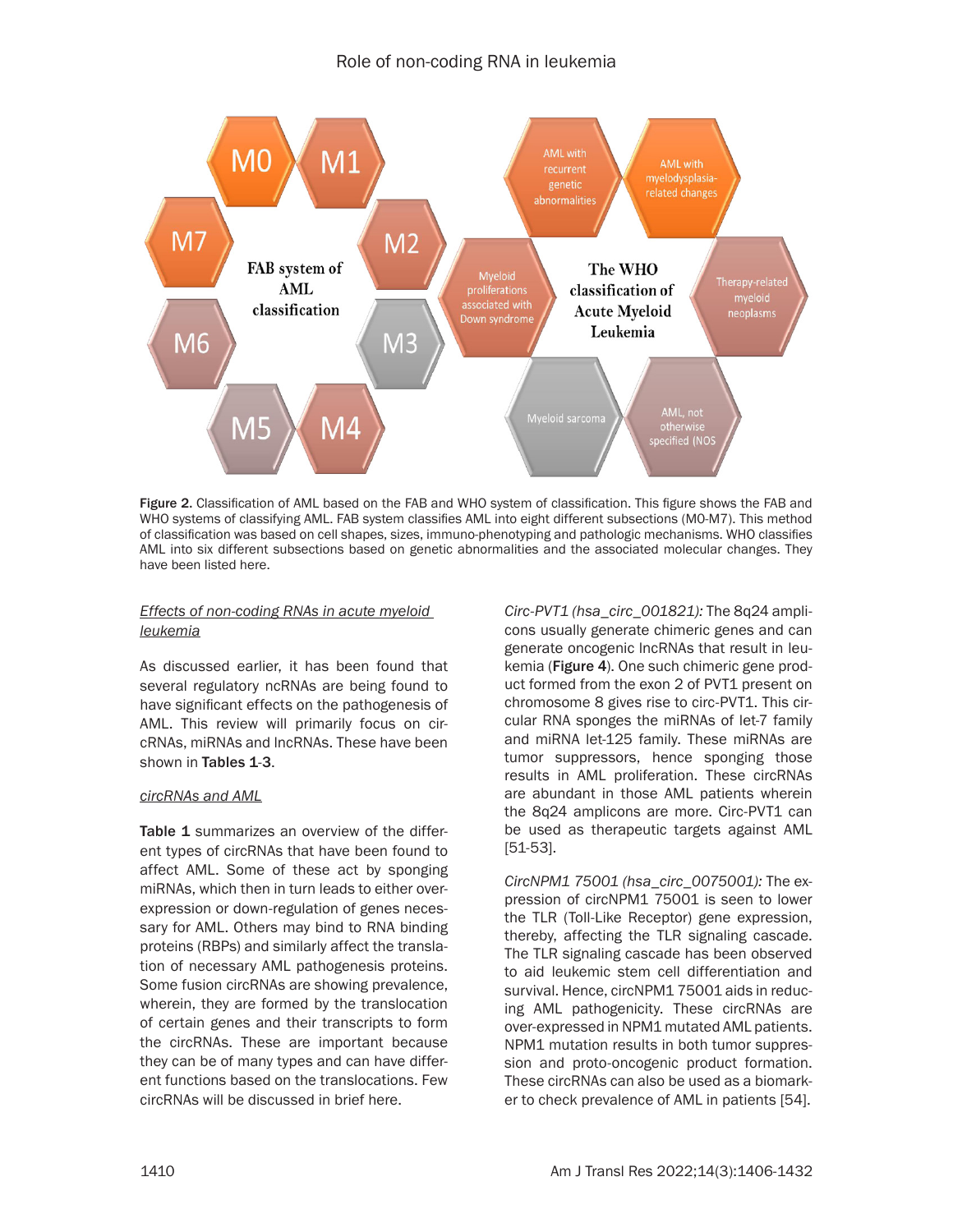

Figure 2. Classification of AML based on the FAB and WHO system of classification. This figure shows the FAB and WHO systems of classifying AML. FAB system classifies AML into eight different subsections (M0-M7). This method of classification was based on cell shapes, sizes, immuno-phenotyping and pathologic mechanisms. WHO classifies AML into six different subsections based on genetic abnormalities and the associated molecular changes. They have been listed here.

#### *Effects of non-coding RNAs in acute myeloid leukemia*

As discussed earlier, it has been found that several regulatory ncRNAs are being found to have significant effects on the pathogenesis of AML. This review will primarily focus on circRNAs, miRNAs and lncRNAs. These have been shown in Tables 1-3.

#### *circRNAs and AML*

Table 1 summarizes an overview of the different types of circRNAs that have been found to affect AML. Some of these act by sponging miRNAs, which then in turn leads to either overexpression or down-regulation of genes necessary for AML. Others may bind to RNA binding proteins (RBPs) and similarly affect the translation of necessary AML pathogenesis proteins. Some fusion circRNAs are showing prevalence, wherein, they are formed by the translocation of certain genes and their transcripts to form the circRNAs. These are important because they can be of many types and can have different functions based on the translocations. Few circRNAs will be discussed in brief here.

*Circ-PVT1 (hsa\_circ\_001821):* The 8q24 amplicons usually generate chimeric genes and can generate oncogenic lncRNAs that result in leukemia (Figure 4). One such chimeric gene product formed from the exon 2 of PVT1 present on chromosome 8 gives rise to circ-PVT1. This circular RNA sponges the miRNAs of let-7 family and miRNA let-125 family. These miRNAs are tumor suppressors, hence sponging those results in AML proliferation. These circRNAs are abundant in those AML patients wherein the 8q24 amplicons are more. Circ-PVT1 can be used as therapeutic targets against AML [51-53].

*CircNPM1 75001 (hsa\_circ\_0075001):* The expression of circNPM1 75001 is seen to lower the TLR (Toll-Like Receptor) gene expression, thereby, affecting the TLR signaling cascade. The TLR signaling cascade has been observed to aid leukemic stem cell differentiation and survival. Hence, circNPM1 75001 aids in reducing AML pathogenicity. These circRNAs are over-expressed in NPM1 mutated AML patients. NPM1 mutation results in both tumor suppression and proto-oncogenic product formation. These circRNAs can also be used as a biomarker to check prevalence of AML in patients [54].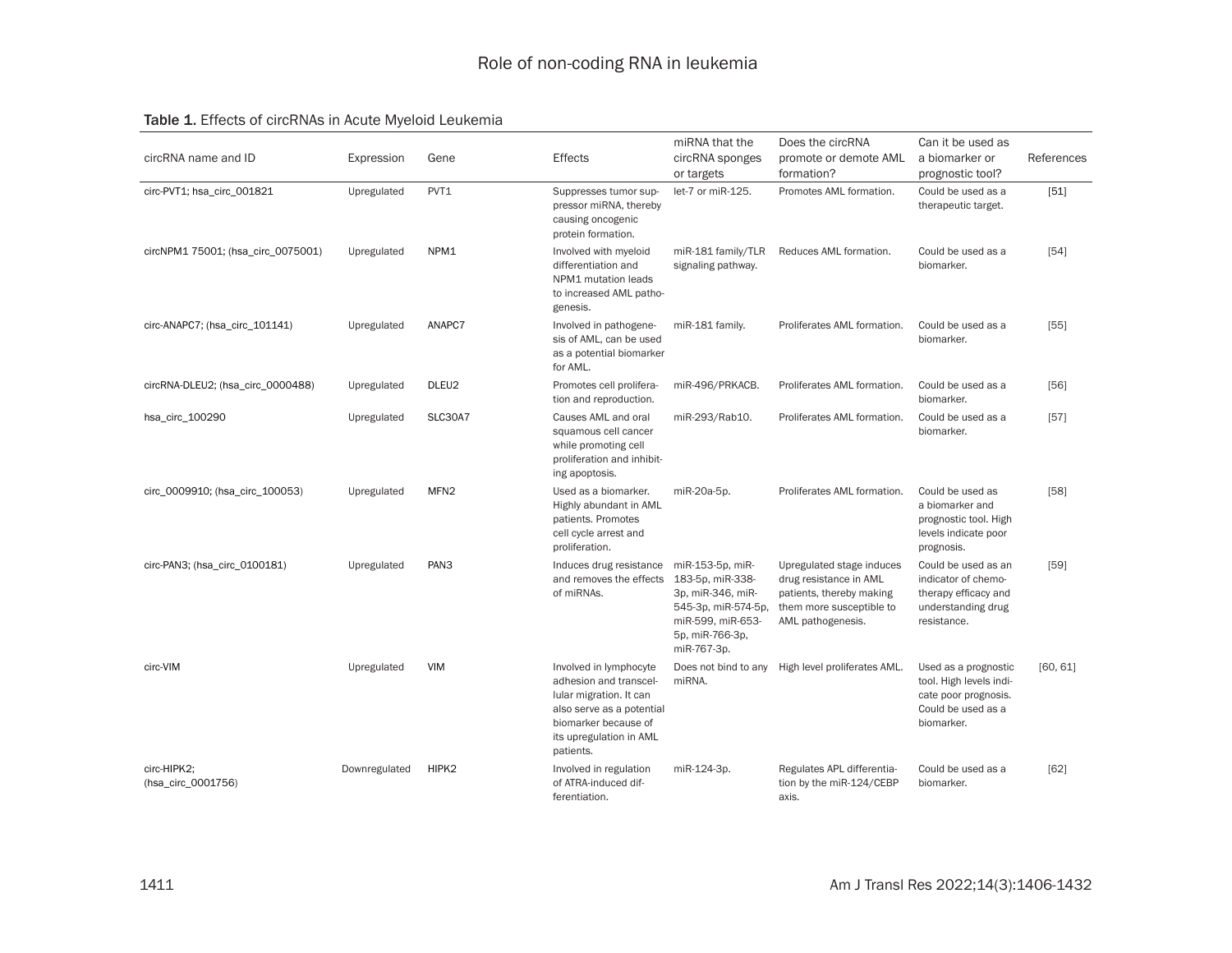#### Table 1. Effects of circRNAs in Acute Myeloid Leukemia

| circRNA name and ID                | Expression    | Gene             | <b>Effects</b>                                                                                                                                                           | miRNA that the<br>circRNA sponges<br>or targets                                                                                         | Does the circRNA<br>promote or demote AML<br>formation?                                                                          | Can it be used as<br>a biomarker or<br>prognostic tool?                                                     | References |
|------------------------------------|---------------|------------------|--------------------------------------------------------------------------------------------------------------------------------------------------------------------------|-----------------------------------------------------------------------------------------------------------------------------------------|----------------------------------------------------------------------------------------------------------------------------------|-------------------------------------------------------------------------------------------------------------|------------|
| circ-PVT1; hsa_circ_001821         | Upregulated   | PVT1             | Suppresses tumor sup-<br>pressor miRNA, thereby<br>causing oncogenic<br>protein formation.                                                                               | let-7 or miR-125.                                                                                                                       | Promotes AML formation.                                                                                                          | Could be used as a<br>therapeutic target.                                                                   | [51]       |
| circNPM1 75001; (hsa_circ_0075001) | Upregulated   | NPM1             | Involved with myeloid<br>differentiation and<br>NPM1 mutation leads<br>to increased AML patho-<br>genesis.                                                               | miR-181 family/TLR<br>signaling pathway.                                                                                                | Reduces AML formation.                                                                                                           | Could be used as a<br>biomarker.                                                                            | $[54]$     |
| circ-ANAPC7; (hsa_circ_101141)     | Upregulated   | ANAPC7           | Involved in pathogene-<br>sis of AML, can be used<br>as a potential biomarker<br>for AML.                                                                                | miR-181 family.                                                                                                                         | Proliferates AML formation.                                                                                                      | Could be used as a<br>biomarker.                                                                            | $[55]$     |
| circRNA-DLEU2; (hsa_circ_0000488)  | Upregulated   | DLEU2            | Promotes cell prolifera-<br>tion and reproduction.                                                                                                                       | miR-496/PRKACB.                                                                                                                         | Proliferates AML formation.                                                                                                      | Could be used as a<br>biomarker.                                                                            | [56]       |
| hsa_circ_100290                    | Upregulated   | <b>SLC30A7</b>   | Causes AML and oral<br>squamous cell cancer<br>while promoting cell<br>proliferation and inhibit-<br>ing apoptosis.                                                      | miR-293/Rab10.                                                                                                                          | Proliferates AML formation.                                                                                                      | Could be used as a<br>biomarker.                                                                            | $[57]$     |
| circ_0009910; (hsa_circ_100053)    | Upregulated   | MFN <sub>2</sub> | Used as a biomarker.<br>Highly abundant in AML<br>patients. Promotes<br>cell cycle arrest and<br>proliferation.                                                          | miR-20a-5p.                                                                                                                             | Proliferates AML formation.                                                                                                      | Could be used as<br>a biomarker and<br>prognostic tool. High<br>levels indicate poor<br>prognosis.          | [58]       |
| circ-PAN3; (hsa_circ_0100181)      | Upregulated   | PAN <sub>3</sub> | Induces drug resistance<br>and removes the effects<br>of miRNAs.                                                                                                         | miR-153-5p, miR-<br>183-5p, miR-338-<br>3p, miR-346, miR-<br>545-3p, miR-574-5p,<br>miR-599, miR-653-<br>5p, miR-766-3p,<br>miR-767-3p. | Upregulated stage induces<br>drug resistance in AML<br>patients, thereby making<br>them more susceptible to<br>AML pathogenesis. | Could be used as an<br>indicator of chemo-<br>therapy efficacy and<br>understanding drug<br>resistance.     | $[59]$     |
| circ-VIM                           | Upregulated   | <b>VIM</b>       | Involved in lymphocyte<br>adhesion and transcel-<br>lular migration. It can<br>also serve as a potential<br>biomarker because of<br>its upregulation in AML<br>patients. | Does not bind to any<br>miRNA.                                                                                                          | High level proliferates AML.                                                                                                     | Used as a prognostic<br>tool. High levels indi-<br>cate poor prognosis.<br>Could be used as a<br>biomarker. | [60, 61]   |
| circ-HIPK2;<br>(hsa_circ_0001756)  | Downregulated | HIPK2            | Involved in regulation<br>of ATRA-induced dif-<br>ferentiation.                                                                                                          | miR-124-3p.                                                                                                                             | Regulates APL differentia-<br>tion by the miR-124/CEBP<br>axis.                                                                  | Could be used as a<br>biomarker.                                                                            | [62]       |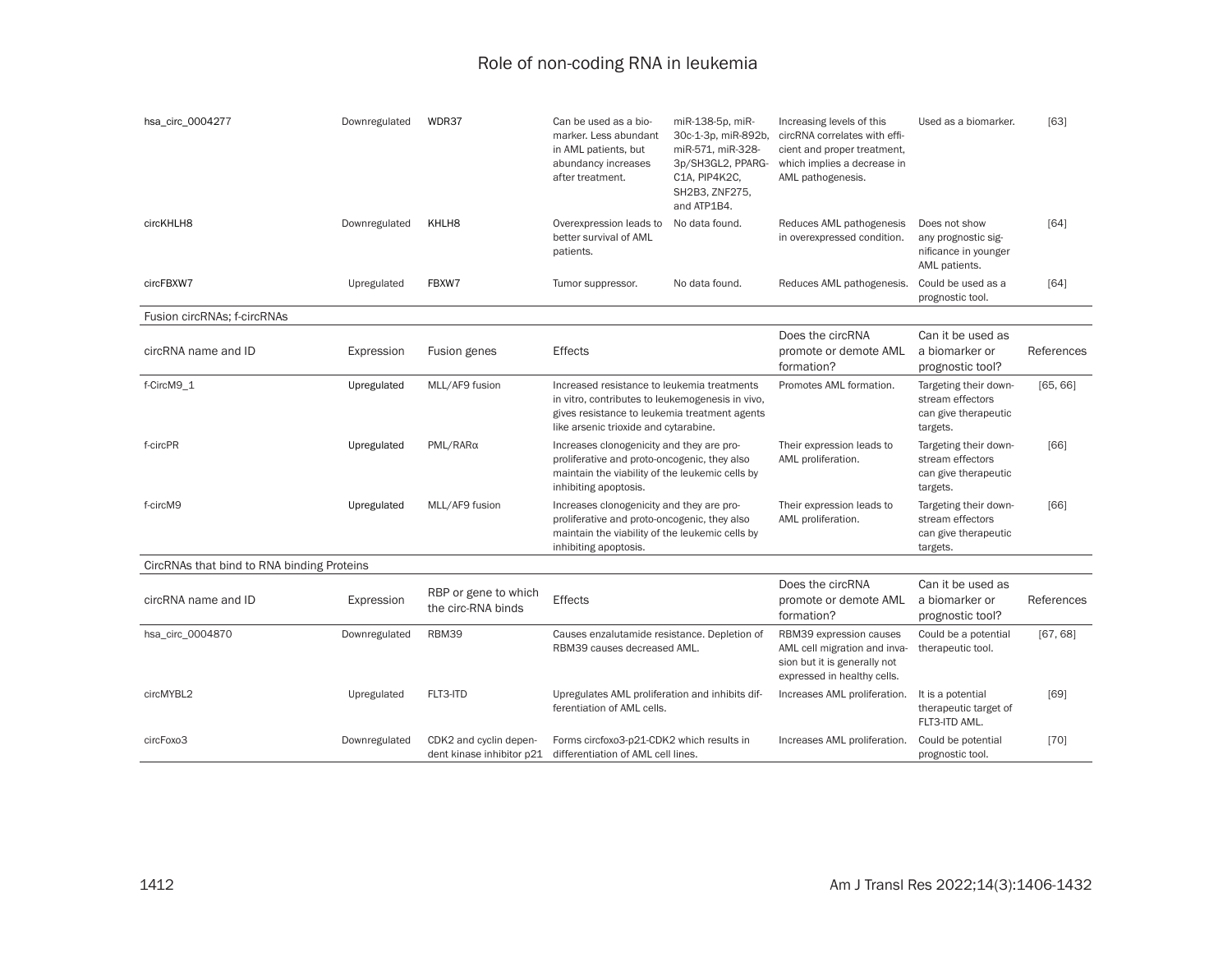| hsa_circ_0004277                           | Downregulated | WDR37                                               | Can be used as a bio-<br>marker. Less abundant<br>in AML patients, but<br>abundancy increases<br>after treatment.                                                                         | miR-138-5p, miR-<br>30c-1-3p, miR-892b.<br>miR-571, miR-328-<br>3p/SH3GL2, PPARG-<br>C1A, PIP4K2C,<br>SH2B3, ZNF275,<br>and ATP1B4. | Increasing levels of this<br>circRNA correlates with effi-<br>cient and proper treatment,<br>which implies a decrease in<br>AML pathogenesis. | Used as a biomarker.                                                          | $[63]$     |
|--------------------------------------------|---------------|-----------------------------------------------------|-------------------------------------------------------------------------------------------------------------------------------------------------------------------------------------------|-------------------------------------------------------------------------------------------------------------------------------------|-----------------------------------------------------------------------------------------------------------------------------------------------|-------------------------------------------------------------------------------|------------|
| circKHLH8                                  | Downregulated | KHLH8                                               | Overexpression leads to<br>better survival of AML<br>patients.                                                                                                                            | No data found.                                                                                                                      | Reduces AML pathogenesis<br>in overexpressed condition.                                                                                       | Does not show<br>any prognostic sig-<br>nificance in younger<br>AML patients. | [64]       |
| circFBXW7                                  | Upregulated   | FBXW7                                               | Tumor suppressor.                                                                                                                                                                         | No data found.                                                                                                                      | Reduces AML pathogenesis.                                                                                                                     | Could be used as a<br>prognostic tool.                                        | $[64]$     |
| Fusion circRNAs; f-circRNAs                |               |                                                     |                                                                                                                                                                                           |                                                                                                                                     |                                                                                                                                               |                                                                               |            |
| circRNA name and ID                        | Expression    | Fusion genes                                        | <b>Effects</b>                                                                                                                                                                            |                                                                                                                                     | Does the circRNA<br>promote or demote AML<br>formation?                                                                                       | Can it be used as<br>a biomarker or<br>prognostic tool?                       | References |
| f-CircM9_1                                 | Upregulated   | MLL/AF9 fusion                                      | Increased resistance to leukemia treatments<br>in vitro, contributes to leukemogenesis in vivo,<br>gives resistance to leukemia treatment agents<br>like arsenic trioxide and cytarabine. |                                                                                                                                     | Promotes AML formation.                                                                                                                       | Targeting their down-<br>stream effectors<br>can give therapeutic<br>targets. | [65, 66]   |
| f-circPR                                   | Upregulated   | $PML/RAR\alpha$                                     | Increases clonogenicity and they are pro-<br>proliferative and proto-oncogenic, they also<br>maintain the viability of the leukemic cells by<br>inhibiting apoptosis.                     |                                                                                                                                     | Their expression leads to<br>AML proliferation.                                                                                               | Targeting their down-<br>stream effectors<br>can give therapeutic<br>targets. | [66]       |
| f-circM9                                   | Upregulated   | MLL/AF9 fusion                                      | Increases clonogenicity and they are pro-<br>proliferative and proto-oncogenic, they also<br>maintain the viability of the leukemic cells by<br>inhibiting apoptosis.                     |                                                                                                                                     | Their expression leads to<br>AML proliferation.                                                                                               | Targeting their down-<br>stream effectors<br>can give therapeutic<br>targets. | [66]       |
| CircRNAs that bind to RNA binding Proteins |               |                                                     |                                                                                                                                                                                           |                                                                                                                                     |                                                                                                                                               |                                                                               |            |
| circRNA name and ID                        | Expression    | RBP or gene to which<br>the circ-RNA binds          | Effects                                                                                                                                                                                   |                                                                                                                                     | Does the circRNA<br>promote or demote AML<br>formation?                                                                                       | Can it be used as<br>a biomarker or<br>prognostic tool?                       | References |
| hsa_circ_0004870                           | Downregulated | RBM39                                               | Causes enzalutamide resistance. Depletion of<br>RBM39 causes decreased AML.                                                                                                               |                                                                                                                                     | RBM39 expression causes<br>AML cell migration and inva-<br>sion but it is generally not<br>expressed in healthy cells.                        | Could be a potential<br>therapeutic tool.                                     | [67, 68]   |
| circMYBL2                                  | Upregulated   | FLT3-ITD                                            | Upregulates AML proliferation and inhibits dif-<br>ferentiation of AML cells.                                                                                                             |                                                                                                                                     | Increases AML proliferation.                                                                                                                  | It is a potential<br>therapeutic target of<br>FLT3-ITD AML.                   | [69]       |
| circFoxo3                                  | Downregulated | CDK2 and cyclin depen-<br>dent kinase inhibitor p21 | Forms circfoxo3-p21-CDK2 which results in<br>differentiation of AML cell lines.                                                                                                           |                                                                                                                                     | Increases AML proliferation.                                                                                                                  | Could be potential<br>prognostic tool.                                        | $[70]$     |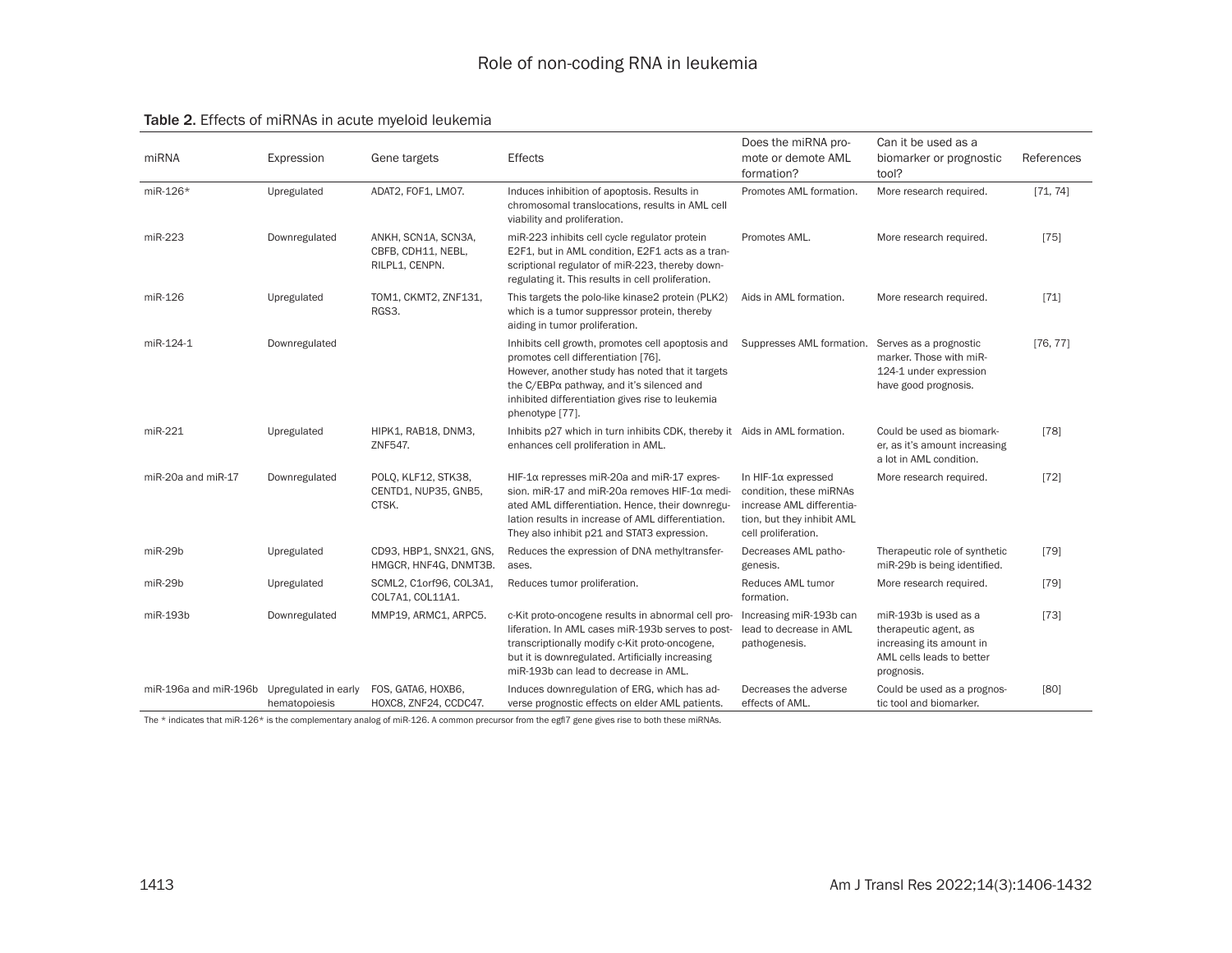| Table 2. Effects of miRNAs in acute myeloid leukemia |  |
|------------------------------------------------------|--|
|------------------------------------------------------|--|

| miRNA                                      | Expression    | Gene targets                                                | <b>Effects</b>                                                                                                                                                                                                                                                   | Does the miRNA pro-<br>mote or demote AML<br>formation?                                                                                  | Can it be used as a<br>biomarker or prognostic<br>tool?                                                               | References |
|--------------------------------------------|---------------|-------------------------------------------------------------|------------------------------------------------------------------------------------------------------------------------------------------------------------------------------------------------------------------------------------------------------------------|------------------------------------------------------------------------------------------------------------------------------------------|-----------------------------------------------------------------------------------------------------------------------|------------|
| miR-126*                                   | Upregulated   | ADAT2, FOF1, LMO7.                                          | Induces inhibition of apoptosis. Results in<br>chromosomal translocations, results in AML cell<br>viability and proliferation.                                                                                                                                   | Promotes AML formation.                                                                                                                  | More research required.                                                                                               | [71, 74]   |
| miR-223                                    | Downregulated | ANKH, SCN1A, SCN3A,<br>CBFB, CDH11, NEBL,<br>RILPL1, CENPN. | miR-223 inhibits cell cycle regulator protein<br>E2F1, but in AML condition, E2F1 acts as a tran-<br>scriptional regulator of miR-223, thereby down-<br>regulating it. This results in cell proliferation.                                                       | Promotes AML.                                                                                                                            | More research required.                                                                                               | $[75]$     |
| miR-126                                    | Upregulated   | TOM1, CKMT2, ZNF131,<br>RGS3.                               | This targets the polo-like kinase2 protein (PLK2)<br>which is a tumor suppressor protein, thereby<br>aiding in tumor proliferation.                                                                                                                              | Aids in AML formation.                                                                                                                   | More research required.                                                                                               | $[71]$     |
| miR-124-1                                  | Downregulated |                                                             | Inhibits cell growth, promotes cell apoptosis and<br>promotes cell differentiation [76].<br>However, another study has noted that it targets<br>the C/EBPα pathway, and it's silenced and<br>inhibited differentiation gives rise to leukemia<br>phenotype [77]. | Suppresses AML formation.                                                                                                                | Serves as a prognostic<br>marker. Those with miR-<br>124-1 under expression<br>have good prognosis.                   | [76, 77]   |
| miR-221                                    | Upregulated   | HIPK1, RAB18, DNM3,<br>ZNF547.                              | Inhibits p27 which in turn inhibits CDK, thereby it Aids in AML formation.<br>enhances cell proliferation in AML.                                                                                                                                                |                                                                                                                                          | Could be used as biomark-<br>er, as it's amount increasing<br>a lot in AML condition.                                 | $[78]$     |
| miR-20a and miR-17                         | Downregulated | POLQ, KLF12, STK38,<br>CENTD1, NUP35, GNB5,<br>CTSK.        | $HIF-1\alpha$ represses miR-20a and miR-17 expres-<br>sion, miR-17 and miR-20a removes HIF-1α medi-<br>ated AML differentiation. Hence, their downregu-<br>lation results in increase of AML differentiation.<br>They also inhibit p21 and STAT3 expression.     | In HIF- $1\alpha$ expressed<br>condition, these miRNAs<br>increase AML differentia-<br>tion, but they inhibit AML<br>cell proliferation. | More research required.                                                                                               | $[72]$     |
| $miR-29b$                                  | Upregulated   | CD93, HBP1, SNX21, GNS,<br>HMGCR, HNF4G, DNMT3B.            | Reduces the expression of DNA methyltransfer-<br>ases.                                                                                                                                                                                                           | Decreases AML patho-<br>genesis.                                                                                                         | Therapeutic role of synthetic<br>miR-29b is being identified.                                                         | $[79]$     |
| miR-29b                                    | Upregulated   | SCML2, C1orf96, COL3A1,<br>COL7A1, COL11A1.                 | Reduces tumor proliferation.                                                                                                                                                                                                                                     | Reduces AML tumor<br>formation.                                                                                                          | More research required.                                                                                               | $[79]$     |
| miR-193b                                   | Downregulated | MMP19, ARMC1, ARPC5.                                        | c-Kit proto-oncogene results in abnormal cell pro-<br>liferation. In AML cases miR-193b serves to post-<br>transcriptionally modify c-Kit proto-oncogene,<br>but it is downregulated. Artificially increasing<br>miR-193b can lead to decrease in AML.           | Increasing miR-193b can<br>lead to decrease in AML<br>pathogenesis.                                                                      | miR-193b is used as a<br>therapeutic agent, as<br>increasing its amount in<br>AML cells leads to better<br>prognosis. | [73]       |
| miR-196a and miR-196b Upregulated in early | hematopoiesis | FOS, GATA6, HOXB6,<br>HOXC8, ZNF24, CCDC47.                 | Induces downregulation of ERG, which has ad-<br>verse prognostic effects on elder AML patients.                                                                                                                                                                  | Decreases the adverse<br>effects of AML.                                                                                                 | Could be used as a prognos-<br>tic tool and biomarker.                                                                | [80]       |

The \* indicates that miR-126\* is the complementary analog of miR-126. A common precursor from the egfl7 gene gives rise to both these miRNAs.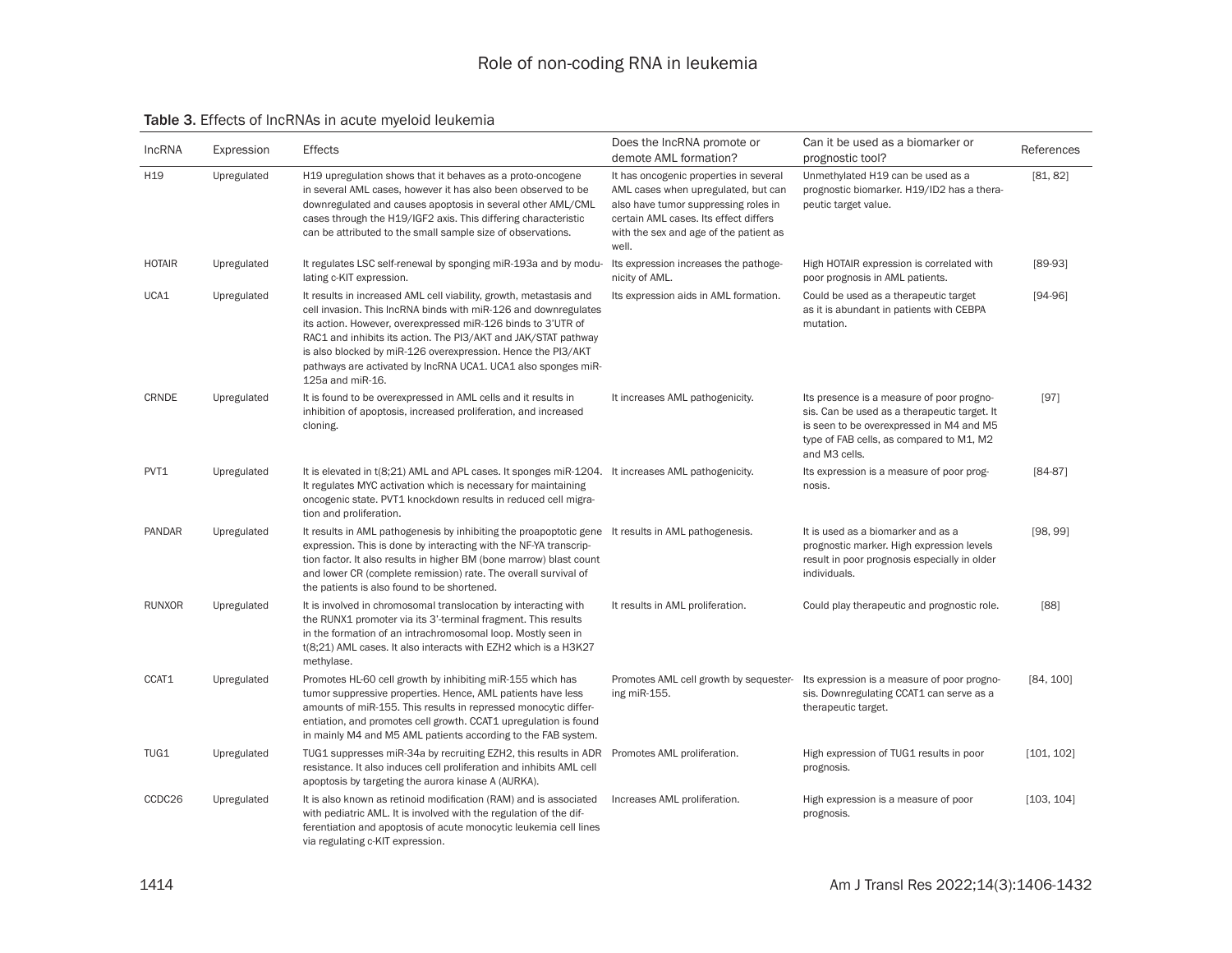#### Table 3. Effects of lncRNAs in acute myeloid leukemia

| IncRNA          | Expression  | <b>Effects</b>                                                                                                                                                                                                                                                                                                                                                                                                               | Does the IncRNA promote or<br>demote AML formation?                                                                                                                                                               | Can it be used as a biomarker or<br>prognostic tool?                                                                                                                                               | References |
|-----------------|-------------|------------------------------------------------------------------------------------------------------------------------------------------------------------------------------------------------------------------------------------------------------------------------------------------------------------------------------------------------------------------------------------------------------------------------------|-------------------------------------------------------------------------------------------------------------------------------------------------------------------------------------------------------------------|----------------------------------------------------------------------------------------------------------------------------------------------------------------------------------------------------|------------|
| H <sub>19</sub> | Upregulated | H <sub>19</sub> upregulation shows that it behaves as a proto-oncogene<br>in several AML cases, however it has also been observed to be<br>downregulated and causes apoptosis in several other AML/CML<br>cases through the H19/IGF2 axis. This differing characteristic<br>can be attributed to the small sample size of observations.                                                                                      | It has oncogenic properties in several<br>AML cases when upregulated, but can<br>also have tumor suppressing roles in<br>certain AML cases. Its effect differs<br>with the sex and age of the patient as<br>well. | Unmethylated H19 can be used as a<br>prognostic biomarker. H19/ID2 has a thera-<br>peutic target value.                                                                                            | [81, 82]   |
| <b>HOTAIR</b>   | Upregulated | It regulates LSC self-renewal by sponging miR-193a and by modu-<br>lating c-KIT expression.                                                                                                                                                                                                                                                                                                                                  | Its expression increases the pathoge-<br>nicity of AML.                                                                                                                                                           | High HOTAIR expression is correlated with<br>poor prognosis in AML patients.                                                                                                                       | $[89-93]$  |
| UCA1            | Upregulated | It results in increased AML cell viability, growth, metastasis and<br>cell invasion. This IncRNA binds with miR-126 and downregulates<br>its action. However, overexpressed miR-126 binds to 3'UTR of<br>RAC1 and inhibits its action. The PI3/AKT and JAK/STAT pathway<br>is also blocked by miR-126 overexpression. Hence the PI3/AKT<br>pathways are activated by IncRNA UCA1. UCA1 also sponges miR-<br>125a and miR-16. | Its expression aids in AML formation.                                                                                                                                                                             | Could be used as a therapeutic target<br>as it is abundant in patients with CEBPA<br>mutation.                                                                                                     | $[94-96]$  |
| CRNDE           | Upregulated | It is found to be overexpressed in AML cells and it results in<br>inhibition of apoptosis, increased proliferation, and increased<br>cloning.                                                                                                                                                                                                                                                                                | It increases AML pathogenicity.                                                                                                                                                                                   | Its presence is a measure of poor progno-<br>sis. Can be used as a therapeutic target. It<br>is seen to be overexpressed in M4 and M5<br>type of FAB cells, as compared to M1, M2<br>and M3 cells. | $[97]$     |
| PVT1            | Upregulated | It is elevated in t(8;21) AML and APL cases. It sponges miR-1204. It increases AML pathogenicity.<br>It regulates MYC activation which is necessary for maintaining<br>oncogenic state. PVT1 knockdown results in reduced cell migra-<br>tion and proliferation.                                                                                                                                                             |                                                                                                                                                                                                                   | Its expression is a measure of poor prog-<br>nosis.                                                                                                                                                | $[84-87]$  |
| PANDAR          | Upregulated | It results in AML pathogenesis by inhibiting the proapoptotic gene It results in AML pathogenesis.<br>expression. This is done by interacting with the NF-YA transcrip-<br>tion factor. It also results in higher BM (bone marrow) blast count<br>and lower CR (complete remission) rate. The overall survival of<br>the patients is also found to be shortened.                                                             |                                                                                                                                                                                                                   | It is used as a biomarker and as a<br>prognostic marker. High expression levels<br>result in poor prognosis especially in older<br>individuals.                                                    | [98, 99]   |
| <b>RUNXOR</b>   | Upregulated | It is involved in chromosomal translocation by interacting with<br>the RUNX1 promoter via its 3'-terminal fragment. This results<br>in the formation of an intrachromosomal loop. Mostly seen in<br>t(8;21) AML cases. It also interacts with EZH2 which is a H3K27<br>methylase.                                                                                                                                            | It results in AML proliferation.                                                                                                                                                                                  | Could play therapeutic and prognostic role.                                                                                                                                                        | [88]       |
| CCAT1           | Upregulated | Promotes HL-60 cell growth by inhibiting miR-155 which has<br>tumor suppressive properties. Hence, AML patients have less<br>amounts of miR-155. This results in repressed monocytic differ-<br>entiation, and promotes cell growth. CCAT1 upregulation is found<br>in mainly M4 and M5 AML patients according to the FAB system.                                                                                            | ing miR-155.                                                                                                                                                                                                      | Promotes AML cell growth by sequester- Its expression is a measure of poor progno-<br>sis. Downregulating CCAT1 can serve as a<br>therapeutic target.                                              | [84, 100]  |
| TUG1            | Upregulated | TUG1 suppresses miR-34a by recruiting EZH2, this results in ADR Promotes AML proliferation.<br>resistance. It also induces cell proliferation and inhibits AML cell<br>apoptosis by targeting the aurora kinase A (AURKA).                                                                                                                                                                                                   |                                                                                                                                                                                                                   | High expression of TUG1 results in poor<br>prognosis.                                                                                                                                              | [101, 102] |
| CCDC26          | Upregulated | It is also known as retinoid modification (RAM) and is associated<br>with pediatric AML. It is involved with the regulation of the dif-<br>ferentiation and apoptosis of acute monocytic leukemia cell lines<br>via regulating c-KIT expression.                                                                                                                                                                             | Increases AML proliferation.                                                                                                                                                                                      | High expression is a measure of poor<br>prognosis.                                                                                                                                                 | [103, 104] |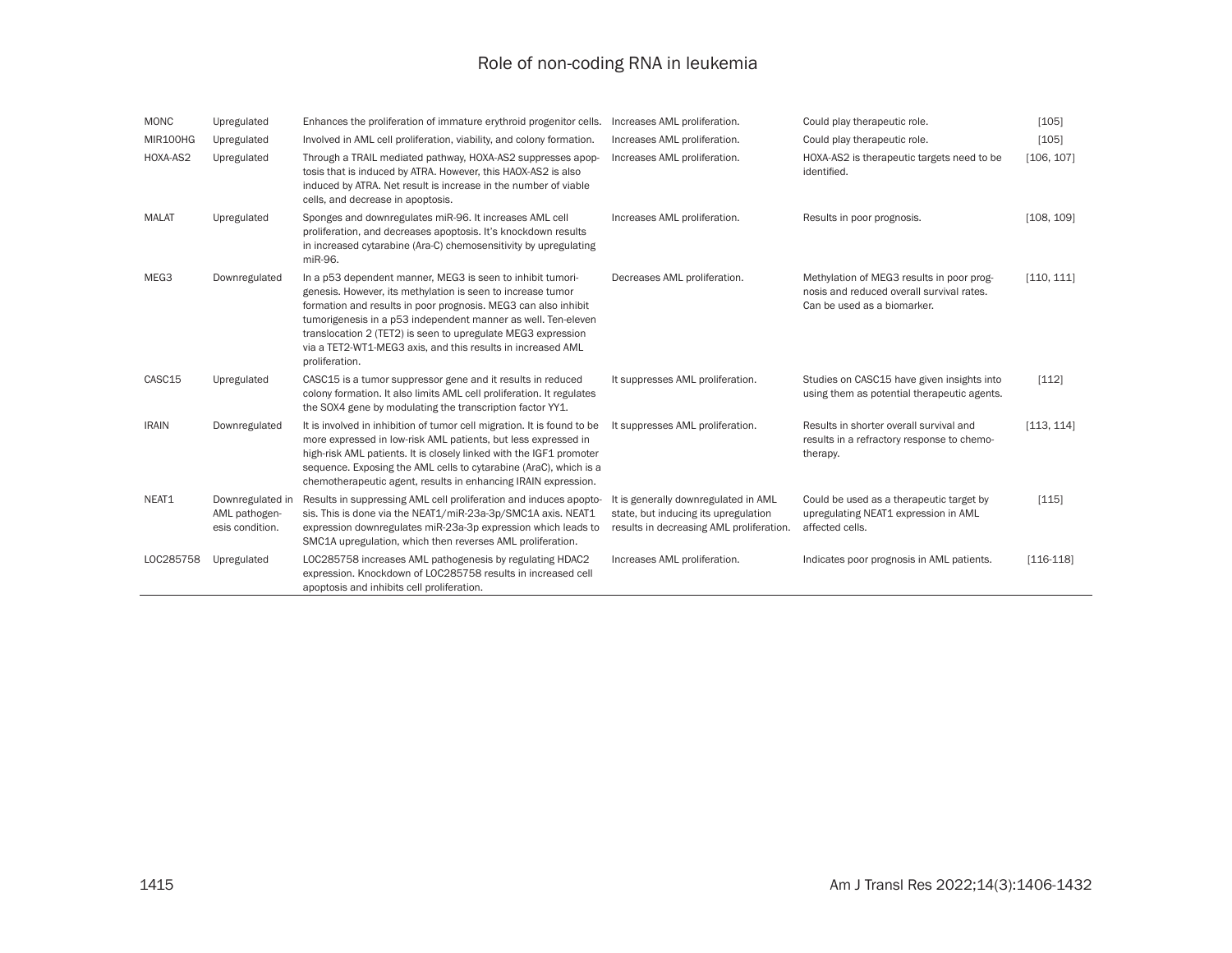| <b>MONC</b>  | Upregulated                                          | Enhances the proliferation of immature erythroid progenitor cells.                                                                                                                                                                                                                                                                                                                                            | Increases AML proliferation.                                                                                             | Could play therapeutic role.                                                                                          | [105]       |
|--------------|------------------------------------------------------|---------------------------------------------------------------------------------------------------------------------------------------------------------------------------------------------------------------------------------------------------------------------------------------------------------------------------------------------------------------------------------------------------------------|--------------------------------------------------------------------------------------------------------------------------|-----------------------------------------------------------------------------------------------------------------------|-------------|
| MIR100HG     | Upregulated                                          | Involved in AML cell proliferation, viability, and colony formation.                                                                                                                                                                                                                                                                                                                                          | Increases AML proliferation.                                                                                             | Could play therapeutic role.                                                                                          | [105]       |
| HOXA-AS2     | Upregulated                                          | Through a TRAIL mediated pathway, HOXA-AS2 suppresses apop-<br>tosis that is induced by ATRA. However, this HAOX-AS2 is also<br>induced by ATRA. Net result is increase in the number of viable<br>cells, and decrease in apoptosis.                                                                                                                                                                          | Increases AML proliferation.                                                                                             | HOXA-AS2 is therapeutic targets need to be<br>identified.                                                             | [106, 107]  |
| <b>MALAT</b> | Upregulated                                          | Sponges and downregulates miR-96. It increases AML cell<br>proliferation, and decreases apoptosis. It's knockdown results<br>in increased cytarabine (Ara-C) chemosensitivity by upregulating<br>miR-96.                                                                                                                                                                                                      | Increases AML proliferation.                                                                                             | Results in poor prognosis.                                                                                            | [108, 109]  |
| MEG3         | Downregulated                                        | In a p53 dependent manner, MEG3 is seen to inhibit tumori-<br>genesis. However, its methylation is seen to increase tumor<br>formation and results in poor prognosis. MEG3 can also inhibit<br>tumorigenesis in a p53 independent manner as well. Ten-eleven<br>translocation 2 (TET2) is seen to upregulate MEG3 expression<br>via a TET2-WT1-MEG3 axis, and this results in increased AML<br>proliferation. | Decreases AML proliferation.                                                                                             | Methylation of MEG3 results in poor prog-<br>nosis and reduced overall survival rates.<br>Can be used as a biomarker. | [110, 111]  |
| CASC15       | Upregulated                                          | CASC15 is a tumor suppressor gene and it results in reduced<br>colony formation. It also limits AML cell proliferation. It regulates<br>the SOX4 gene by modulating the transcription factor YY1.                                                                                                                                                                                                             | It suppresses AML proliferation.                                                                                         | Studies on CASC15 have given insights into<br>using them as potential therapeutic agents.                             | [112]       |
| <b>IRAIN</b> | Downregulated                                        | It is involved in inhibition of tumor cell migration. It is found to be<br>more expressed in low-risk AML patients, but less expressed in<br>high-risk AML patients. It is closely linked with the IGF1 promoter<br>sequence. Exposing the AML cells to cytarabine (AraC), which is a<br>chemotherapeutic agent, results in enhancing IRAIN expression.                                                       | It suppresses AML proliferation.                                                                                         | Results in shorter overall survival and<br>results in a refractory response to chemo-<br>therapy.                     | [113, 114]  |
| NEAT1        | Downregulated in<br>AML pathogen-<br>esis condition. | Results in suppressing AML cell proliferation and induces apopto-<br>sis. This is done via the NEAT1/miR-23a-3p/SMC1A axis. NEAT1<br>expression downregulates miR-23a-3p expression which leads to<br>SMC1A upregulation, which then reverses AML proliferation.                                                                                                                                              | It is generally downregulated in AML<br>state, but inducing its upregulation<br>results in decreasing AML proliferation. | Could be used as a therapeutic target by<br>upregulating NEAT1 expression in AML<br>affected cells.                   | [115]       |
| LOC285758    | Upregulated                                          | LOC285758 increases AML pathogenesis by regulating HDAC2<br>expression. Knockdown of LOC285758 results in increased cell<br>apoptosis and inhibits cell proliferation.                                                                                                                                                                                                                                        | Increases AML proliferation.                                                                                             | Indicates poor prognosis in AML patients.                                                                             | $[116-118]$ |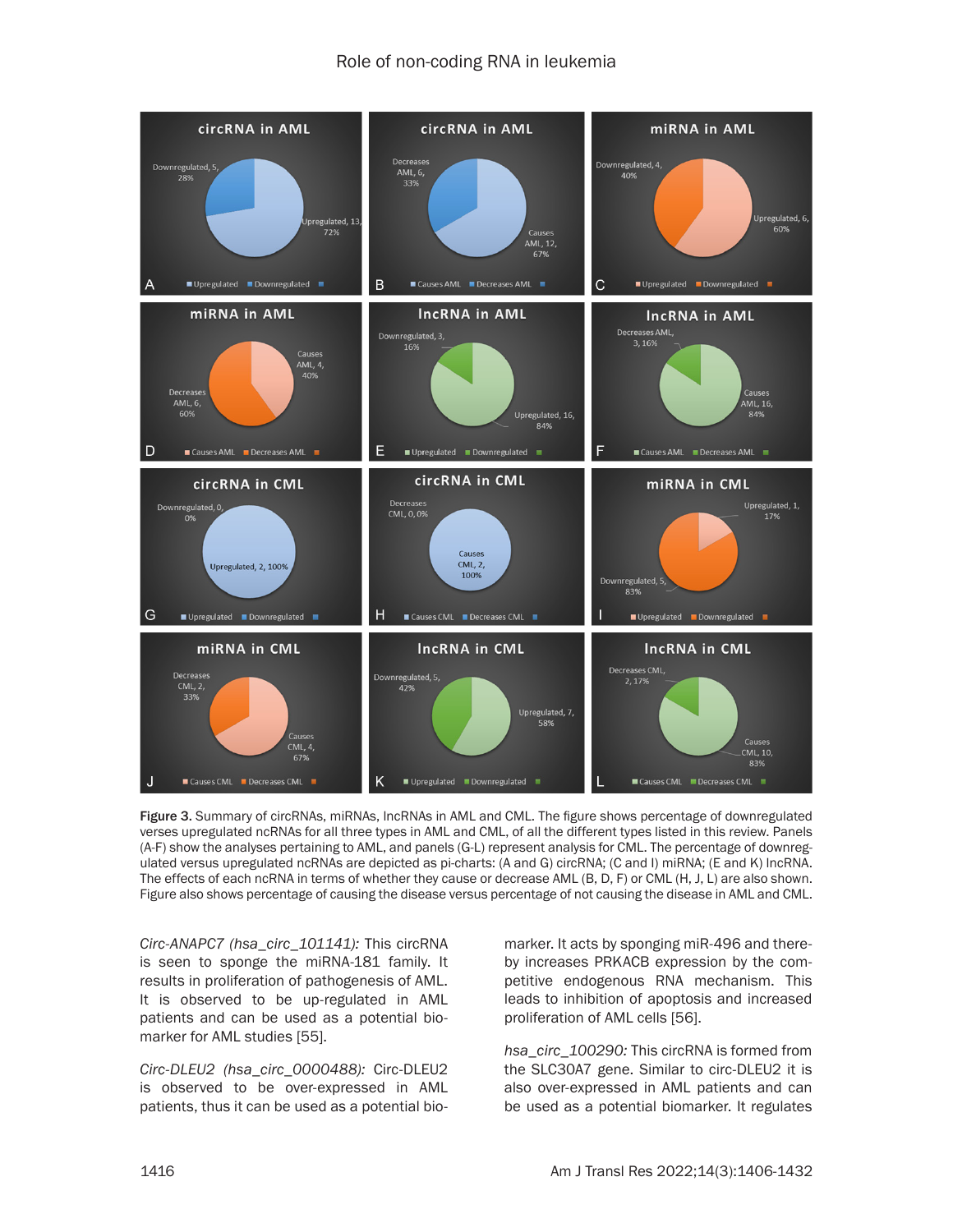

Figure 3. Summary of circRNAs, miRNAs, lncRNAs in AML and CML. The figure shows percentage of downregulated verses upregulated ncRNAs for all three types in AML and CML, of all the different types listed in this review. Panels (A-F) show the analyses pertaining to AML, and panels (G-L) represent analysis for CML. The percentage of downregulated versus upregulated ncRNAs are depicted as pi-charts: (A and G) circRNA; (C and I) miRNA; (E and K) lncRNA. The effects of each ncRNA in terms of whether they cause or decrease AML (B, D, F) or CML (H, J, L) are also shown. Figure also shows percentage of causing the disease versus percentage of not causing the disease in AML and CML.

*Circ-ANAPC7 (hsa\_circ\_101141):* This circRNA is seen to sponge the miRNA-181 family. It results in proliferation of pathogenesis of AML. It is observed to be up-regulated in AML patients and can be used as a potential biomarker for AML studies [55].

*Circ-DLEU2 (hsa\_circ\_0000488):* Circ-DLEU2 is observed to be over-expressed in AML patients, thus it can be used as a potential biomarker. It acts by sponging miR-496 and thereby increases PRKACB expression by the competitive endogenous RNA mechanism. This leads to inhibition of apoptosis and increased proliferation of AML cells [56].

*hsa\_circ\_100290:* This circRNA is formed from the SLC30A7 gene. Similar to circ-DLEU2 it is also over-expressed in AML patients and can be used as a potential biomarker. It regulates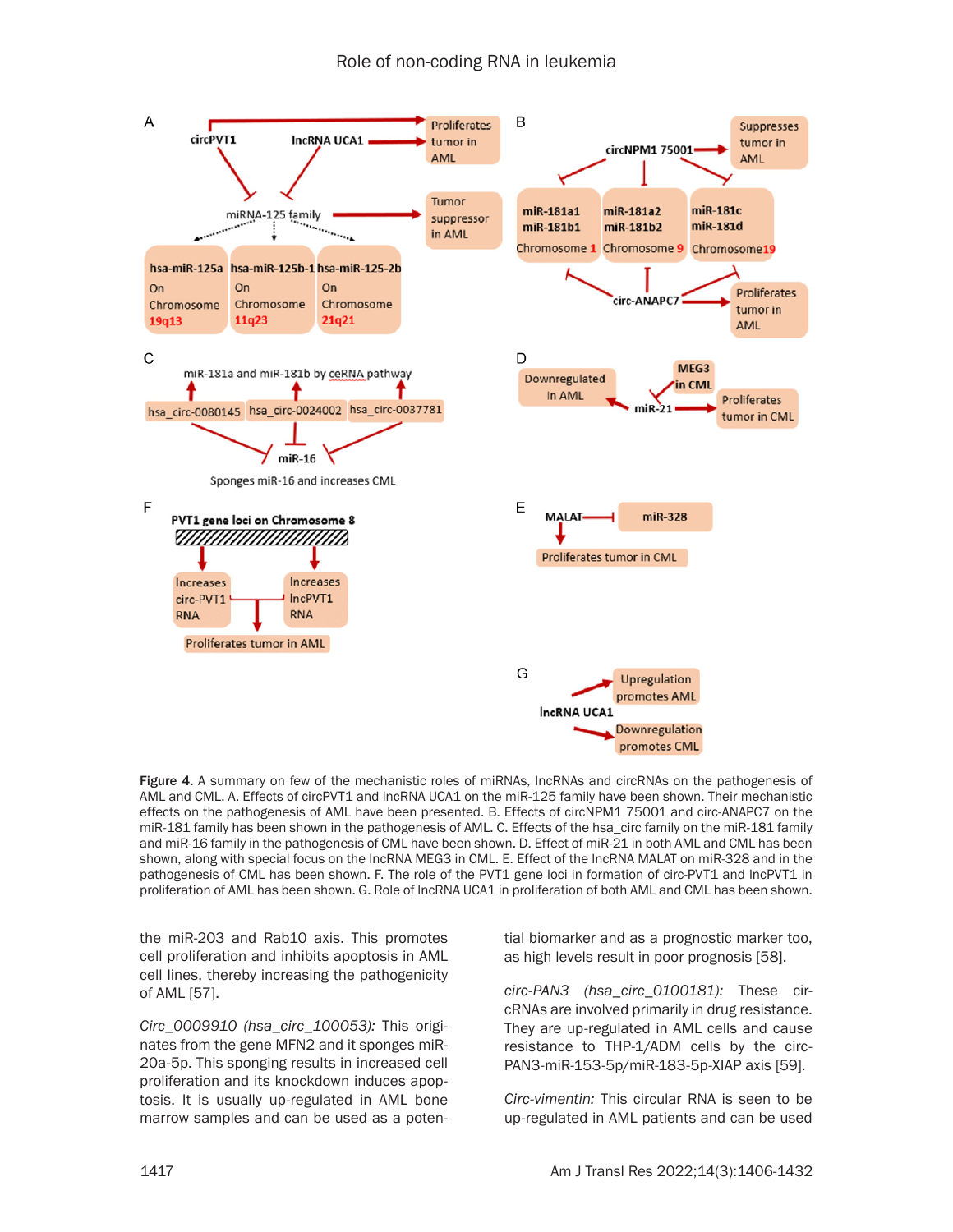

Figure 4. A summary on few of the mechanistic roles of miRNAs, lncRNAs and circRNAs on the pathogenesis of AML and CML. A. Effects of circPVT1 and lncRNA UCA1 on the miR-125 family have been shown. Their mechanistic effects on the pathogenesis of AML have been presented. B. Effects of circNPM1 75001 and circ-ANAPC7 on the miR-181 family has been shown in the pathogenesis of AML. C. Effects of the hsa\_circ family on the miR-181 family and miR-16 family in the pathogenesis of CML have been shown. D. Effect of miR-21 in both AML and CML has been shown, along with special focus on the lncRNA MEG3 in CML. E. Effect of the lncRNA MALAT on miR-328 and in the pathogenesis of CML has been shown. F. The role of the PVT1 gene loci in formation of circ-PVT1 and lncPVT1 in proliferation of AML has been shown. G. Role of lncRNA UCA1 in proliferation of both AML and CML has been shown.

the miR-203 and Rab10 axis. This promotes cell proliferation and inhibits apoptosis in AML cell lines, thereby increasing the pathogenicity of AML [57].

*Circ\_0009910 (hsa\_circ\_100053):* This originates from the gene MFN2 and it sponges miR-20a-5p. This sponging results in increased cell proliferation and its knockdown induces apoptosis. It is usually up-regulated in AML bone marrow samples and can be used as a potential biomarker and as a prognostic marker too, as high levels result in poor prognosis [58].

*circ-PAN3 (hsa\_circ\_0100181):* These circRNAs are involved primarily in drug resistance. They are up-regulated in AML cells and cause resistance to THP-1/ADM cells by the circ-PAN3-miR-153-5p/miR-183-5p-XIAP axis [59].

*Circ-vimentin:* This circular RNA is seen to be up-regulated in AML patients and can be used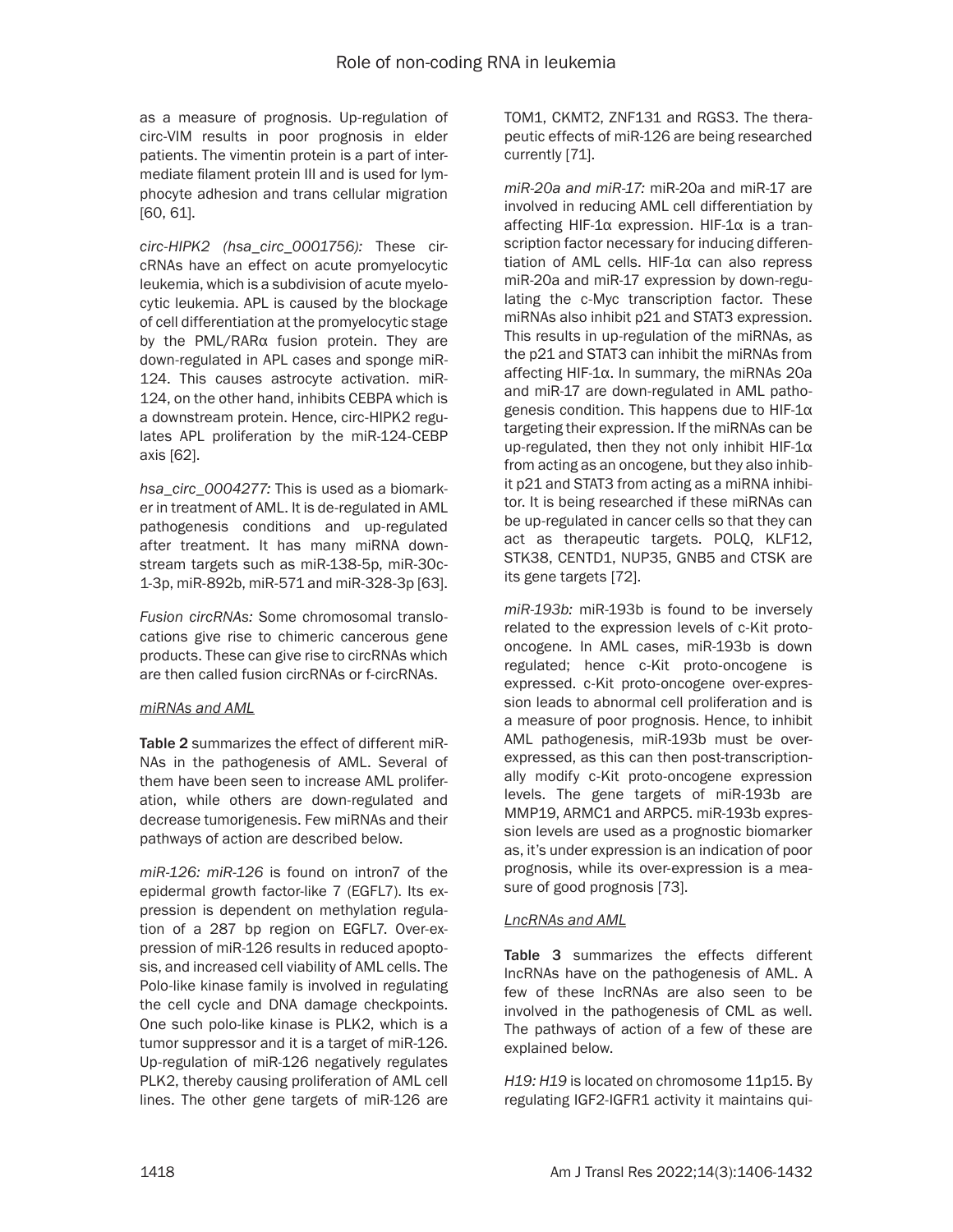as a measure of prognosis. Up-regulation of circ-VIM results in poor prognosis in elder patients. The vimentin protein is a part of intermediate filament protein III and is used for lymphocyte adhesion and trans cellular migration [60, 61].

*circ-HIPK2 (hsa\_circ\_0001756):* These circRNAs have an effect on acute promyelocytic leukemia, which is a subdivision of acute myelocytic leukemia. APL is caused by the blockage of cell differentiation at the promyelocytic stage by the PML/RARα fusion protein. They are down-regulated in APL cases and sponge miR-124. This causes astrocyte activation. miR-124, on the other hand, inhibits CEBPA which is a downstream protein. Hence, circ-HIPK2 regulates APL proliferation by the miR-124-CEBP axis [62].

*hsa\_circ\_0004277:* This is used as a biomarker in treatment of AML. It is de-regulated in AML pathogenesis conditions and up-regulated after treatment. It has many miRNA downstream targets such as miR-138-5p, miR-30c-1-3p, miR-892b, miR-571 and miR-328-3p [63].

*Fusion circRNAs:* Some chromosomal translocations give rise to chimeric cancerous gene products. These can give rise to circRNAs which are then called fusion circRNAs or f-circRNAs.

#### *miRNAs and AML*

Table 2 summarizes the effect of different miR-NAs in the pathogenesis of AML. Several of them have been seen to increase AML proliferation, while others are down-regulated and decrease tumorigenesis. Few miRNAs and their pathways of action are described below.

*miR-126: miR-126* is found on intron7 of the epidermal growth factor-like 7 (EGFL7). Its expression is dependent on methylation regulation of a 287 bp region on EGFL7. Over-expression of miR-126 results in reduced apoptosis, and increased cell viability of AML cells. The Polo-like kinase family is involved in regulating the cell cycle and DNA damage checkpoints. One such polo-like kinase is PLK2, which is a tumor suppressor and it is a target of miR-126. Up-regulation of miR-126 negatively regulates PLK2, thereby causing proliferation of AML cell lines. The other gene targets of miR-126 are

TOM1, CKMT2, ZNF131 and RGS3. The therapeutic effects of miR-126 are being researched currently [71].

*miR-20a and miR-17:* miR-20a and miR-17 are involved in reducing AML cell differentiation by affecting HIF-1α expression. HIF-1α is a transcription factor necessary for inducing differentiation of AML cells. HIF-1α can also repress miR-20a and miR-17 expression by down-regulating the c-Myc transcription factor. These miRNAs also inhibit p21 and STAT3 expression. This results in up-regulation of the miRNAs, as the p21 and STAT3 can inhibit the miRNAs from affecting HIF-1α. In summary, the miRNAs 20a and miR-17 are down-regulated in AML pathogenesis condition. This happens due to HIF-1α targeting their expression. If the miRNAs can be up-regulated, then they not only inhibit HIF-1α from acting as an oncogene, but they also inhibit p21 and STAT3 from acting as a miRNA inhibitor. It is being researched if these miRNAs can be up-regulated in cancer cells so that they can act as therapeutic targets. POLQ, KLF12, STK38, CENTD1, NUP35, GNB5 and CTSK are its gene targets [72].

*miR-193b:* miR-193b is found to be inversely related to the expression levels of c-Kit protooncogene. In AML cases, miR-193b is down regulated; hence c-Kit proto-oncogene is expressed. c-Kit proto-oncogene over-expression leads to abnormal cell proliferation and is a measure of poor prognosis. Hence, to inhibit AML pathogenesis, miR-193b must be overexpressed, as this can then post-transcriptionally modify c-Kit proto-oncogene expression levels. The gene targets of miR-193b are MMP19, ARMC1 and ARPC5. miR-193b expression levels are used as a prognostic biomarker as, it's under expression is an indication of poor prognosis, while its over-expression is a measure of good prognosis [73].

#### *LncRNAs and AML*

Table 3 summarizes the effects different lncRNAs have on the pathogenesis of AML. A few of these lncRNAs are also seen to be involved in the pathogenesis of CML as well. The pathways of action of a few of these are explained below.

*H19: H19* is located on chromosome 11p15. By regulating IGF2-IGFR1 activity it maintains qui-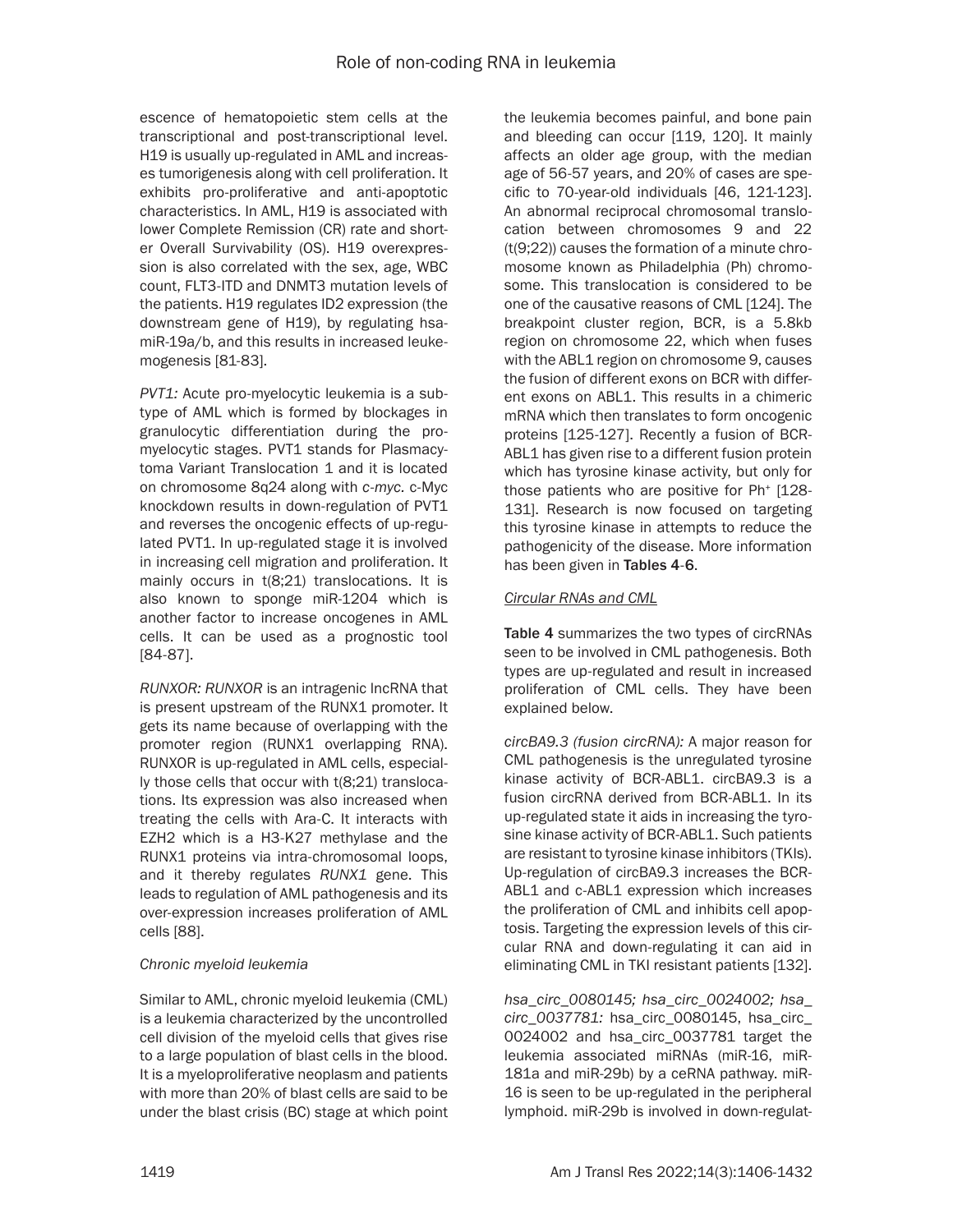escence of hematopoietic stem cells at the transcriptional and post-transcriptional level. H19 is usually up-regulated in AML and increases tumorigenesis along with cell proliferation. It exhibits pro-proliferative and anti-apoptotic characteristics. In AML, H19 is associated with lower Complete Remission (CR) rate and shorter Overall Survivability (OS). H19 overexpression is also correlated with the sex, age, WBC count, FLT3-ITD and DNMT3 mutation levels of the patients. H19 regulates ID2 expression (the downstream gene of H19), by regulating hsamiR-19a/b, and this results in increased leukemogenesis [81-83].

*PVT1:* Acute pro-myelocytic leukemia is a subtype of AML which is formed by blockages in granulocytic differentiation during the promyelocytic stages. PVT1 stands for Plasmacytoma Variant Translocation 1 and it is located on chromosome 8q24 along with *c-myc.* c-Myc knockdown results in down-regulation of PVT1 and reverses the oncogenic effects of up-regulated PVT1. In up-regulated stage it is involved in increasing cell migration and proliferation. It mainly occurs in t(8;21) translocations. It is also known to sponge miR-1204 which is another factor to increase oncogenes in AML cells. It can be used as a prognostic tool [84-87].

*RUNXOR: RUNXOR* is an intragenic lncRNA that is present upstream of the RUNX1 promoter. It gets its name because of overlapping with the promoter region (RUNX1 overlapping RNA). RUNXOR is up-regulated in AML cells, especially those cells that occur with t(8;21) translocations. Its expression was also increased when treating the cells with Ara-C. It interacts with EZH2 which is a H3-K27 methylase and the RUNX1 proteins via intra-chromosomal loops, and it thereby regulates *RUNX1* gene. This leads to regulation of AML pathogenesis and its over-expression increases proliferation of AML cells [88].

#### *Chronic myeloid leukemia*

Similar to AML, chronic myeloid leukemia (CML) is a leukemia characterized by the uncontrolled cell division of the myeloid cells that gives rise to a large population of blast cells in the blood. It is a myeloproliferative neoplasm and patients with more than 20% of blast cells are said to be under the blast crisis (BC) stage at which point the leukemia becomes painful, and bone pain and bleeding can occur [119, 120]. It mainly affects an older age group, with the median age of 56-57 years, and 20% of cases are specific to 70-year-old individuals [46, 121-123]. An abnormal reciprocal chromosomal translocation between chromosomes 9 and 22 (t(9;22)) causes the formation of a minute chromosome known as Philadelphia (Ph) chromosome. This translocation is considered to be one of the causative reasons of CML [124]. The breakpoint cluster region, BCR, is a 5.8kb region on chromosome 22, which when fuses with the ABL1 region on chromosome 9, causes the fusion of different exons on BCR with different exons on ABL1. This results in a chimeric mRNA which then translates to form oncogenic proteins [125-127]. Recently a fusion of BCR-ABL1 has given rise to a different fusion protein which has tyrosine kinase activity, but only for those patients who are positive for Ph<sup>+</sup> [128-131]. Research is now focused on targeting this tyrosine kinase in attempts to reduce the pathogenicity of the disease. More information has been given in Tables 4-6.

#### *Circular RNAs and CML*

Table 4 summarizes the two types of circRNAs seen to be involved in CML pathogenesis. Both types are up-regulated and result in increased proliferation of CML cells. They have been explained below.

*circBA9.3 (fusion circRNA):* A major reason for CML pathogenesis is the unregulated tyrosine kinase activity of BCR-ABL1. circBA9.3 is a fusion circRNA derived from BCR-ABL1. In its up-regulated state it aids in increasing the tyrosine kinase activity of BCR-ABL1. Such patients are resistant to tyrosine kinase inhibitors (TKIs). Up-regulation of circBA9.3 increases the BCR-ABL1 and c-ABL1 expression which increases the proliferation of CML and inhibits cell apoptosis. Targeting the expression levels of this circular RNA and down-regulating it can aid in eliminating CML in TKI resistant patients [132].

*hsa\_circ\_0080145; hsa\_circ\_0024002; hsa\_ circ\_0037781:* hsa\_circ\_0080145, hsa\_circ\_ 0024002 and hsa\_circ\_0037781 target the leukemia associated miRNAs (miR-16, miR-181a and miR-29b) by a ceRNA pathway. miR-16 is seen to be up-regulated in the peripheral lymphoid. miR-29b is involved in down-regulat-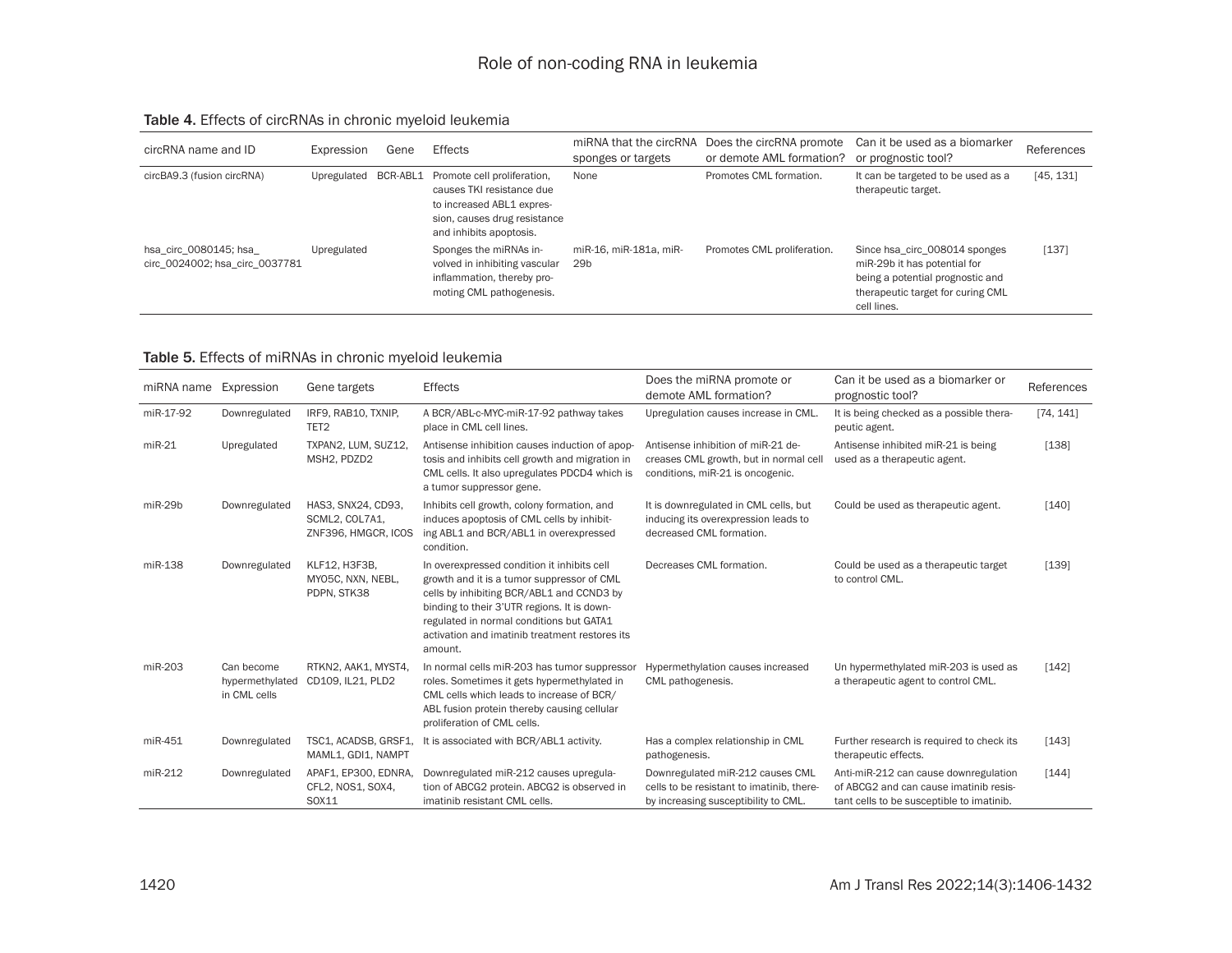#### Table 4. Effects of circRNAs in chronic myeloid leukemia

| circRNA name and ID                                     | Expression  | Gene     | <b>Effects</b>                                                                                                                                   | miRNA that the circRNA<br>sponges or targets | Does the circRNA promote<br>or demote AML formation? | Can it be used as a biomarker<br>or prognostic tool?                                                                                                  | References |
|---------------------------------------------------------|-------------|----------|--------------------------------------------------------------------------------------------------------------------------------------------------|----------------------------------------------|------------------------------------------------------|-------------------------------------------------------------------------------------------------------------------------------------------------------|------------|
| circBA9.3 (fusion circRNA)                              | Upregulated | BCR-ABL1 | Promote cell proliferation,<br>causes TKI resistance due<br>to increased ABL1 expres-<br>sion, causes drug resistance<br>and inhibits apoptosis. | None                                         | Promotes CML formation.                              | It can be targeted to be used as a<br>therapeutic target.                                                                                             | [45, 131]  |
| hsa circ 0080145; hsa<br>circ 0024002; hsa circ 0037781 | Upregulated |          | Sponges the miRNAs in-<br>volved in inhibiting vascular<br>inflammation, thereby pro-<br>moting CML pathogenesis.                                | miR-16, miR-181a, miR-<br>29 <sub>b</sub>    | Promotes CML proliferation.                          | Since hsa circ 008014 sponges<br>miR-29b it has potential for<br>being a potential prognostic and<br>therapeutic target for curing CML<br>cell lines. | [137]      |

#### Table 5. Effects of miRNAs in chronic myeloid leukemia

| miRNA name | Expression                                    | Gene targets                                                | <b>Effects</b>                                                                                                                                                                                                                                                                                 | Does the miRNA promote or<br>demote AML formation?                                                                    | Can it be used as a biomarker or<br>prognostic tool?                                                                         | References |
|------------|-----------------------------------------------|-------------------------------------------------------------|------------------------------------------------------------------------------------------------------------------------------------------------------------------------------------------------------------------------------------------------------------------------------------------------|-----------------------------------------------------------------------------------------------------------------------|------------------------------------------------------------------------------------------------------------------------------|------------|
| miR-17-92  | Downregulated                                 | IRF9, RAB10, TXNIP,<br>TET <sub>2</sub>                     | A BCR/ABL-c-MYC-miR-17-92 pathway takes<br>place in CML cell lines.                                                                                                                                                                                                                            | Upregulation causes increase in CML.                                                                                  | It is being checked as a possible thera-<br>peutic agent.                                                                    | [74, 141]  |
| $miR-21$   | Upregulated                                   | TXPAN2, LUM, SUZ12,<br>MSH2, PDZD2                          | Antisense inhibition causes induction of apop-<br>tosis and inhibits cell growth and migration in<br>CML cells. It also upregulates PDCD4 which is<br>a tumor suppressor gene.                                                                                                                 | Antisense inhibition of miR-21 de-<br>creases CML growth, but in normal cell<br>conditions, miR-21 is oncogenic.      | Antisense inhibited miR-21 is being<br>used as a therapeutic agent.                                                          | [138]      |
| $miR-29b$  | Downregulated                                 | HAS3, SNX24, CD93,<br>SCML2, COL7A1.<br>ZNF396, HMGCR, ICOS | Inhibits cell growth, colony formation, and<br>induces apoptosis of CML cells by inhibit-<br>ing ABL1 and BCR/ABL1 in overexpressed<br>condition.                                                                                                                                              | It is downregulated in CML cells, but<br>inducing its overexpression leads to<br>decreased CML formation.             | Could be used as therapeutic agent.                                                                                          | [140]      |
| miR-138    | Downregulated                                 | KLF12, H3F3B,<br>MYO5C, NXN, NEBL,<br>PDPN, STK38           | In overexpressed condition it inhibits cell<br>growth and it is a tumor suppressor of CML<br>cells by inhibiting BCR/ABL1 and CCND3 by<br>binding to their 3'UTR regions. It is down-<br>regulated in normal conditions but GATA1<br>activation and imatinib treatment restores its<br>amount. | Decreases CML formation.                                                                                              | Could be used as a therapeutic target<br>to control CML.                                                                     | [139]      |
| miR-203    | Can become<br>hypermethylated<br>in CML cells | RTKN2, AAK1, MYST4,<br>CD109, IL21, PLD2                    | In normal cells miR-203 has tumor suppressor<br>roles. Sometimes it gets hypermethylated in<br>CML cells which leads to increase of BCR/<br>ABL fusion protein thereby causing cellular<br>proliferation of CML cells.                                                                         | Hypermethylation causes increased<br>CML pathogenesis.                                                                | Un hypermethylated miR-203 is used as<br>a therapeutic agent to control CML.                                                 | [142]      |
| miR-451    | Downregulated                                 | TSC1, ACADSB, GRSF1,<br>MAML1, GDI1, NAMPT                  | It is associated with BCR/ABL1 activity.                                                                                                                                                                                                                                                       | Has a complex relationship in CML<br>pathogenesis.                                                                    | Further research is required to check its<br>therapeutic effects.                                                            | [143]      |
| miR-212    | Downregulated                                 | APAF1, EP300, EDNRA,<br>CFL2, NOS1, SOX4,<br>S0X11          | Downregulated miR-212 causes upregula-<br>tion of ABCG2 protein. ABCG2 is observed in<br>imatinib resistant CML cells.                                                                                                                                                                         | Downregulated miR-212 causes CML<br>cells to be resistant to imatinib, there-<br>by increasing susceptibility to CML. | Anti-miR-212 can cause downregulation<br>of ABCG2 and can cause imatinib resis-<br>tant cells to be susceptible to imatinib. | [144]      |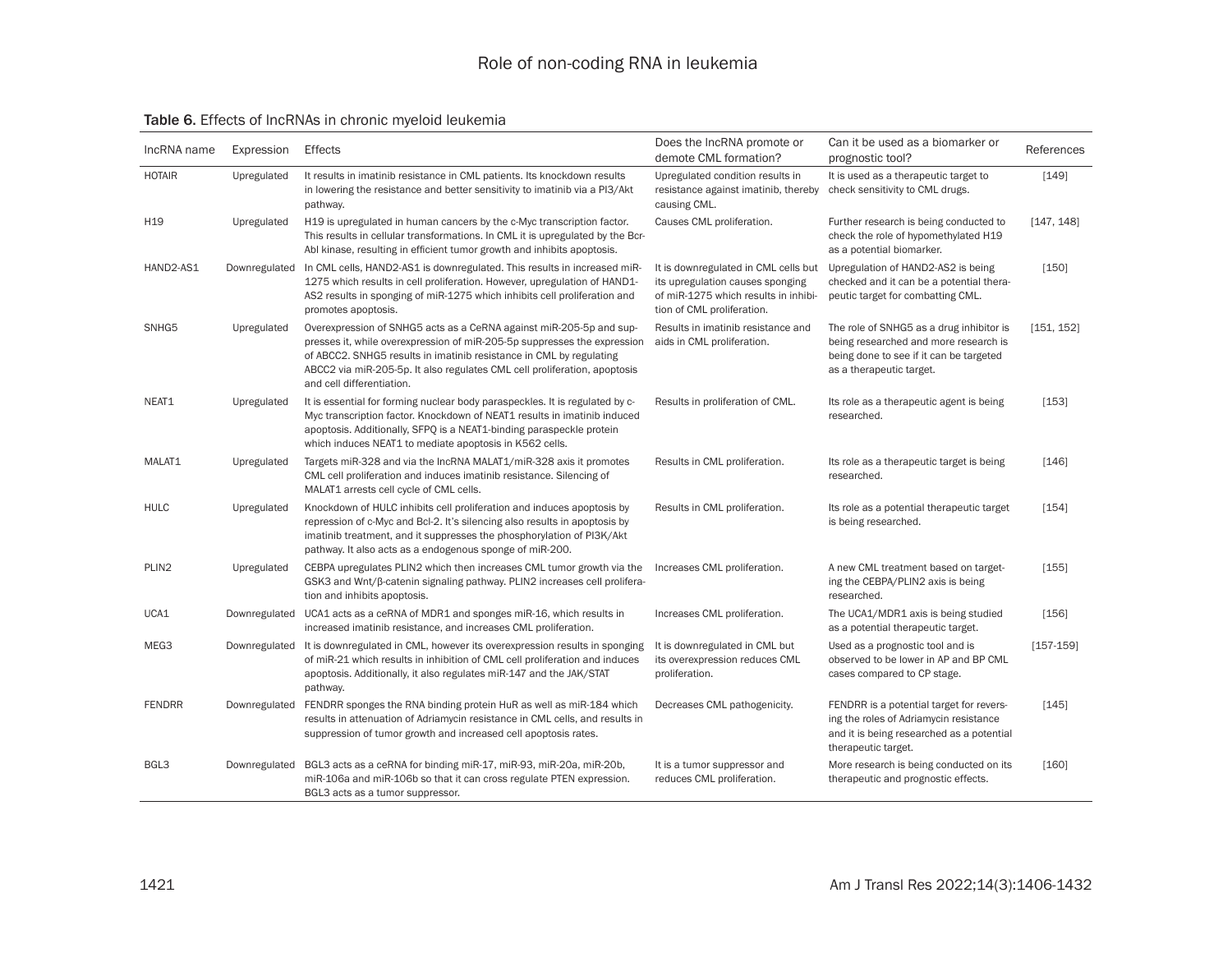#### Table 6. Effects of lncRNAs in chronic myeloid leukemia

| IncRNA name       | Expression    | Effects                                                                                                                                                                                                                                                                                                                          | Does the IncRNA promote or<br>demote CML formation?                                                                                            | Can it be used as a biomarker or<br>prognostic tool?                                                                                                     | References    |
|-------------------|---------------|----------------------------------------------------------------------------------------------------------------------------------------------------------------------------------------------------------------------------------------------------------------------------------------------------------------------------------|------------------------------------------------------------------------------------------------------------------------------------------------|----------------------------------------------------------------------------------------------------------------------------------------------------------|---------------|
| <b>HOTAIR</b>     | Upregulated   | It results in imatinib resistance in CML patients. Its knockdown results<br>in lowering the resistance and better sensitivity to imatinib via a PI3/Akt<br>pathway.                                                                                                                                                              | Upregulated condition results in<br>resistance against imatinib, thereby<br>causing CML.                                                       | It is used as a therapeutic target to<br>check sensitivity to CML drugs.                                                                                 | [149]         |
| H <sub>19</sub>   | Upregulated   | H19 is upregulated in human cancers by the c-Myc transcription factor.<br>This results in cellular transformations. In CML it is upregulated by the Bcr-<br>Abl kinase, resulting in efficient tumor growth and inhibits apoptosis.                                                                                              | Causes CML proliferation.                                                                                                                      | Further research is being conducted to<br>check the role of hypomethylated H19<br>as a potential biomarker.                                              | [147, 148]    |
| HAND2-AS1         | Downregulated | In CML cells, HAND2-AS1 is downregulated. This results in increased miR-<br>1275 which results in cell proliferation. However, upregulation of HAND1-<br>AS2 results in sponging of miR-1275 which inhibits cell proliferation and<br>promotes apoptosis.                                                                        | It is downregulated in CML cells but<br>its upregulation causes sponging<br>of miR-1275 which results in inhibi-<br>tion of CML proliferation. | Upregulation of HAND2-AS2 is being<br>checked and it can be a potential thera-<br>peutic target for combatting CML.                                      | [150]         |
| SNHG5             | Upregulated   | Overexpression of SNHG5 acts as a CeRNA against miR-205-5p and sup-<br>presses it, while overexpression of miR-205-5p suppresses the expression<br>of ABCC2. SNHG5 results in imatinib resistance in CML by regulating<br>ABCC2 via miR-205-5p. It also regulates CML cell proliferation, apoptosis<br>and cell differentiation. | Results in imatinib resistance and<br>aids in CML proliferation.                                                                               | The role of SNHG5 as a drug inhibitor is<br>being researched and more research is<br>being done to see if it can be targeted<br>as a therapeutic target. | [151, 152]    |
| NEAT1             | Upregulated   | It is essential for forming nuclear body paraspeckles. It is regulated by c-<br>Myc transcription factor. Knockdown of NEAT1 results in imatinib induced<br>apoptosis. Additionally, SFPQ is a NEAT1-binding paraspeckle protein<br>which induces NEAT1 to mediate apoptosis in K562 cells.                                      | Results in proliferation of CML.                                                                                                               | Its role as a therapeutic agent is being<br>researched.                                                                                                  | [153]         |
| MALAT1            | Upregulated   | Targets miR-328 and via the IncRNA MALAT1/miR-328 axis it promotes<br>CML cell proliferation and induces imatinib resistance. Silencing of<br>MALAT1 arrests cell cycle of CML cells.                                                                                                                                            | Results in CML proliferation.                                                                                                                  | Its role as a therapeutic target is being<br>researched.                                                                                                 | [146]         |
| <b>HULC</b>       | Upregulated   | Knockdown of HULC inhibits cell proliferation and induces apoptosis by<br>repression of c-Myc and Bcl-2. It's silencing also results in apoptosis by<br>imatinib treatment, and it suppresses the phosphorylation of PI3K/Akt<br>pathway. It also acts as a endogenous sponge of miR-200.                                        | Results in CML proliferation.                                                                                                                  | Its role as a potential therapeutic target<br>is being researched.                                                                                       | [154]         |
| PLIN <sub>2</sub> | Upregulated   | CEBPA upregulates PLIN2 which then increases CML tumor growth via the<br>GSK3 and Wnt/ß-catenin signaling pathway. PLIN2 increases cell prolifera-<br>tion and inhibits apoptosis.                                                                                                                                               | Increases CML proliferation.                                                                                                                   | A new CML treatment based on target-<br>ing the CEBPA/PLIN2 axis is being<br>researched.                                                                 | [155]         |
| UCA1              | Downregulated | UCA1 acts as a ceRNA of MDR1 and sponges miR-16, which results in<br>increased imatinib resistance, and increases CML proliferation.                                                                                                                                                                                             | Increases CML proliferation.                                                                                                                   | The UCA1/MDR1 axis is being studied<br>as a potential therapeutic target.                                                                                | [156]         |
| MEG3              | Downregulated | It is downregulated in CML, however its overexpression results in sponging<br>of miR-21 which results in inhibition of CML cell proliferation and induces<br>apoptosis. Additionally, it also regulates miR-147 and the JAK/STAT<br>pathway.                                                                                     | It is downregulated in CML but<br>its overexpression reduces CML<br>proliferation.                                                             | Used as a prognostic tool and is<br>observed to be lower in AP and BP CML<br>cases compared to CP stage.                                                 | $[157 - 159]$ |
| <b>FENDRR</b>     | Downregulated | FENDRR sponges the RNA binding protein HuR as well as miR-184 which<br>results in attenuation of Adriamycin resistance in CML cells, and results in<br>suppression of tumor growth and increased cell apoptosis rates.                                                                                                           | Decreases CML pathogenicity.                                                                                                                   | FENDRR is a potential target for revers-<br>ing the roles of Adriamycin resistance<br>and it is being researched as a potential<br>therapeutic target.   | [145]         |
| BGL3              | Downregulated | BGL3 acts as a ceRNA for binding miR-17, miR-93, miR-20a, miR-20b,<br>miR-106a and miR-106b so that it can cross regulate PTEN expression.<br>BGL3 acts as a tumor suppressor.                                                                                                                                                   | It is a tumor suppressor and<br>reduces CML proliferation.                                                                                     | More research is being conducted on its<br>therapeutic and prognostic effects.                                                                           | [160]         |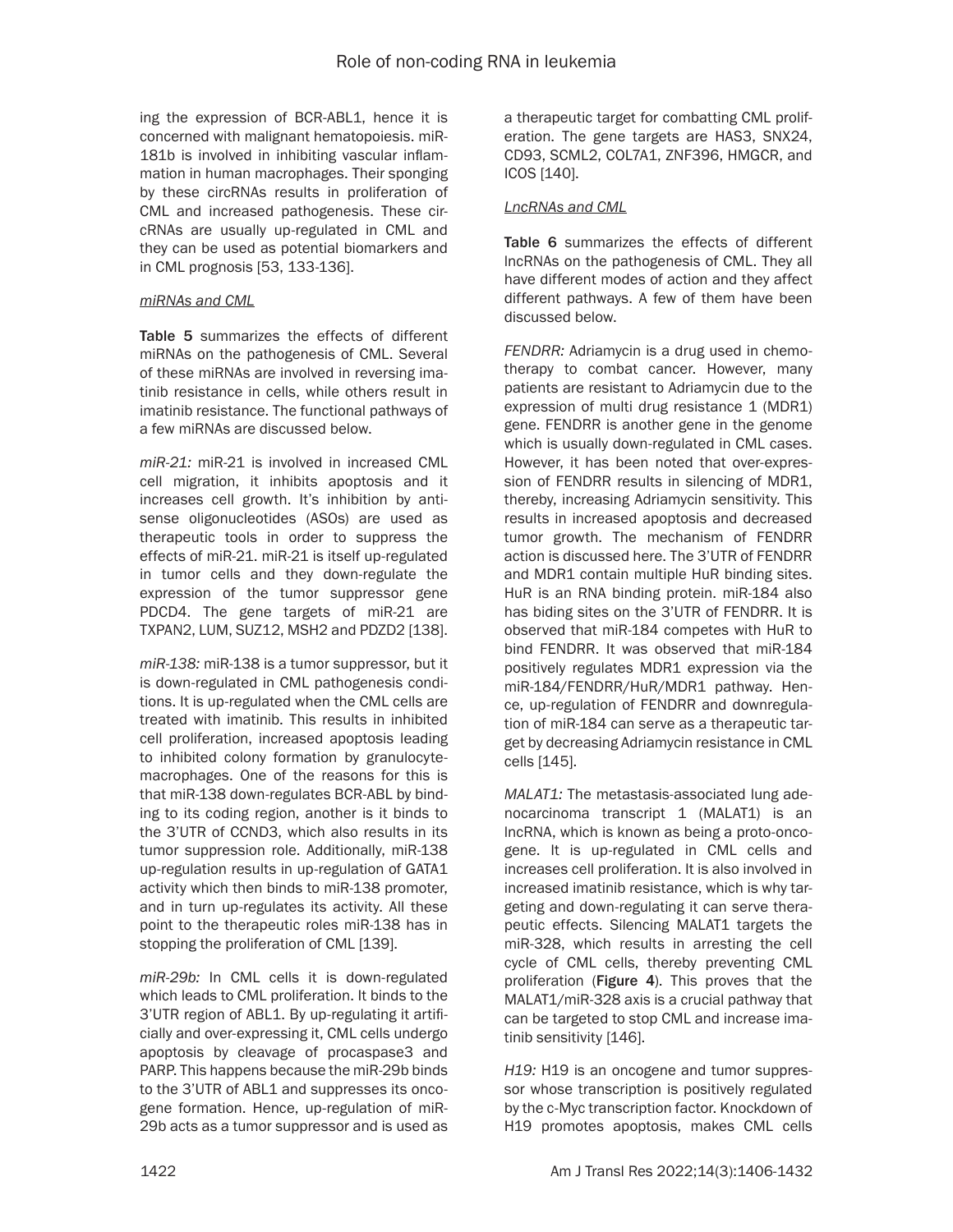ing the expression of BCR-ABL1, hence it is concerned with malignant hematopoiesis. miR-181b is involved in inhibiting vascular inflammation in human macrophages. Their sponging by these circRNAs results in proliferation of CML and increased pathogenesis. These circRNAs are usually up-regulated in CML and they can be used as potential biomarkers and in CML prognosis [53, 133-136].

#### *miRNAs and CML*

Table 5 summarizes the effects of different miRNAs on the pathogenesis of CML. Several of these miRNAs are involved in reversing imatinib resistance in cells, while others result in imatinib resistance. The functional pathways of a few miRNAs are discussed below.

*miR-21:* miR-21 is involved in increased CML cell migration, it inhibits apoptosis and it increases cell growth. It's inhibition by antisense oligonucleotides (ASOs) are used as therapeutic tools in order to suppress the effects of miR-21. miR-21 is itself up-regulated in tumor cells and they down-regulate the expression of the tumor suppressor gene PDCD4. The gene targets of miR-21 are TXPAN2, LUM, SUZ12, MSH2 and PDZD2 [138].

*miR-138:* miR-138 is a tumor suppressor, but it is down-regulated in CML pathogenesis conditions. It is up-regulated when the CML cells are treated with imatinib. This results in inhibited cell proliferation, increased apoptosis leading to inhibited colony formation by granulocytemacrophages. One of the reasons for this is that miR-138 down-regulates BCR-ABL by binding to its coding region, another is it binds to the 3'UTR of CCND3, which also results in its tumor suppression role. Additionally, miR-138 up-regulation results in up-regulation of GATA1 activity which then binds to miR-138 promoter, and in turn up-regulates its activity. All these point to the therapeutic roles miR-138 has in stopping the proliferation of CML [139].

*miR-29b:* In CML cells it is down-regulated which leads to CML proliferation. It binds to the 3'UTR region of ABL1. By up-regulating it artificially and over-expressing it, CML cells undergo apoptosis by cleavage of procaspase3 and PARP. This happens because the miR-29b binds to the 3'UTR of ABL1 and suppresses its oncogene formation. Hence, up-regulation of miR-29b acts as a tumor suppressor and is used as a therapeutic target for combatting CML proliferation. The gene targets are HAS3, SNX24, CD93, SCML2, COL7A1, ZNF396, HMGCR, and ICOS [140].

#### *LncRNAs and CML*

Table 6 summarizes the effects of different lncRNAs on the pathogenesis of CML. They all have different modes of action and they affect different pathways. A few of them have been discussed below.

*FENDRR:* Adriamycin is a drug used in chemotherapy to combat cancer. However, many patients are resistant to Adriamycin due to the expression of multi drug resistance 1 (MDR1) gene. FENDRR is another gene in the genome which is usually down-regulated in CML cases. However, it has been noted that over-expression of FENDRR results in silencing of MDR1, thereby, increasing Adriamycin sensitivity. This results in increased apoptosis and decreased tumor growth. The mechanism of FENDRR action is discussed here. The 3'UTR of FENDRR and MDR1 contain multiple HuR binding sites. HuR is an RNA binding protein. miR-184 also has biding sites on the 3'UTR of FENDRR. It is observed that miR-184 competes with HuR to bind FENDRR. It was observed that miR-184 positively regulates MDR1 expression via the miR-184/FENDRR/HuR/MDR1 pathway. Hence, up-regulation of FENDRR and downregulation of miR-184 can serve as a therapeutic target by decreasing Adriamycin resistance in CML cells [145].

*MALAT1:* The metastasis-associated lung adenocarcinoma transcript 1 (MALAT1) is an lncRNA, which is known as being a proto-oncogene. It is up-regulated in CML cells and increases cell proliferation. It is also involved in increased imatinib resistance, which is why targeting and down-regulating it can serve therapeutic effects. Silencing MALAT1 targets the miR-328, which results in arresting the cell cycle of CML cells, thereby preventing CML proliferation (Figure 4). This proves that the MALAT1/miR-328 axis is a crucial pathway that can be targeted to stop CML and increase imatinib sensitivity [146].

*H19:* H19 is an oncogene and tumor suppressor whose transcription is positively regulated by the c-Myc transcription factor. Knockdown of H19 promotes apoptosis, makes CML cells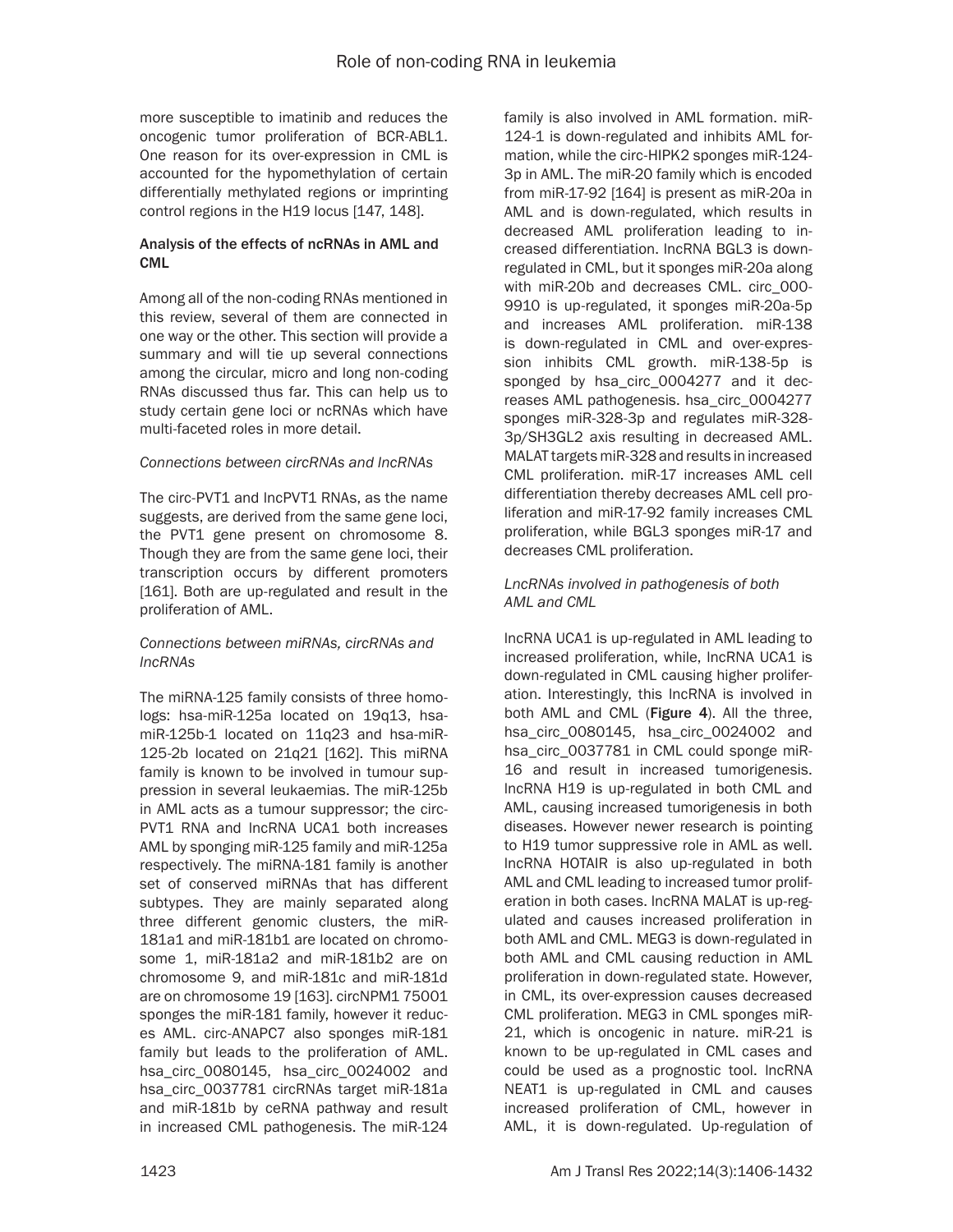more susceptible to imatinib and reduces the oncogenic tumor proliferation of BCR-ABL1. One reason for its over-expression in CML is accounted for the hypomethylation of certain differentially methylated regions or imprinting control regions in the H19 locus [147, 148].

#### Analysis of the effects of ncRNAs in AML and CML

Among all of the non-coding RNAs mentioned in this review, several of them are connected in one way or the other. This section will provide a summary and will tie up several connections among the circular, micro and long non-coding RNAs discussed thus far. This can help us to study certain gene loci or ncRNAs which have multi-faceted roles in more detail.

#### *Connections between circRNAs and lncRNAs*

The circ-PVT1 and IncPVT1 RNAs, as the name suggests, are derived from the same gene loci, the PVT1 gene present on chromosome 8. Though they are from the same gene loci, their transcription occurs by different promoters [161]. Both are up-regulated and result in the proliferation of AML.

#### *Connections between miRNAs, circRNAs and lncRNAs*

The miRNA-125 family consists of three homologs: hsa-miR-125a located on 19q13, hsamiR-125b-1 located on 11q23 and hsa-miR-125-2b located on 21q21 [162]. This miRNA family is known to be involved in tumour suppression in several leukaemias. The miR-125b in AML acts as a tumour suppressor; the circ-PVT1 RNA and lncRNA UCA1 both increases AML by sponging miR-125 family and miR-125a respectively. The miRNA-181 family is another set of conserved miRNAs that has different subtypes. They are mainly separated along three different genomic clusters, the miR-181a1 and miR-181b1 are located on chromosome 1, miR-181a2 and miR-181b2 are on chromosome 9, and miR-181c and miR-181d are on chromosome 19 [163]. circNPM1 75001 sponges the miR-181 family, however it reduces AML. circ-ANAPC7 also sponges miR-181 family but leads to the proliferation of AML. hsa\_circ\_0080145, hsa\_circ\_0024002 and hsa\_circ\_0037781 circRNAs target miR-181a and miR-181b by ceRNA pathway and result in increased CML pathogenesis. The miR-124

family is also involved in AML formation. miR-124-1 is down-regulated and inhibits AML formation, while the circ-HIPK2 sponges miR-124- 3p in AML. The miR-20 family which is encoded from miR-17-92 [164] is present as miR-20a in AML and is down-regulated, which results in decreased AML proliferation leading to increased differentiation. lncRNA BGL3 is downregulated in CML, but it sponges miR-20a along with miR-20b and decreases CML. circ\_000- 9910 is up-regulated, it sponges miR-20a-5p and increases AML proliferation. miR-138 is down-regulated in CML and over-expression inhibits CML growth. miR-138-5p is sponged by hsa\_circ\_0004277 and it decreases AML pathogenesis. hsa\_circ\_0004277 sponges miR-328-3p and regulates miR-328- 3p/SH3GL2 axis resulting in decreased AML. MALAT targets miR-328 and results in increased CML proliferation. miR-17 increases AML cell differentiation thereby decreases AML cell proliferation and miR-17-92 family increases CML proliferation, while BGL3 sponges miR-17 and decreases CML proliferation.

#### *LncRNAs involved in pathogenesis of both AML and CML*

lncRNA UCA1 is up-regulated in AML leading to increased proliferation, while, IncRNA UCA1 is down-regulated in CML causing higher proliferation. Interestingly, this lncRNA is involved in both AML and CML (Figure 4). All the three, hsa\_circ\_0080145, hsa\_circ\_0024002 and hsa\_circ\_0037781 in CML could sponge miR-16 and result in increased tumorigenesis. lncRNA H19 is up-regulated in both CML and AML, causing increased tumorigenesis in both diseases. However newer research is pointing to H19 tumor suppressive role in AML as well. lncRNA HOTAIR is also up-regulated in both AML and CML leading to increased tumor proliferation in both cases. lncRNA MALAT is up-regulated and causes increased proliferation in both AML and CML. MEG3 is down-regulated in both AML and CML causing reduction in AML proliferation in down-regulated state. However, in CML, its over-expression causes decreased CML proliferation. MEG3 in CML sponges miR-21, which is oncogenic in nature. miR-21 is known to be up-regulated in CML cases and could be used as a prognostic tool. lncRNA NEAT1 is up-regulated in CML and causes increased proliferation of CML, however in AML, it is down-regulated. Up-regulation of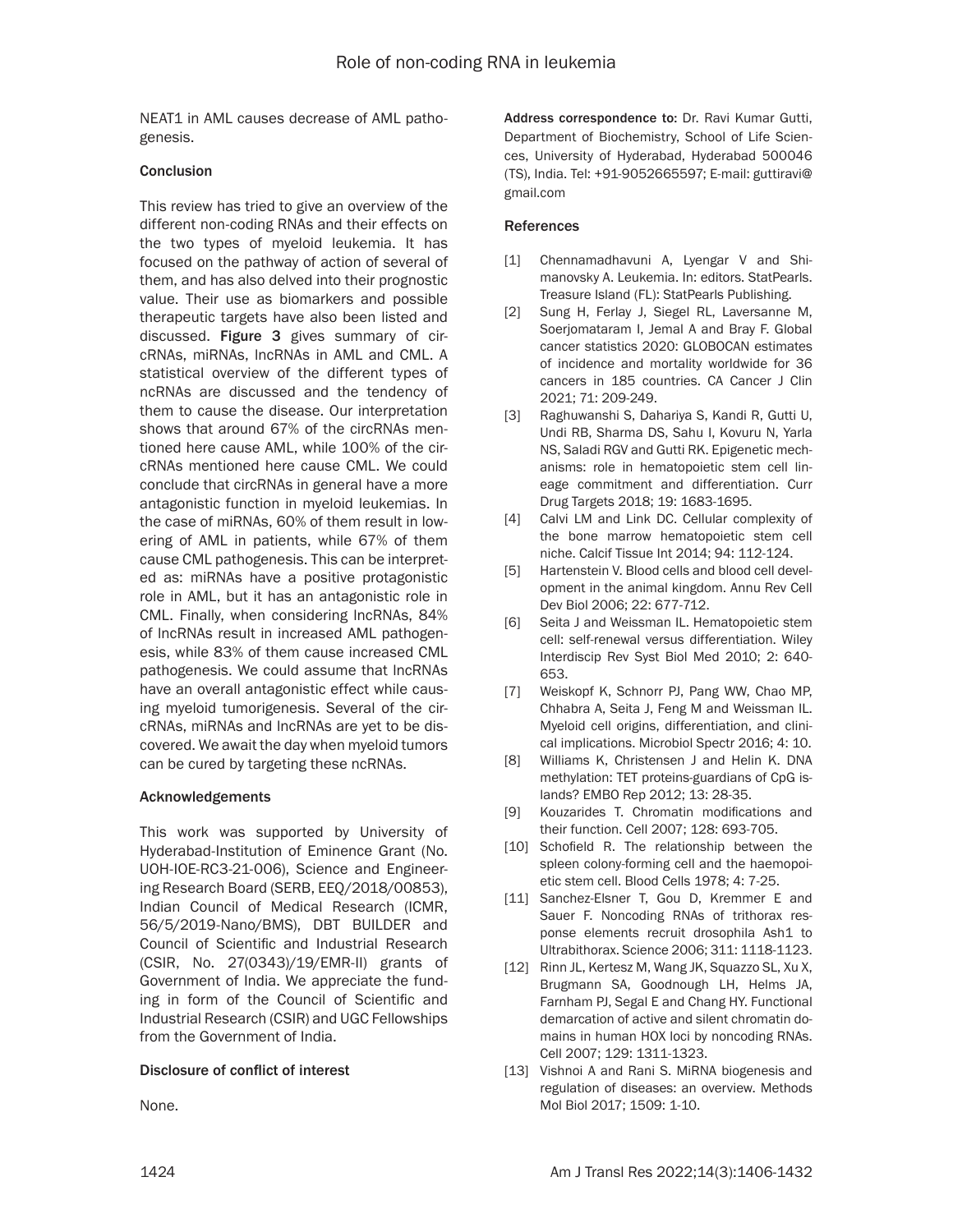NEAT1 in AML causes decrease of AML pathogenesis.

#### **Conclusion**

This review has tried to give an overview of the different non-coding RNAs and their effects on the two types of myeloid leukemia. It has focused on the pathway of action of several of them, and has also delved into their prognostic value. Their use as biomarkers and possible therapeutic targets have also been listed and discussed. Figure 3 gives summary of circRNAs, miRNAs, lncRNAs in AML and CML. A statistical overview of the different types of ncRNAs are discussed and the tendency of them to cause the disease. Our interpretation shows that around 67% of the circRNAs mentioned here cause AML, while 100% of the circRNAs mentioned here cause CML. We could conclude that circRNAs in general have a more antagonistic function in myeloid leukemias. In the case of miRNAs, 60% of them result in lowering of AML in patients, while 67% of them cause CML pathogenesis. This can be interpreted as: miRNAs have a positive protagonistic role in AML, but it has an antagonistic role in CML. Finally, when considering lncRNAs, 84% of lncRNAs result in increased AML pathogenesis, while 83% of them cause increased CML pathogenesis. We could assume that lncRNAs have an overall antagonistic effect while causing myeloid tumorigenesis. Several of the circRNAs, miRNAs and lncRNAs are yet to be discovered. We await the day when myeloid tumors can be cured by targeting these ncRNAs.

#### Acknowledgements

This work was supported by University of Hyderabad-Institution of Eminence Grant (No. UOH-IOE-RC3-21-006), Science and Engineering Research Board (SERB, EEQ/2018/00853), Indian Council of Medical Research (ICMR, 56/5/2019-Nano/BMS), DBT BUILDER and Council of Scientific and Industrial Research (CSIR, No. 27(0343)/19/EMR-II) grants of Government of India. We appreciate the funding in form of the Council of Scientific and Industrial Research (CSIR) and UGC Fellowships from the Government of India.

#### Disclosure of conflict of interest

None.

Address correspondence to: Dr. Ravi Kumar Gutti, Department of Biochemistry, School of Life Sciences, University of Hyderabad, Hyderabad 500046 (TS), India. Tel: +91-9052665597; E-mail: [guttiravi@](mailto:guttiravi@gmail.com) [gmail.com](mailto:guttiravi@gmail.com)

#### References

- [1] Chennamadhavuni A, Lyengar V and Shimanovsky A. Leukemia. In: editors. StatPearls. Treasure Island (FL): StatPearls Publishing.
- [2] Sung H, Ferlay J, Siegel RL, Laversanne M, Soerjomataram I, Jemal A and Bray F. Global cancer statistics 2020: GLOBOCAN estimates of incidence and mortality worldwide for 36 cancers in 185 countries. CA Cancer J Clin 2021; 71: 209-249.
- [3] Raghuwanshi S, Dahariya S, Kandi R, Gutti U, Undi RB, Sharma DS, Sahu I, Kovuru N, Yarla NS, Saladi RGV and Gutti RK. Epigenetic mechanisms: role in hematopoietic stem cell lineage commitment and differentiation. Curr Drug Targets 2018; 19: 1683-1695.
- [4] Calvi LM and Link DC. Cellular complexity of the bone marrow hematopoietic stem cell niche. Calcif Tissue Int 2014; 94: 112-124.
- [5] Hartenstein V. Blood cells and blood cell development in the animal kingdom. Annu Rev Cell Dev Biol 2006; 22: 677-712.
- [6] Seita J and Weissman IL. Hematopoietic stem cell: self-renewal versus differentiation. Wiley Interdiscip Rev Syst Biol Med 2010; 2: 640- 653.
- [7] Weiskopf K, Schnorr PJ, Pang WW, Chao MP, Chhabra A, Seita J, Feng M and Weissman IL. Myeloid cell origins, differentiation, and clinical implications. Microbiol Spectr 2016; 4: 10.
- [8] Williams K, Christensen J and Helin K. DNA methylation: TET proteins-guardians of CpG islands? EMBO Rep 2012; 13: 28-35.
- [9] Kouzarides T. Chromatin modifications and their function. Cell 2007; 128: 693-705.
- [10] Schofield R. The relationship between the spleen colony-forming cell and the haemopoietic stem cell. Blood Cells 1978; 4: 7-25.
- [11] Sanchez-Elsner T, Gou D, Kremmer E and Sauer F. Noncoding RNAs of trithorax response elements recruit drosophila Ash1 to Ultrabithorax. Science 2006; 311: 1118-1123.
- [12] Rinn JL, Kertesz M, Wang JK, Squazzo SL, Xu X, Brugmann SA, Goodnough LH, Helms JA, Farnham PJ, Segal E and Chang HY. Functional demarcation of active and silent chromatin domains in human HOX loci by noncoding RNAs. Cell 2007; 129: 1311-1323.
- [13] Vishnoi A and Rani S. MiRNA biogenesis and regulation of diseases: an overview. Methods Mol Biol 2017; 1509: 1-10.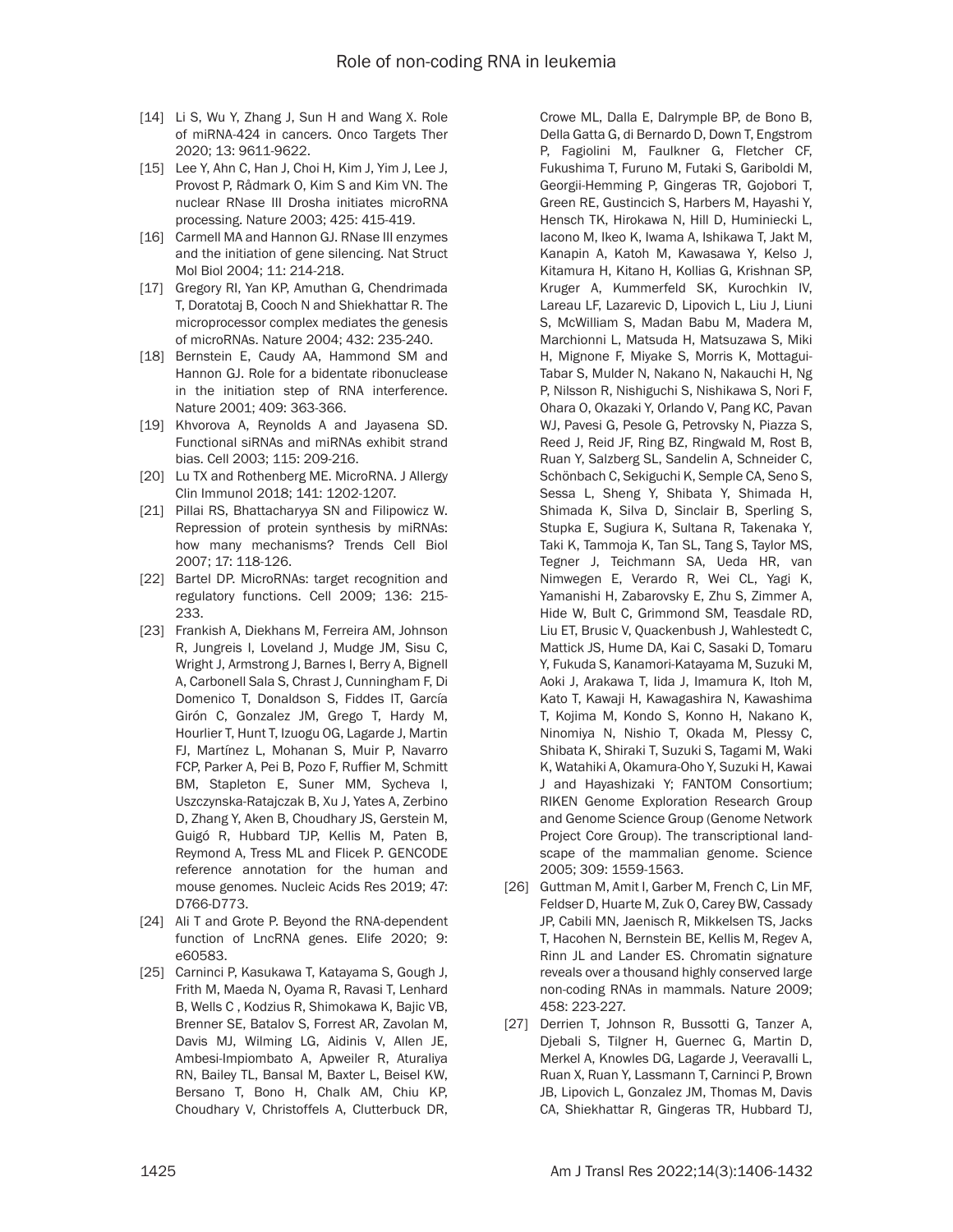- [14] Li S, Wu Y, Zhang J, Sun H and Wang X. Role of miRNA-424 in cancers. Onco Targets Ther 2020; 13: 9611-9622.
- [15] Lee Y, Ahn C, Han J, Choi H, Kim J, Yim J, Lee J, Provost P, Rådmark O, Kim S and Kim VN. The nuclear RNase III Drosha initiates microRNA processing. Nature 2003; 425: 415-419.
- [16] Carmell MA and Hannon GJ. RNase III enzymes and the initiation of gene silencing. Nat Struct Mol Biol 2004; 11: 214-218.
- [17] Gregory RI, Yan KP, Amuthan G, Chendrimada T, Doratotaj B, Cooch N and Shiekhattar R. The microprocessor complex mediates the genesis of microRNAs. Nature 2004; 432: 235-240.
- [18] Bernstein E, Caudy AA, Hammond SM and Hannon GJ. Role for a bidentate ribonuclease in the initiation step of RNA interference. Nature 2001; 409: 363-366.
- [19] Khvorova A, Reynolds A and Jayasena SD. Functional siRNAs and miRNAs exhibit strand bias. Cell 2003; 115: 209-216.
- [20] Lu TX and Rothenberg ME. MicroRNA. J Allergy Clin Immunol 2018; 141: 1202-1207.
- [21] Pillai RS, Bhattacharyya SN and Filipowicz W. Repression of protein synthesis by miRNAs: how many mechanisms? Trends Cell Biol 2007; 17: 118-126.
- [22] Bartel DP. MicroRNAs: target recognition and regulatory functions. Cell 2009; 136: 215- 233.
- [23] Frankish A, Diekhans M, Ferreira AM, Johnson R, Jungreis I, Loveland J, Mudge JM, Sisu C, Wright J, Armstrong J, Barnes I, Berry A, Bignell A, Carbonell Sala S, Chrast J, Cunningham F, Di Domenico T, Donaldson S, Fiddes IT, García Girón C, Gonzalez JM, Grego T, Hardy M, Hourlier T, Hunt T, Izuogu OG, Lagarde J, Martin FJ, Martínez L, Mohanan S, Muir P, Navarro FCP, Parker A, Pei B, Pozo F, Ruffier M, Schmitt BM, Stapleton E, Suner MM, Sycheva I, Uszczynska-Ratajczak B, Xu J, Yates A, Zerbino D, Zhang Y, Aken B, Choudhary JS, Gerstein M, Guigó R, Hubbard TJP, Kellis M, Paten B, Reymond A, Tress ML and Flicek P. GENCODE reference annotation for the human and mouse genomes. Nucleic Acids Res 2019; 47: D766-D773.
- [24] Ali T and Grote P. Beyond the RNA-dependent function of LncRNA genes. Elife 2020; 9: e60583.
- [25] Carninci P, Kasukawa T, Katayama S, Gough J, Frith M, Maeda N, Oyama R, Ravasi T, Lenhard B, Wells C , Kodzius R, Shimokawa K, Bajic VB, Brenner SE, Batalov S, Forrest AR, Zavolan M, Davis MJ, Wilming LG, Aidinis V, Allen JE, Ambesi-Impiombato A, Apweiler R, Aturaliya RN, Bailey TL, Bansal M, Baxter L, Beisel KW, Bersano T, Bono H, Chalk AM, Chiu KP, Choudhary V, Christoffels A, Clutterbuck DR,

Crowe ML, Dalla E, Dalrymple BP, de Bono B, Della Gatta G, di Bernardo D, Down T, Engstrom P, Fagiolini M, Faulkner G, Fletcher CF, Fukushima T, Furuno M, Futaki S, Gariboldi M, Georgii-Hemming P, Gingeras TR, Gojobori T, Green RE, Gustincich S, Harbers M, Hayashi Y, Hensch TK, Hirokawa N, Hill D, Huminiecki L, Iacono M, Ikeo K, Iwama A, Ishikawa T, Jakt M, Kanapin A, Katoh M, Kawasawa Y, Kelso J, Kitamura H, Kitano H, Kollias G, Krishnan SP, Kruger A, Kummerfeld SK, Kurochkin IV, Lareau LF, Lazarevic D, Lipovich L, Liu J, Liuni S, McWilliam S, Madan Babu M, Madera M, Marchionni L, Matsuda H, Matsuzawa S, Miki H, Mignone F, Miyake S, Morris K, Mottagui-Tabar S, Mulder N, Nakano N, Nakauchi H, Ng P, Nilsson R, Nishiguchi S, Nishikawa S, Nori F, Ohara O, Okazaki Y, Orlando V, Pang KC, Pavan WJ, Pavesi G, Pesole G, Petrovsky N, Piazza S, Reed J, Reid JF, Ring BZ, Ringwald M, Rost B, Ruan Y, Salzberg SL, Sandelin A, Schneider C, Schönbach C, Sekiguchi K, Semple CA, Seno S, Sessa L, Sheng Y, Shibata Y, Shimada H, Shimada K, Silva D, Sinclair B, Sperling S, Stupka E, Sugiura K, Sultana R, Takenaka Y, Taki K, Tammoja K, Tan SL, Tang S, Taylor MS, Tegner J, Teichmann SA, Ueda HR, van Nimwegen E, Verardo R, Wei CL, Yagi K, Yamanishi H, Zabarovsky E, Zhu S, Zimmer A, Hide W, Bult C, Grimmond SM, Teasdale RD, Liu ET, Brusic V, Quackenbush J, Wahlestedt C, Mattick JS, Hume DA, Kai C, Sasaki D, Tomaru Y, Fukuda S, Kanamori-Katayama M, Suzuki M, Aoki J, Arakawa T, Iida J, Imamura K, Itoh M, Kato T, Kawaji H, Kawagashira N, Kawashima T, Kojima M, Kondo S, Konno H, Nakano K, Ninomiya N, Nishio T, Okada M, Plessy C, Shibata K, Shiraki T, Suzuki S, Tagami M, Waki K, Watahiki A, Okamura-Oho Y, Suzuki H, Kawai J and Hayashizaki Y; FANTOM Consortium; RIKEN Genome Exploration Research Group and Genome Science Group (Genome Network Project Core Group). The transcriptional landscape of the mammalian genome. Science 2005; 309: 1559-1563.

- [26] Guttman M, Amit I, Garber M, French C, Lin MF, Feldser D, Huarte M, Zuk O, Carey BW, Cassady JP, Cabili MN, Jaenisch R, Mikkelsen TS, Jacks T, Hacohen N, Bernstein BE, Kellis M, Regev A, Rinn JL and Lander ES. Chromatin signature reveals over a thousand highly conserved large non-coding RNAs in mammals. Nature 2009; 458: 223-227.
- [27] Derrien T, Johnson R, Bussotti G, Tanzer A, Djebali S, Tilgner H, Guernec G, Martin D, Merkel A, Knowles DG, Lagarde J, Veeravalli L, Ruan X, Ruan Y, Lassmann T, Carninci P, Brown JB, Lipovich L, Gonzalez JM, Thomas M, Davis CA, Shiekhattar R, Gingeras TR, Hubbard TJ,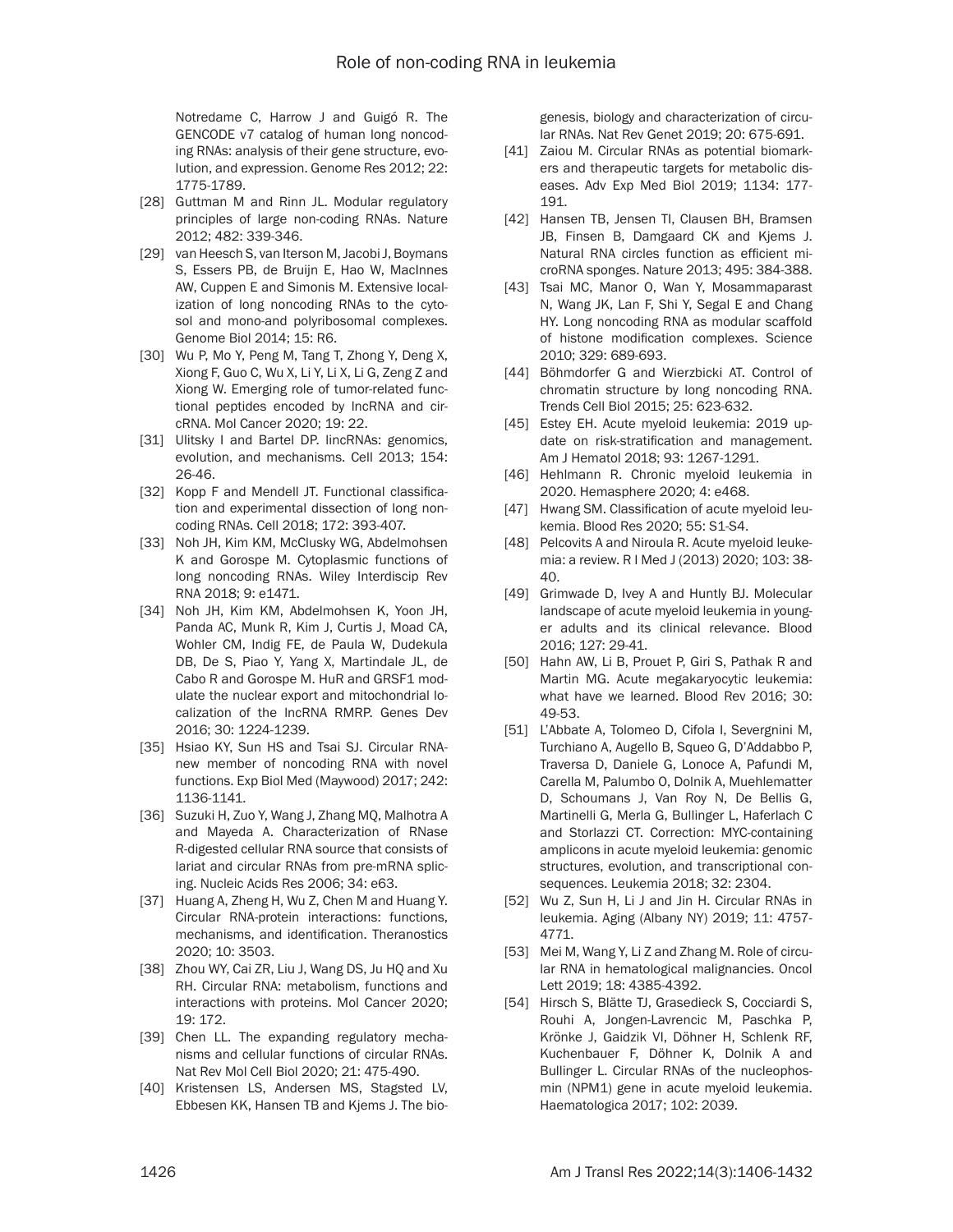Notredame C, Harrow J and Guigó R. The GENCODE v7 catalog of human long noncoding RNAs: analysis of their gene structure, evolution, and expression. Genome Res 2012; 22: 1775-1789.

- [28] Guttman M and Rinn JL. Modular regulatory principles of large non-coding RNAs. Nature 2012; 482: 339-346.
- [29] van Heesch S, van Iterson M, Jacobi J, Boymans S, Essers PB, de Bruijn E, Hao W, MacInnes AW, Cuppen E and Simonis M. Extensive localization of long noncoding RNAs to the cytosol and mono-and polyribosomal complexes. Genome Biol 2014; 15: R6.
- [30] Wu P, Mo Y, Peng M, Tang T, Zhong Y, Deng X, Xiong F, Guo C, Wu X, Li Y, Li X, Li G, Zeng Z and Xiong W. Emerging role of tumor-related functional peptides encoded by lncRNA and circRNA. Mol Cancer 2020; 19: 22.
- [31] Ulitsky I and Bartel DP. lincRNAs: genomics, evolution, and mechanisms. Cell 2013; 154: 26-46.
- [32] Kopp F and Mendell JT. Functional classification and experimental dissection of long noncoding RNAs. Cell 2018; 172: 393-407.
- [33] Noh JH, Kim KM, McClusky WG, Abdelmohsen K and Gorospe M. Cytoplasmic functions of long noncoding RNAs. Wiley Interdiscip Rev RNA 2018; 9: e1471.
- [34] Noh JH, Kim KM, Abdelmohsen K, Yoon JH, Panda AC, Munk R, Kim J, Curtis J, Moad CA, Wohler CM, Indig FE, de Paula W, Dudekula DB, De S, Piao Y, Yang X, Martindale JL, de Cabo R and Gorospe M. HuR and GRSF1 modulate the nuclear export and mitochondrial localization of the lncRNA RMRP. Genes Dev 2016; 30: 1224-1239.
- [35] Hsiao KY, Sun HS and Tsai SJ. Circular RNAnew member of noncoding RNA with novel functions. Exp Biol Med (Maywood) 2017; 242: 1136-1141.
- [36] Suzuki H, Zuo Y, Wang J, Zhang MQ, Malhotra A and Mayeda A. Characterization of RNase R-digested cellular RNA source that consists of lariat and circular RNAs from pre-mRNA splicing. Nucleic Acids Res 2006; 34: e63.
- [37] Huang A, Zheng H, Wu Z, Chen M and Huang Y. Circular RNA-protein interactions: functions, mechanisms, and identification. Theranostics 2020; 10: 3503.
- [38] Zhou WY, Cai ZR, Liu J, Wang DS, Ju HQ and Xu RH. Circular RNA: metabolism, functions and interactions with proteins. Mol Cancer 2020; 19: 172.
- [39] Chen LL. The expanding regulatory mechanisms and cellular functions of circular RNAs. Nat Rev Mol Cell Biol 2020; 21: 475-490.
- [40] Kristensen LS, Andersen MS, Stagsted LV, Ebbesen KK, Hansen TB and Kjems J. The bio-

genesis, biology and characterization of circular RNAs. Nat Rev Genet 2019; 20: 675-691.

- [41] Zaiou M. Circular RNAs as potential biomarkers and therapeutic targets for metabolic diseases. Adv Exp Med Biol 2019; 1134: 177- 191.
- [42] Hansen TB, Jensen TI, Clausen BH, Bramsen JB, Finsen B, Damgaard CK and Kjems J. Natural RNA circles function as efficient microRNA sponges. Nature 2013; 495: 384-388.
- [43] Tsai MC, Manor O, Wan Y, Mosammaparast N, Wang JK, Lan F, Shi Y, Segal E and Chang HY. Long noncoding RNA as modular scaffold of histone modification complexes. Science 2010; 329: 689-693.
- [44] Böhmdorfer G and Wierzbicki AT. Control of chromatin structure by long noncoding RNA. Trends Cell Biol 2015; 25: 623-632.
- [45] Estey EH. Acute myeloid leukemia: 2019 update on risk-stratification and management. Am J Hematol 2018; 93: 1267-1291.
- [46] Hehlmann R. Chronic myeloid leukemia in 2020. Hemasphere 2020; 4: e468.
- [47] Hwang SM. Classification of acute myeloid leukemia. Blood Res 2020; 55: S1-S4.
- [48] Pelcovits A and Niroula R. Acute myeloid leukemia: a review. R I Med J (2013) 2020; 103: 38- 40.
- [49] Grimwade D, Ivey A and Huntly BJ. Molecular landscape of acute myeloid leukemia in younger adults and its clinical relevance. Blood 2016; 127: 29-41.
- [50] Hahn AW, Li B, Prouet P, Giri S, Pathak R and Martin MG. Acute megakaryocytic leukemia: what have we learned. Blood Rev 2016; 30: 49-53.
- [51] L'Abbate A, Tolomeo D, Cifola I, Severgnini M, Turchiano A, Augello B, Squeo G, D'Addabbo P, Traversa D, Daniele G, Lonoce A, Pafundi M, Carella M, Palumbo O, Dolnik A, Muehlematter D, Schoumans J, Van Roy N, De Bellis G, Martinelli G, Merla G, Bullinger L, Haferlach C and Storlazzi CT. Correction: MYC-containing amplicons in acute myeloid leukemia: genomic structures, evolution, and transcriptional consequences. Leukemia 2018; 32: 2304.
- [52] Wu Z, Sun H, Li J and Jin H. Circular RNAs in leukemia. Aging (Albany NY) 2019; 11: 4757- 4771.
- [53] Mei M, Wang Y, Li Z and Zhang M. Role of circular RNA in hematological malignancies. Oncol Lett 2019; 18: 4385-4392.
- [54] Hirsch S, Blätte TJ, Grasedieck S, Cocciardi S, Rouhi A, Jongen-Lavrencic M, Paschka P, Krönke J, Gaidzik VI, Döhner H, Schlenk RF, Kuchenbauer F, Döhner K, Dolnik A and Bullinger L. Circular RNAs of the nucleophosmin (NPM1) gene in acute myeloid leukemia. Haematologica 2017; 102: 2039.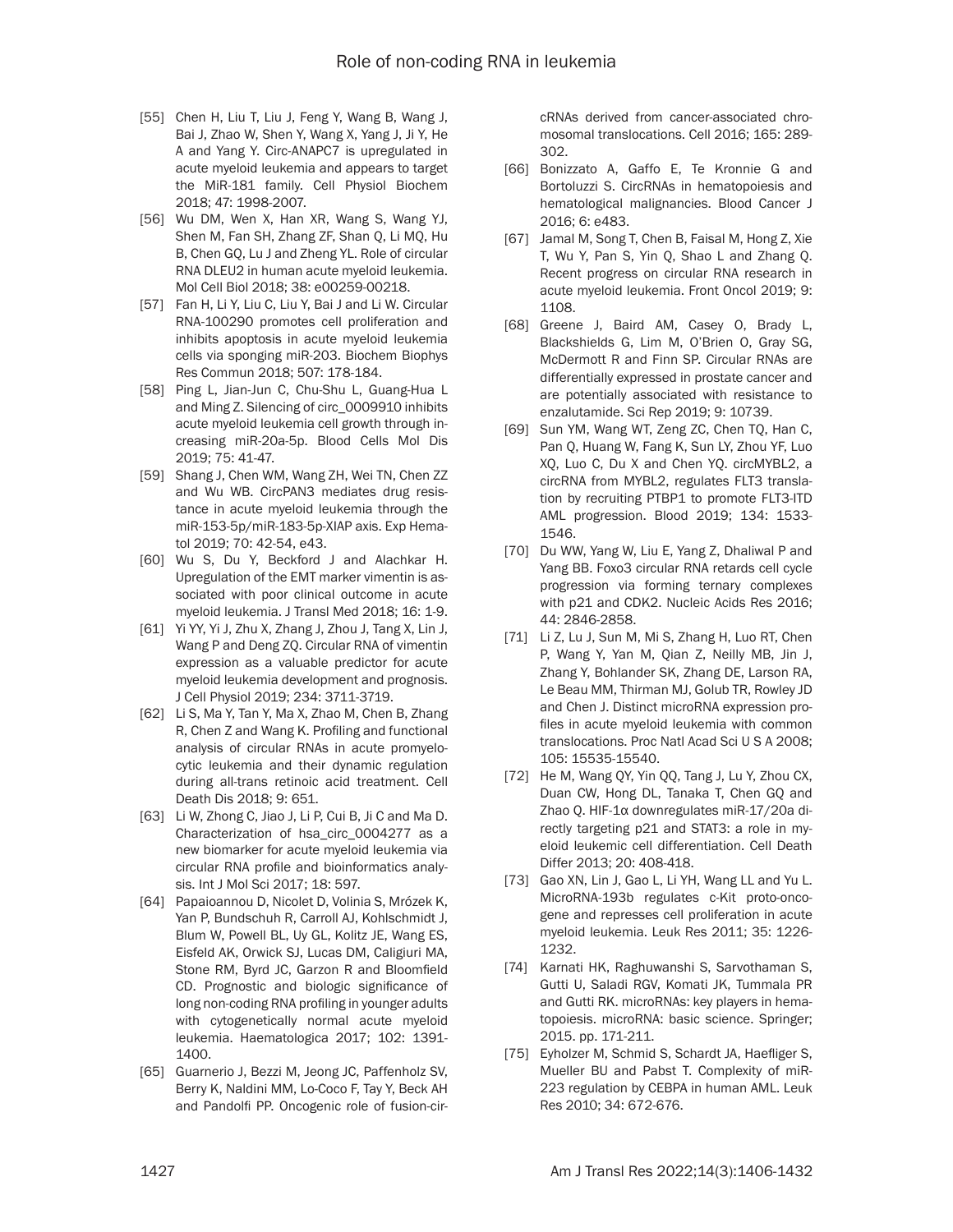- [55] Chen H, Liu T, Liu J, Feng Y, Wang B, Wang J, Bai J, Zhao W, Shen Y, Wang X, Yang J, Ji Y, He A and Yang Y. Circ-ANAPC7 is upregulated in acute myeloid leukemia and appears to target the MiR-181 family. Cell Physiol Biochem 2018; 47: 1998-2007.
- [56] Wu DM, Wen X, Han XR, Wang S, Wang YJ, Shen M, Fan SH, Zhang ZF, Shan Q, Li MQ, Hu B, Chen GQ, Lu J and Zheng YL. Role of circular RNA DLEU2 in human acute myeloid leukemia. Mol Cell Biol 2018; 38: e00259-00218.
- [57] Fan H, Li Y, Liu C, Liu Y, Bai J and Li W. Circular RNA-100290 promotes cell proliferation and inhibits apoptosis in acute myeloid leukemia cells via sponging miR-203. Biochem Biophys Res Commun 2018; 507: 178-184.
- [58] Ping L, Jian-Jun C, Chu-Shu L, Guang-Hua L and Ming Z. Silencing of circ\_0009910 inhibits acute myeloid leukemia cell growth through increasing miR-20a-5p. Blood Cells Mol Dis 2019; 75: 41-47.
- [59] Shang J, Chen WM, Wang ZH, Wei TN, Chen ZZ and Wu WB. CircPAN3 mediates drug resistance in acute myeloid leukemia through the miR-153-5p/miR-183-5p-XIAP axis. Exp Hematol 2019; 70: 42-54, e43.
- [60] Wu S, Du Y, Beckford J and Alachkar H. Upregulation of the EMT marker vimentin is associated with poor clinical outcome in acute myeloid leukemia. J Transl Med 2018; 16: 1-9.
- [61] Yi YY, Yi J, Zhu X, Zhang J, Zhou J, Tang X, Lin J, Wang P and Deng ZQ. Circular RNA of vimentin expression as a valuable predictor for acute myeloid leukemia development and prognosis. J Cell Physiol 2019; 234: 3711-3719.
- [62] Li S, Ma Y, Tan Y, Ma X, Zhao M, Chen B, Zhang R, Chen Z and Wang K. Profiling and functional analysis of circular RNAs in acute promyelocytic leukemia and their dynamic regulation during all-trans retinoic acid treatment. Cell Death Dis 2018; 9: 651.
- [63] Li W, Zhong C, Jiao J, Li P, Cui B, Ji C and Ma D. Characterization of hsa\_circ\_0004277 as a new biomarker for acute myeloid leukemia via circular RNA profile and bioinformatics analysis. Int J Mol Sci 2017; 18: 597.
- [64] Papaioannou D, Nicolet D, Volinia S, Mrózek K, Yan P, Bundschuh R, Carroll AJ, Kohlschmidt J, Blum W, Powell BL, Uy GL, Kolitz JE, Wang ES, Eisfeld AK, Orwick SJ, Lucas DM, Caligiuri MA, Stone RM, Byrd JC, Garzon R and Bloomfield CD. Prognostic and biologic significance of long non-coding RNA profiling in younger adults with cytogenetically normal acute myeloid leukemia. Haematologica 2017; 102: 1391- 1400.
- [65] Guarnerio J, Bezzi M, Jeong JC, Paffenholz SV, Berry K, Naldini MM, Lo-Coco F, Tay Y, Beck AH and Pandolfi PP. Oncogenic role of fusion-cir-

cRNAs derived from cancer-associated chromosomal translocations. Cell 2016; 165: 289- 302.

- [66] Bonizzato A, Gaffo E, Te Kronnie G and Bortoluzzi S. CircRNAs in hematopoiesis and hematological malignancies. Blood Cancer J 2016; 6: e483.
- [67] Jamal M, Song T, Chen B, Faisal M, Hong Z, Xie T, Wu Y, Pan S, Yin Q, Shao L and Zhang Q. Recent progress on circular RNA research in acute myeloid leukemia. Front Oncol 2019; 9: 1108.
- [68] Greene J, Baird AM, Casey O, Brady L, Blackshields G, Lim M, O'Brien O, Gray SG, McDermott R and Finn SP. Circular RNAs are differentially expressed in prostate cancer and are potentially associated with resistance to enzalutamide. Sci Rep 2019; 9: 10739.
- [69] Sun YM, Wang WT, Zeng ZC, Chen TQ, Han C, Pan Q, Huang W, Fang K, Sun LY, Zhou YF, Luo XQ, Luo C, Du X and Chen YQ. circMYBL2, a circRNA from MYBL2, regulates FLT3 translation by recruiting PTBP1 to promote FLT3-ITD AML progression. Blood 2019; 134: 1533- 1546.
- [70] Du WW, Yang W, Liu E, Yang Z, Dhaliwal P and Yang BB. Foxo3 circular RNA retards cell cycle progression via forming ternary complexes with p21 and CDK2. Nucleic Acids Res 2016; 44: 2846-2858.
- [71] Li Z, Lu J, Sun M, Mi S, Zhang H, Luo RT, Chen P, Wang Y, Yan M, Qian Z, Neilly MB, Jin J, Zhang Y, Bohlander SK, Zhang DE, Larson RA, Le Beau MM, Thirman MJ, Golub TR, Rowley JD and Chen J. Distinct microRNA expression profiles in acute myeloid leukemia with common translocations. Proc Natl Acad Sci U S A 2008; 105: 15535-15540.
- [72] He M, Wang QY, Yin QQ, Tang J, Lu Y, Zhou CX, Duan CW, Hong DL, Tanaka T, Chen GQ and Zhao Q. HIF-1α downregulates miR-17/20a directly targeting p21 and STAT3: a role in myeloid leukemic cell differentiation. Cell Death Differ 2013; 20: 408-418.
- [73] Gao XN, Lin J, Gao L, Li YH, Wang LL and Yu L. MicroRNA-193b regulates c-Kit proto-oncogene and represses cell proliferation in acute myeloid leukemia. Leuk Res 2011; 35: 1226- 1232.
- [74] Karnati HK, Raghuwanshi S, Sarvothaman S, Gutti U, Saladi RGV, Komati JK, Tummala PR and Gutti RK. microRNAs: key players in hematopoiesis. microRNA: basic science. Springer; 2015. pp. 171-211.
- [75] Eyholzer M, Schmid S, Schardt JA, Haefliger S, Mueller BU and Pabst T. Complexity of miR-223 regulation by CEBPA in human AML. Leuk Res 2010; 34: 672-676.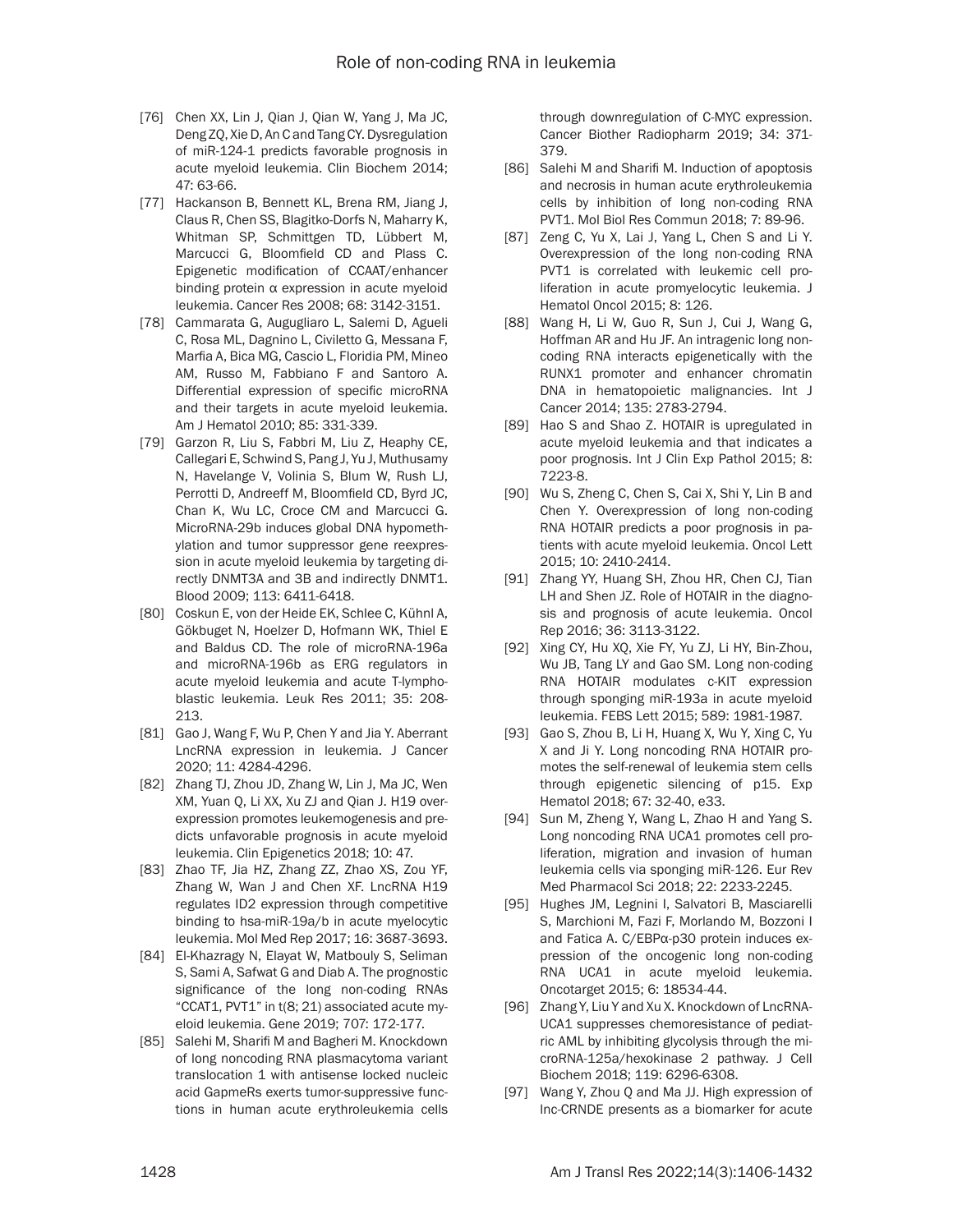- [76] Chen XX, Lin J, Qian J, Qian W, Yang J, Ma JC, Deng ZQ, Xie D, An C and Tang CY. Dysregulation of miR-124-1 predicts favorable prognosis in acute myeloid leukemia. Clin Biochem 2014; 47: 63-66.
- [77] Hackanson B, Bennett KL, Brena RM, Jiang J, Claus R, Chen SS, Blagitko-Dorfs N, Maharry K, Whitman SP, Schmittgen TD, Lübbert M, Marcucci G, Bloomfield CD and Plass C. Epigenetic modification of CCAAT/enhancer binding protein α expression in acute myeloid leukemia. Cancer Res 2008; 68: 3142-3151.
- [78] Cammarata G, Augugliaro L, Salemi D, Agueli C, Rosa ML, Dagnino L, Civiletto G, Messana F, Marfia A, Bica MG, Cascio L, Floridia PM, Mineo AM, Russo M, Fabbiano F and Santoro A. Differential expression of specific microRNA and their targets in acute myeloid leukemia. Am J Hematol 2010; 85: 331-339.
- [79] Garzon R, Liu S, Fabbri M, Liu Z, Heaphy CE, Callegari E, Schwind S, Pang J, Yu J, Muthusamy N, Havelange V, Volinia S, Blum W, Rush LJ, Perrotti D, Andreeff M, Bloomfield CD, Byrd JC, Chan K, Wu LC, Croce CM and Marcucci G. MicroRNA-29b induces global DNA hypomethylation and tumor suppressor gene reexpression in acute myeloid leukemia by targeting directly DNMT3A and 3B and indirectly DNMT1. Blood 2009; 113: 6411-6418.
- [80] Coskun E, von der Heide EK, Schlee C, Kühnl A, Gökbuget N, Hoelzer D, Hofmann WK, Thiel E and Baldus CD. The role of microRNA-196a and microRNA-196b as ERG regulators in acute myeloid leukemia and acute T-lymphoblastic leukemia. Leuk Res 2011; 35: 208- 213.
- [81] Gao J, Wang F, Wu P, Chen Y and Jia Y. Aberrant LncRNA expression in leukemia. J Cancer 2020; 11: 4284-4296.
- [82] Zhang TJ, Zhou JD, Zhang W, Lin J, Ma JC, Wen XM, Yuan Q, Li XX, Xu ZJ and Qian J. H19 overexpression promotes leukemogenesis and predicts unfavorable prognosis in acute myeloid leukemia. Clin Epigenetics 2018; 10: 47.
- [83] Zhao TF, Jia HZ, Zhang ZZ, Zhao XS, Zou YF, Zhang W, Wan J and Chen XF. LncRNA H19 regulates ID2 expression through competitive binding to hsa-miR-19a/b in acute myelocytic leukemia. Mol Med Rep 2017; 16: 3687-3693.
- [84] El-Khazragy N, Elayat W, Matbouly S, Seliman S, Sami A, Safwat G and Diab A. The prognostic significance of the long non-coding RNAs "CCAT1, PVT1" in t(8; 21) associated acute myeloid leukemia. Gene 2019; 707: 172-177.
- [85] Salehi M, Sharifi M and Bagheri M. Knockdown of long noncoding RNA plasmacytoma variant translocation 1 with antisense locked nucleic acid GapmeRs exerts tumor-suppressive functions in human acute erythroleukemia cells

through downregulation of C-MYC expression. Cancer Biother Radiopharm 2019; 34: 371- 379.

- [86] Salehi M and Sharifi M. Induction of apoptosis and necrosis in human acute erythroleukemia cells by inhibition of long non-coding RNA PVT1. Mol Biol Res Commun 2018; 7: 89-96.
- [87] Zeng C, Yu X, Lai J, Yang L, Chen S and Li Y. Overexpression of the long non-coding RNA PVT1 is correlated with leukemic cell proliferation in acute promyelocytic leukemia. J Hematol Oncol 2015; 8: 126.
- [88] Wang H, Li W, Guo R, Sun J, Cui J, Wang G, Hoffman AR and Hu JF. An intragenic long noncoding RNA interacts epigenetically with the RUNX1 promoter and enhancer chromatin DNA in hematopoietic malignancies. Int J Cancer 2014; 135: 2783-2794.
- [89] Hao S and Shao Z. HOTAIR is upregulated in acute myeloid leukemia and that indicates a poor prognosis. Int J Clin Exp Pathol 2015; 8: 7223-8.
- [90] Wu S, Zheng C, Chen S, Cai X, Shi Y, Lin B and Chen Y. Overexpression of long non-coding RNA HOTAIR predicts a poor prognosis in patients with acute myeloid leukemia. Oncol Lett 2015; 10: 2410-2414.
- [91] Zhang YY, Huang SH, Zhou HR, Chen CJ, Tian LH and Shen JZ. Role of HOTAIR in the diagnosis and prognosis of acute leukemia. Oncol Rep 2016; 36: 3113-3122.
- [92] Xing CY, Hu XQ, Xie FY, Yu ZJ, Li HY, Bin-Zhou, Wu JB, Tang LY and Gao SM. Long non-coding RNA HOTAIR modulates c-KIT expression through sponging miR-193a in acute myeloid leukemia. FEBS Lett 2015; 589: 1981-1987.
- [93] Gao S, Zhou B, Li H, Huang X, Wu Y, Xing C, Yu X and Ji Y. Long noncoding RNA HOTAIR promotes the self-renewal of leukemia stem cells through epigenetic silencing of p15. Exp Hematol 2018; 67: 32-40, e33.
- [94] Sun M, Zheng Y, Wang L, Zhao H and Yang S. Long noncoding RNA UCA1 promotes cell proliferation, migration and invasion of human leukemia cells via sponging miR-126. Eur Rev Med Pharmacol Sci 2018; 22: 2233-2245.
- [95] Hughes JM, Legnini I, Salvatori B, Masciarelli S, Marchioni M, Fazi F, Morlando M, Bozzoni I and Fatica A. C/EBPα-p30 protein induces expression of the oncogenic long non-coding RNA UCA1 in acute myeloid leukemia. Oncotarget 2015; 6: 18534-44.
- [96] Zhang Y, Liu Y and Xu X. Knockdown of LncRNA-UCA1 suppresses chemoresistance of pediatric AML by inhibiting glycolysis through the microRNA-125a/hexokinase 2 pathway. J Cell Biochem 2018; 119: 6296-6308.
- [97] Wang Y, Zhou Q and Ma JJ. High expression of lnc-CRNDE presents as a biomarker for acute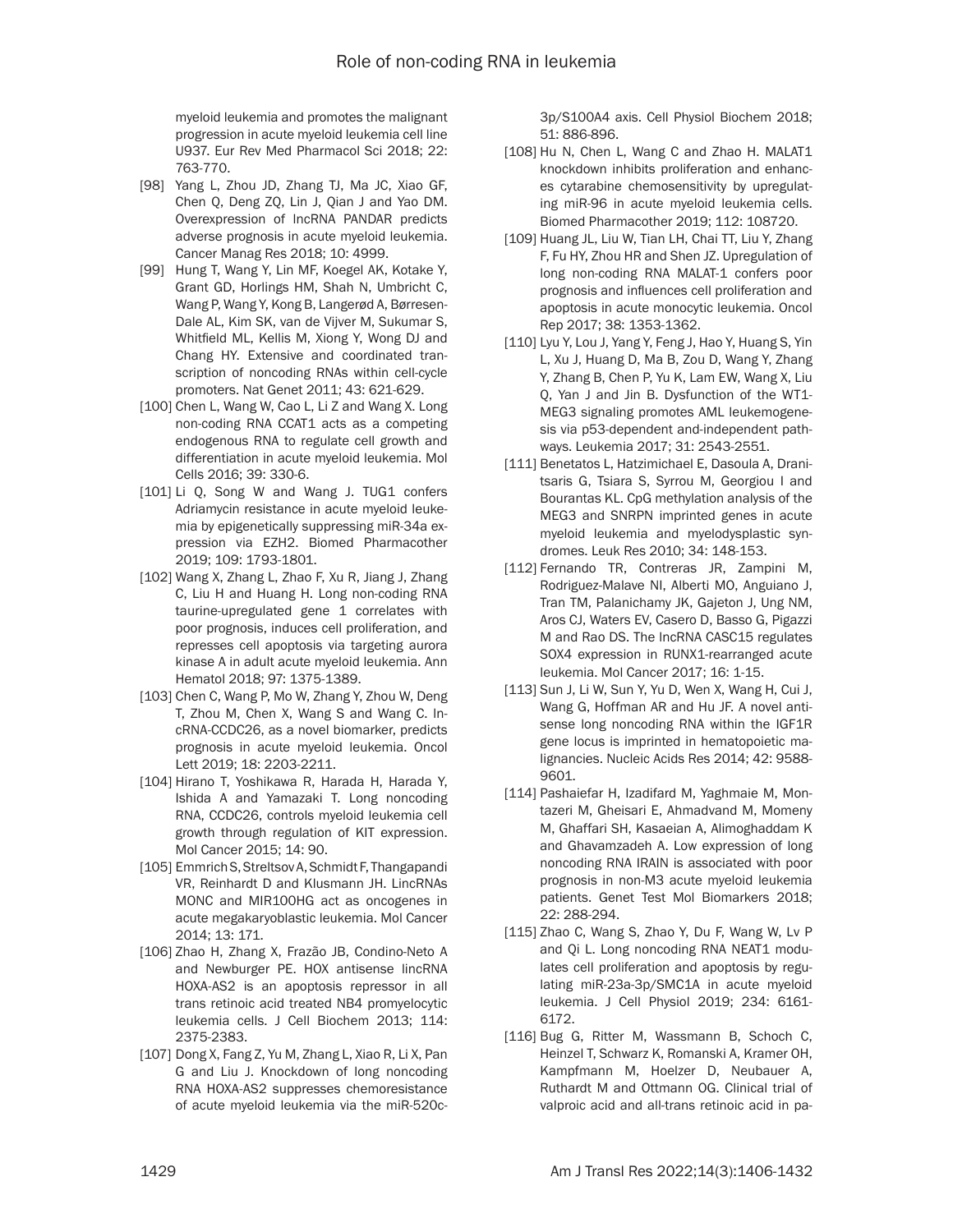myeloid leukemia and promotes the malignant progression in acute myeloid leukemia cell line U937. Eur Rev Med Pharmacol Sci 2018; 22: 763-770.

- [98] Yang L, Zhou JD, Zhang TJ, Ma JC, Xiao GF, Chen Q, Deng ZQ, Lin J, Qian J and Yao DM. Overexpression of lncRNA PANDAR predicts adverse prognosis in acute myeloid leukemia. Cancer Manag Res 2018; 10: 4999.
- [99] Hung T, Wang Y, Lin MF, Koegel AK, Kotake Y, Grant GD, Horlings HM, Shah N, Umbricht C, Wang P, Wang Y, Kong B, Langerød A, Børresen-Dale AL, Kim SK, van de Vijver M, Sukumar S, Whitfield ML, Kellis M, Xiong Y, Wong DJ and Chang HY. Extensive and coordinated transcription of noncoding RNAs within cell-cycle promoters. Nat Genet 2011; 43: 621-629.
- [100] Chen L, Wang W, Cao L, Li Z and Wang X. Long non-coding RNA CCAT1 acts as a competing endogenous RNA to regulate cell growth and differentiation in acute myeloid leukemia. Mol Cells 2016; 39: 330-6.
- [101] Li Q, Song W and Wang J. TUG1 confers Adriamycin resistance in acute myeloid leukemia by epigenetically suppressing miR-34a expression via EZH2. Biomed Pharmacother 2019; 109: 1793-1801.
- [102] Wang X, Zhang L, Zhao F, Xu R, Jiang J, Zhang C, Liu H and Huang H. Long non-coding RNA taurine-upregulated gene 1 correlates with poor prognosis, induces cell proliferation, and represses cell apoptosis via targeting aurora kinase A in adult acute myeloid leukemia. Ann Hematol 2018; 97: 1375-1389.
- [103] Chen C, Wang P, Mo W, Zhang Y, Zhou W, Deng T, Zhou M, Chen X, Wang S and Wang C. lncRNA-CCDC26, as a novel biomarker, predicts prognosis in acute myeloid leukemia. Oncol Lett 2019; 18: 2203-2211.
- [104] Hirano T, Yoshikawa R, Harada H, Harada Y, Ishida A and Yamazaki T. Long noncoding RNA, CCDC26, controls myeloid leukemia cell growth through regulation of KIT expression. Mol Cancer 2015; 14: 90.
- [105] Emmrich S, Streltsov A, Schmidt F, Thangapandi VR, Reinhardt D and Klusmann JH. LincRNAs MONC and MIR100HG act as oncogenes in acute megakaryoblastic leukemia. Mol Cancer 2014; 13: 171.
- [106] Zhao H, Zhang X, Frazão JB, Condino-Neto A and Newburger PE. HOX antisense lincRNA HOXA-AS2 is an apoptosis repressor in all trans retinoic acid treated NB4 promyelocytic leukemia cells. J Cell Biochem 2013; 114: 2375-2383.
- [107] Dong X, Fang Z, Yu M, Zhang L, Xiao R, Li X, Pan G and Liu J. Knockdown of long noncoding RNA HOXA-AS2 suppresses chemoresistance of acute myeloid leukemia via the miR-520c-

3p/S100A4 axis. Cell Physiol Biochem 2018; 51: 886-896.

- [108] Hu N, Chen L, Wang C and Zhao H. MALAT1 knockdown inhibits proliferation and enhances cytarabine chemosensitivity by upregulating miR-96 in acute myeloid leukemia cells. Biomed Pharmacother 2019; 112: 108720.
- [109] Huang JL, Liu W, Tian LH, Chai TT, Liu Y, Zhang F, Fu HY, Zhou HR and Shen JZ. Upregulation of long non-coding RNA MALAT-1 confers poor prognosis and influences cell proliferation and apoptosis in acute monocytic leukemia. Oncol Rep 2017; 38: 1353-1362.
- [110] Lyu Y, Lou J, Yang Y, Feng J, Hao Y, Huang S, Yin L, Xu J, Huang D, Ma B, Zou D, Wang Y, Zhang Y, Zhang B, Chen P, Yu K, Lam EW, Wang X, Liu Q, Yan J and Jin B. Dysfunction of the WT1- MEG3 signaling promotes AML leukemogenesis via p53-dependent and-independent pathways. Leukemia 2017; 31: 2543-2551.
- [111] Benetatos L, Hatzimichael E, Dasoula A, Dranitsaris G, Tsiara S, Syrrou M, Georgiou I and Bourantas KL. CpG methylation analysis of the MEG3 and SNRPN imprinted genes in acute myeloid leukemia and myelodysplastic syndromes. Leuk Res 2010; 34: 148-153.
- [112] Fernando TR, Contreras JR, Zampini M, Rodriguez-Malave NI, Alberti MO, Anguiano J, Tran TM, Palanichamy JK, Gajeton J, Ung NM, Aros CJ, Waters EV, Casero D, Basso G, Pigazzi M and Rao DS. The lncRNA CASC15 regulates SOX4 expression in RUNX1-rearranged acute leukemia. Mol Cancer 2017; 16: 1-15.
- [113] Sun J, Li W, Sun Y, Yu D, Wen X, Wang H, Cui J, Wang G, Hoffman AR and Hu JF. A novel antisense long noncoding RNA within the IGF1R gene locus is imprinted in hematopoietic malignancies. Nucleic Acids Res 2014; 42: 9588- 9601.
- [114] Pashaiefar H, Izadifard M, Yaghmaie M, Montazeri M, Gheisari E, Ahmadvand M, Momeny M, Ghaffari SH, Kasaeian A, Alimoghaddam K and Ghavamzadeh A. Low expression of long noncoding RNA IRAIN is associated with poor prognosis in non-M3 acute myeloid leukemia patients. Genet Test Mol Biomarkers 2018; 22: 288-294.
- [115] Zhao C, Wang S, Zhao Y, Du F, Wang W, Lv P and Qi L. Long noncoding RNA NEAT1 modulates cell proliferation and apoptosis by regulating miR-23a-3p/SMC1A in acute myeloid leukemia. J Cell Physiol 2019; 234: 6161- 6172.
- [116] Bug G, Ritter M, Wassmann B, Schoch C, Heinzel T, Schwarz K, Romanski A, Kramer OH, Kampfmann M, Hoelzer D, Neubauer A, Ruthardt M and Ottmann OG. Clinical trial of valproic acid and all-trans retinoic acid in pa-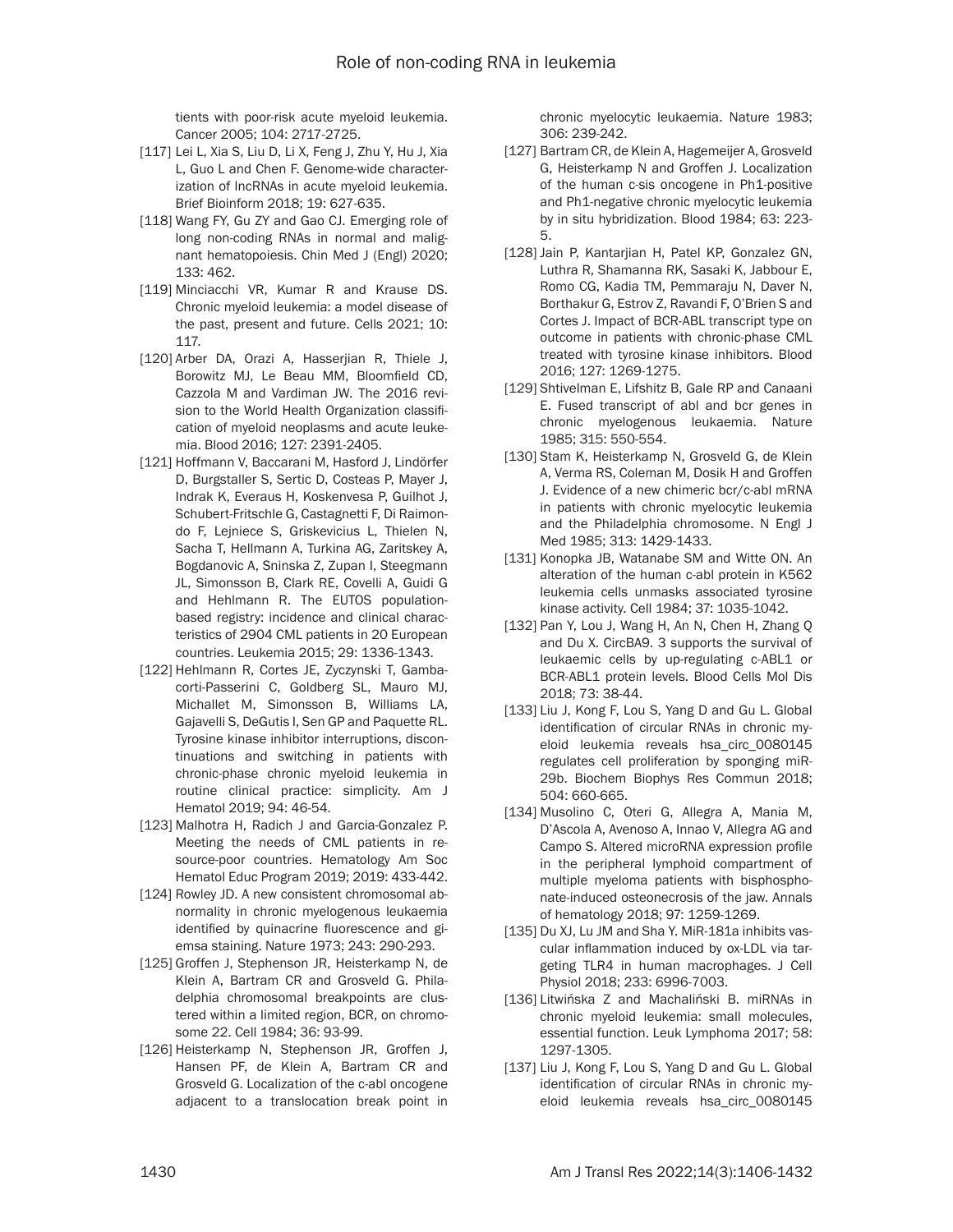tients with poor-risk acute myeloid leukemia. Cancer 2005; 104: 2717-2725.

- [117] Lei L, Xia S, Liu D, Li X, Feng J, Zhu Y, Hu J, Xia L, Guo L and Chen F. Genome-wide characterization of lncRNAs in acute myeloid leukemia. Brief Bioinform 2018; 19: 627-635.
- [118] Wang FY, Gu ZY and Gao CJ. Emerging role of long non-coding RNAs in normal and malignant hematopoiesis. Chin Med J (Engl) 2020; 133: 462.
- [119] Minciacchi VR, Kumar R and Krause DS. Chronic myeloid leukemia: a model disease of the past, present and future. Cells 2021; 10: 117.
- [120] Arber DA, Orazi A, Hasserjian R, Thiele J, Borowitz MJ, Le Beau MM, Bloomfield CD, Cazzola M and Vardiman JW. The 2016 revision to the World Health Organization classification of myeloid neoplasms and acute leukemia. Blood 2016; 127: 2391-2405.
- [121] Hoffmann V, Baccarani M, Hasford J, Lindörfer D, Burgstaller S, Sertic D, Costeas P, Mayer J, Indrak K, Everaus H, Koskenvesa P, Guilhot J, Schubert-Fritschle G, Castagnetti F, Di Raimondo F, Lejniece S, Griskevicius L, Thielen N, Sacha T, Hellmann A, Turkina AG, Zaritskey A, Bogdanovic A, Sninska Z, Zupan I, Steegmann JL, Simonsson B, Clark RE, Covelli A, Guidi G and Hehlmann R. The EUTOS populationbased registry: incidence and clinical characteristics of 2904 CML patients in 20 European countries. Leukemia 2015; 29: 1336-1343.
- [122] Hehlmann R, Cortes JE, Zyczynski T, Gambacorti-Passerini C, Goldberg SL, Mauro MJ, Michallet M, Simonsson B, Williams LA, Gajavelli S, DeGutis I, Sen GP and Paquette RL. Tyrosine kinase inhibitor interruptions, discontinuations and switching in patients with chronic-phase chronic myeloid leukemia in routine clinical practice: simplicity. Am J Hematol 2019; 94: 46-54.
- [123] Malhotra H, Radich J and Garcia-Gonzalez P. Meeting the needs of CML patients in resource-poor countries. Hematology Am Soc Hematol Educ Program 2019; 2019: 433-442.
- [124] Rowley JD. A new consistent chromosomal abnormality in chronic myelogenous leukaemia identified by quinacrine fluorescence and giemsa staining. Nature 1973; 243: 290-293.
- [125] Groffen J, Stephenson JR, Heisterkamp N, de Klein A, Bartram CR and Grosveld G. Philadelphia chromosomal breakpoints are clustered within a limited region, BCR, on chromosome 22. Cell 1984; 36: 93-99.
- [126] Heisterkamp N, Stephenson JR, Groffen J, Hansen PF, de Klein A, Bartram CR and Grosveld G. Localization of the c-abl oncogene adjacent to a translocation break point in

chronic myelocytic leukaemia. Nature 1983; 306: 239-242.

- [127] Bartram CR, de Klein A, Hagemeijer A, Grosveld G, Heisterkamp N and Groffen J. Localization of the human c-sis oncogene in Ph1-positive and Ph1-negative chronic myelocytic leukemia by in situ hybridization. Blood 1984; 63: 223- 5.
- [128] Jain P, Kantarjian H, Patel KP, Gonzalez GN, Luthra R, Shamanna RK, Sasaki K, Jabbour E, Romo CG, Kadia TM, Pemmaraju N, Daver N, Borthakur G, Estrov Z, Ravandi F, O'Brien S and Cortes J. Impact of BCR-ABL transcript type on outcome in patients with chronic-phase CML treated with tyrosine kinase inhibitors. Blood 2016; 127: 1269-1275.
- [129] Shtivelman E, Lifshitz B, Gale RP and Canaani E. Fused transcript of abl and bcr genes in chronic myelogenous leukaemia. Nature 1985; 315: 550-554.
- [130] Stam K, Heisterkamp N, Grosveld G, de Klein A, Verma RS, Coleman M, Dosik H and Groffen J. Evidence of a new chimeric bcr/c-abl mRNA in patients with chronic myelocytic leukemia and the Philadelphia chromosome. N Engl J Med 1985; 313: 1429-1433.
- [131] Konopka JB, Watanabe SM and Witte ON. An alteration of the human c-abl protein in K562 leukemia cells unmasks associated tyrosine kinase activity. Cell 1984; 37: 1035-1042.
- [132] Pan Y, Lou J, Wang H, An N, Chen H, Zhang Q and Du X. CircBA9. 3 supports the survival of leukaemic cells by up-regulating c-ABL1 or BCR-ABL1 protein levels. Blood Cells Mol Dis 2018; 73: 38-44.
- [133] Liu J, Kong F, Lou S, Yang D and Gu L. Global identification of circular RNAs in chronic myeloid leukemia reveals hsa\_circ\_0080145 regulates cell proliferation by sponging miR-29b. Biochem Biophys Res Commun 2018; 504: 660-665.
- [134] Musolino C, Oteri G, Allegra A, Mania M, D'Ascola A, Avenoso A, Innao V, Allegra AG and Campo S. Altered microRNA expression profile in the peripheral lymphoid compartment of multiple myeloma patients with bisphosphonate-induced osteonecrosis of the jaw. Annals of hematology 2018; 97: 1259-1269.
- [135] Du XJ, Lu JM and Sha Y. MiR-181a inhibits vascular inflammation induced by ox-LDL via targeting TLR4 in human macrophages. J Cell Physiol 2018; 233: 6996-7003.
- [136] Litwińska Z and Machaliński B. miRNAs in chronic myeloid leukemia: small molecules, essential function. Leuk Lymphoma 2017; 58: 1297-1305.
- [137] Liu J, Kong F, Lou S, Yang D and Gu L. Global identification of circular RNAs in chronic myeloid leukemia reveals hsa\_circ\_0080145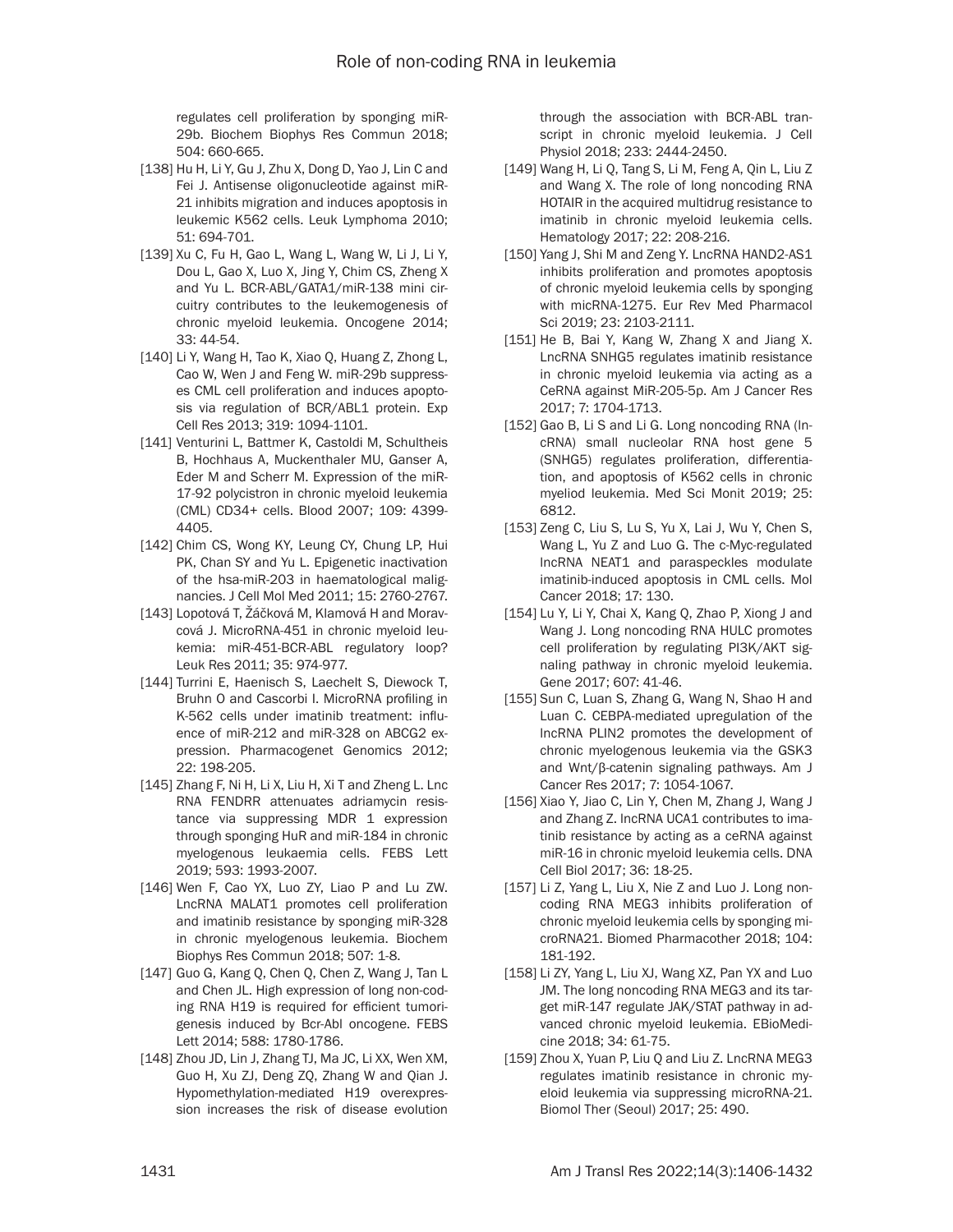regulates cell proliferation by sponging miR-29b. Biochem Biophys Res Commun 2018; 504: 660-665.

- [138] Hu H, Li Y, Gu J, Zhu X, Dong D, Yao J, Lin C and Fei J. Antisense oligonucleotide against miR-21 inhibits migration and induces apoptosis in leukemic K562 cells. Leuk Lymphoma 2010; 51: 694-701.
- [139] Xu C, Fu H, Gao L, Wang L, Wang W, Li J, Li Y, Dou L, Gao X, Luo X, Jing Y, Chim CS, Zheng X and Yu L. BCR-ABL/GATA1/miR-138 mini circuitry contributes to the leukemogenesis of chronic myeloid leukemia. Oncogene 2014; 33: 44-54.
- [140] Li Y, Wang H, Tao K, Xiao Q, Huang Z, Zhong L, Cao W, Wen J and Feng W. miR-29b suppresses CML cell proliferation and induces apoptosis via regulation of BCR/ABL1 protein. Exp Cell Res 2013; 319: 1094-1101.
- [141] Venturini L, Battmer K, Castoldi M, Schultheis B, Hochhaus A, Muckenthaler MU, Ganser A, Eder M and Scherr M. Expression of the miR-17-92 polycistron in chronic myeloid leukemia (CML) CD34+ cells. Blood 2007; 109: 4399- 4405.
- [142] Chim CS, Wong KY, Leung CY, Chung LP, Hui PK, Chan SY and Yu L. Epigenetic inactivation of the hsa-miR-203 in haematological malignancies. J Cell Mol Med 2011; 15: 2760-2767.
- [143] Lopotová T, Žáčková M, Klamová H and Moravcová J. MicroRNA-451 in chronic myeloid leukemia: miR-451-BCR-ABL regulatory loop? Leuk Res 2011; 35: 974-977.
- [144] Turrini E, Haenisch S, Laechelt S, Diewock T, Bruhn O and Cascorbi I. MicroRNA profiling in K-562 cells under imatinib treatment: influence of miR-212 and miR-328 on ABCG2 expression. Pharmacogenet Genomics 2012; 22: 198-205.
- [145] Zhang F, Ni H, Li X, Liu H, Xi T and Zheng L. Lnc RNA FENDRR attenuates adriamycin resistance via suppressing MDR 1 expression through sponging HuR and miR-184 in chronic myelogenous leukaemia cells. FEBS Lett 2019; 593: 1993-2007.
- [146] Wen F, Cao YX, Luo ZY, Liao P and Lu ZW. LncRNA MALAT1 promotes cell proliferation and imatinib resistance by sponging miR-328 in chronic myelogenous leukemia. Biochem Biophys Res Commun 2018; 507: 1-8.
- [147] Guo G, Kang Q, Chen Q, Chen Z, Wang J, Tan L and Chen JL. High expression of long non-coding RNA H19 is required for efficient tumorigenesis induced by Bcr-Abl oncogene. FEBS Lett 2014; 588: 1780-1786.
- [148] Zhou JD, Lin J, Zhang TJ, Ma JC, Li XX, Wen XM, Guo H, Xu ZJ, Deng ZQ, Zhang W and Qian J. Hypomethylation-mediated H19 overexpression increases the risk of disease evolution

through the association with BCR-ABL transcript in chronic myeloid leukemia. J Cell Physiol 2018; 233: 2444-2450.

- [149] Wang H, Li Q, Tang S, Li M, Feng A, Qin L, Liu Z and Wang X. The role of long noncoding RNA HOTAIR in the acquired multidrug resistance to imatinib in chronic myeloid leukemia cells. Hematology 2017; 22: 208-216.
- [150] Yang J, Shi M and Zeng Y. LncRNA HAND2-AS1 inhibits proliferation and promotes apoptosis of chronic myeloid leukemia cells by sponging with micRNA-1275. Eur Rev Med Pharmacol Sci 2019; 23: 2103-2111.
- [151] He B, Bai Y, Kang W, Zhang X and Jiang X. LncRNA SNHG5 regulates imatinib resistance in chronic myeloid leukemia via acting as a CeRNA against MiR-205-5p. Am J Cancer Res 2017; 7: 1704-1713.
- [152] Gao B, Li S and Li G. Long noncoding RNA (lncRNA) small nucleolar RNA host gene 5 (SNHG5) regulates proliferation, differentiation, and apoptosis of K562 cells in chronic myeliod leukemia. Med Sci Monit 2019; 25: 6812.
- [153] Zeng C, Liu S, Lu S, Yu X, Lai J, Wu Y, Chen S, Wang L, Yu Z and Luo G. The c-Myc-regulated lncRNA NEAT1 and paraspeckles modulate imatinib-induced apoptosis in CML cells. Mol Cancer 2018; 17: 130.
- [154] Lu Y, Li Y, Chai X, Kang Q, Zhao P, Xiong J and Wang J. Long noncoding RNA HULC promotes cell proliferation by regulating PI3K/AKT signaling pathway in chronic myeloid leukemia. Gene 2017; 607: 41-46.
- [155] Sun C, Luan S, Zhang G, Wang N, Shao H and Luan C. CEBPA-mediated upregulation of the lncRNA PLIN2 promotes the development of chronic myelogenous leukemia via the GSK3 and Wnt/β-catenin signaling pathways. Am J Cancer Res 2017; 7: 1054-1067.
- [156] Xiao Y, Jiao C, Lin Y, Chen M, Zhang J, Wang J and Zhang Z. lncRNA UCA1 contributes to imatinib resistance by acting as a ceRNA against miR-16 in chronic myeloid leukemia cells. DNA Cell Biol 2017; 36: 18-25.
- [157] Li Z, Yang L, Liu X, Nie Z and Luo J. Long noncoding RNA MEG3 inhibits proliferation of chronic myeloid leukemia cells by sponging microRNA21. Biomed Pharmacother 2018; 104: 181-192.
- [158] Li ZY, Yang L, Liu XJ, Wang XZ, Pan YX and Luo JM. The long noncoding RNA MEG3 and its target miR-147 regulate JAK/STAT pathway in advanced chronic myeloid leukemia. EBioMedicine 2018; 34: 61-75.
- [159] Zhou X, Yuan P, Liu Q and Liu Z. LncRNA MEG3 regulates imatinib resistance in chronic myeloid leukemia via suppressing microRNA-21. Biomol Ther (Seoul) 2017; 25: 490.